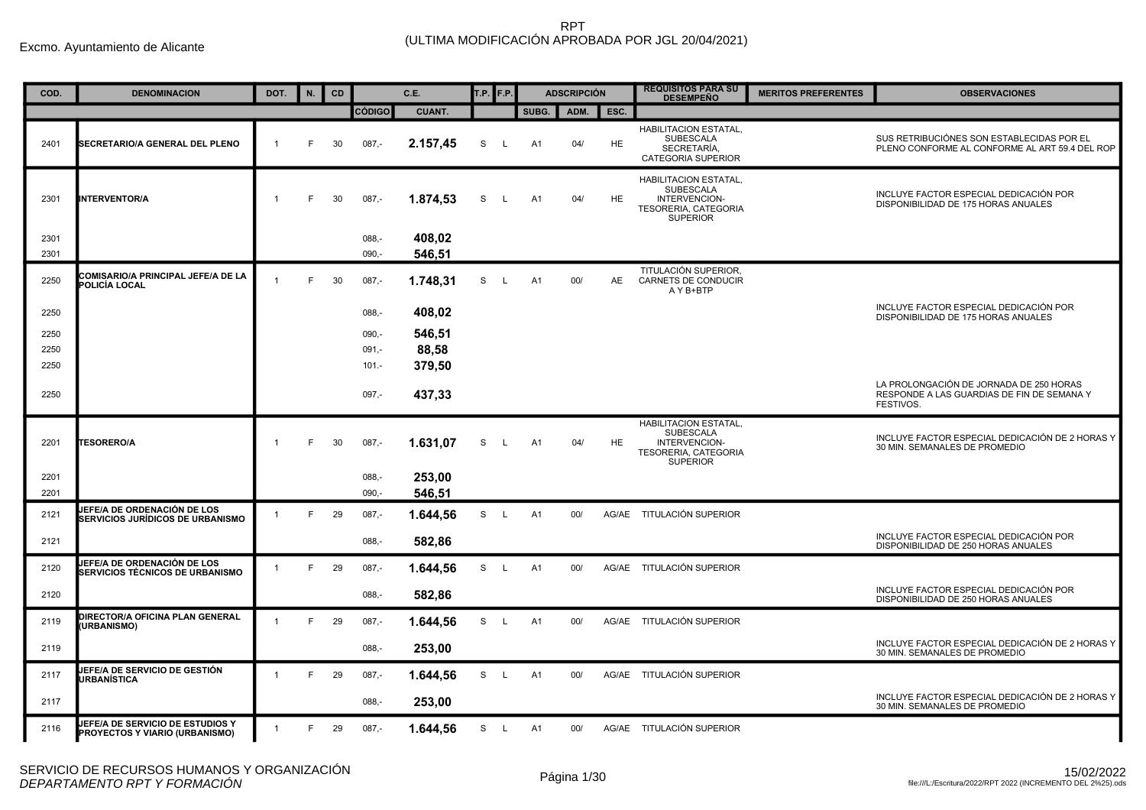| COD.         | <b>DENOMINACION</b>                                                          | DOT.           | N. | <b>CD</b> |                     | C.E.             | T.P. F.P. |    |                | <b>ADSCRIPCIÓN</b> |           | <b>REQUISITOS PARA SU</b><br><b>DESEMPEÑO</b>                                                                | <b>MERITOS PREFERENTES</b> | <b>OBSERVACIONES</b>                                                                               |
|--------------|------------------------------------------------------------------------------|----------------|----|-----------|---------------------|------------------|-----------|----|----------------|--------------------|-----------|--------------------------------------------------------------------------------------------------------------|----------------------------|----------------------------------------------------------------------------------------------------|
|              |                                                                              |                |    |           | <b>CÓDIGO</b>       | <b>CUANT.</b>    |           |    | SUBG.          | ADM.               | ESC.      |                                                                                                              |                            |                                                                                                    |
| 2401         | <b>SECRETARIO/A GENERAL DEL PLENO</b>                                        | $\mathbf{1}$   | F  | 30        | $087 -$             | 2.157,45         | S         | L. | A <sub>1</sub> | 04/                | <b>HE</b> | <b>HABILITACION ESTATAL,</b><br><b>SUBESCALA</b><br>SECRETARÍA.<br>CATEGORIA SUPERIOR                        |                            | SUS RETRIBUCIÓNES SON ESTABLECIDAS POR EL<br>PLENO CONFORME AL CONFORME AL ART 59.4 DEL ROP        |
| 2301         | <b>NTERVENTOR/A</b>                                                          |                | F. | 30        | $087 -$             | 1.874,53         | S         | L. | A1             | 04/                | <b>HE</b> | HABILITACION ESTATAL,<br>SUBESCALA<br>INTERVENCION-<br>TESORERIA, CATEGORIA<br><b>SUPERIOR</b>               |                            | INCLUYE FACTOR ESPECIAL DEDICACIÓN POR<br>DISPONIBILIDAD DE 175 HORAS ANUALES                      |
| 2301<br>2301 |                                                                              |                |    |           | $088 -$<br>$090 -$  | 408,02<br>546,51 |           |    |                |                    |           |                                                                                                              |                            |                                                                                                    |
| 2250         | COMISARIO/A PRINCIPAL JEFE/A DE LA<br>POLICÍA LOCAL                          | $\mathbf{1}$   | E  | 30        | $087 -$             | 1.748,31         | S         | L  | A <sub>1</sub> | 00/                | <b>AE</b> | TITULACIÓN SUPERIOR,<br>CARNETS DE CONDUCIR<br>A Y B+BTP                                                     |                            |                                                                                                    |
| 2250         |                                                                              |                |    |           | $088 -$             | 408,02           |           |    |                |                    |           |                                                                                                              |                            | INCLUYE FACTOR ESPECIAL DEDICACIÓN POR<br>DISPONIBILIDAD DE 175 HORAS ANUALES                      |
| 2250         |                                                                              |                |    |           | $090,-$             | 546,51           |           |    |                |                    |           |                                                                                                              |                            |                                                                                                    |
| 2250         |                                                                              |                |    |           | $091 -$             | 88,58            |           |    |                |                    |           |                                                                                                              |                            |                                                                                                    |
| 2250         |                                                                              |                |    |           | $101 -$             | 379,50           |           |    |                |                    |           |                                                                                                              |                            |                                                                                                    |
| 2250         |                                                                              |                |    |           | $097 -$             | 437,33           |           |    |                |                    |           |                                                                                                              |                            | LA PROLONGACIÓN DE JORNADA DE 250 HORAS<br>RESPONDE A LAS GUARDIAS DE FIN DE SEMANA Y<br>FESTIVOS. |
| 2201         | <b>TESORERO/A</b>                                                            |                | F. | 30        | $087,-$             | 1.631,07         | S         | L  | A1             | 04/                | <b>HE</b> | <b>HABILITACION ESTATAL.</b><br><b>SUBESCALA</b><br>INTERVENCION-<br>TESORERIA, CATEGORIA<br><b>SUPERIOR</b> |                            | INCLUYE FACTOR ESPECIAL DEDICACIÓN DE 2 HORAS Y<br>30 MIN. SEMANALES DE PROMEDIO                   |
| 2201<br>2201 |                                                                              |                |    |           | $088, -$<br>$090 -$ | 253,00<br>546.51 |           |    |                |                    |           |                                                                                                              |                            |                                                                                                    |
| 2121         | <b>IEFE/A DE ORDENACIÓN DE LOS</b><br>SERVICIOS JURÍDICOS DE URBANISMO       |                | F  | 29        | $087 -$             | 1.644,56         | S L       |    | A1             | 00/                |           | AG/AE TITULACIÓN SUPERIOR                                                                                    |                            |                                                                                                    |
| 2121         |                                                                              |                |    |           | $088 -$             | 582,86           |           |    |                |                    |           |                                                                                                              |                            | INCLUYE FACTOR ESPECIAL DEDICACIÓN POR<br>DISPONIBILIDAD DE 250 HORAS ANUALES                      |
| 2120         | <b>IEFE/A DE ORDENACIÓN DE LOS</b><br><b>SERVICIOS TÉCNICOS DE URBANISMO</b> |                | F  | 29        | $087,-$             | 1.644,56         | S L       |    | A1             | 00/                |           | AG/AE TITULACIÓN SUPERIOR                                                                                    |                            |                                                                                                    |
| 2120         |                                                                              |                |    |           | $088 -$             | 582,86           |           |    |                |                    |           |                                                                                                              |                            | INCLUYE FACTOR ESPECIAL DEDICACIÓN POR<br>DISPONIBILIDAD DE 250 HORAS ANUALES                      |
| 2119         | DIRECTOR/A OFICINA PLAN GENERAL<br><b>URBANISMO)</b>                         |                | F  | 29        | $087 -$             | 1.644,56         | S L       |    | A1             | 00/                |           | AG/AE TITULACIÓN SUPERIOR                                                                                    |                            |                                                                                                    |
| 2119         |                                                                              |                |    |           | $088 -$             | 253,00           |           |    |                |                    |           |                                                                                                              |                            | INCLUYE FACTOR ESPECIAL DEDICACIÓN DE 2 HORAS Y<br>30 MIN. SEMANALES DE PROMEDIO                   |
| 2117         | <b>IEFE/A DE SERVICIO DE GESTIÓN</b><br>URBANÍSTICA                          |                | F  | 29        | $087,-$             | 1.644,56         | S L       |    | A1             | 00/                |           | AG/AE TITULACIÓN SUPERIOR                                                                                    |                            |                                                                                                    |
| 2117         |                                                                              |                |    |           | $088 -$             | 253.00           |           |    |                |                    |           |                                                                                                              |                            | INCLUYE FACTOR ESPECIAL DEDICACIÓN DE 2 HORAS Y<br>30 MIN. SEMANALES DE PROMEDIO                   |
| 2116         | JEFE/A DE SERVICIO DE ESTUDIOS Y<br>PROYECTOS Y VIARIO (URBANISMO)           | $\overline{1}$ | F  | 29        | $087 -$             | 1.644,56         | S L       |    | A1             | 00/                |           | AG/AE TITULACIÓN SUPERIOR                                                                                    |                            |                                                                                                    |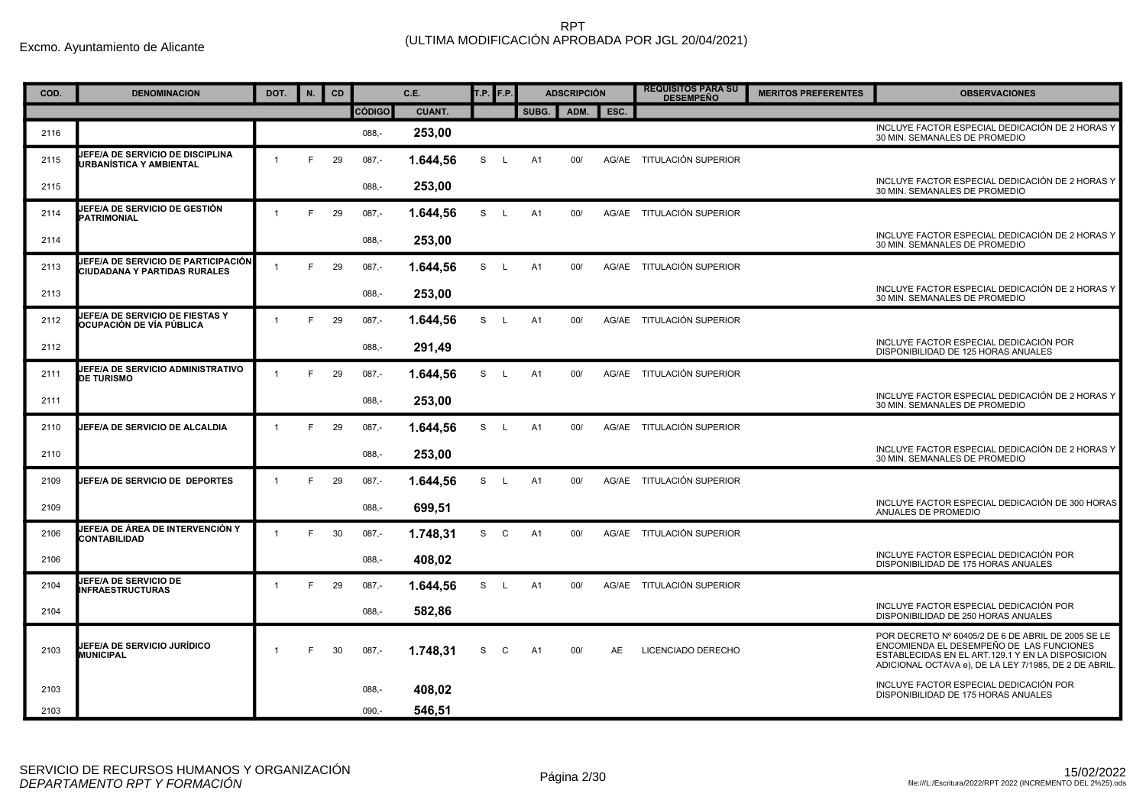| COD. | <b>DENOMINACION</b>                                                 | DOT.           | N. | CD |               | C.E.          | <b>T.P.</b> F.P. |    |                | <b>ADSCRIPCIÓN</b> |       | <b>REQUISITOS PARA SU</b><br><b>DESEMPEÑO</b> | <b>MERITOS PREFERENTES</b> | <b>OBSERVACIONES</b>                                                                                                                                                                                        |
|------|---------------------------------------------------------------------|----------------|----|----|---------------|---------------|------------------|----|----------------|--------------------|-------|-----------------------------------------------|----------------------------|-------------------------------------------------------------------------------------------------------------------------------------------------------------------------------------------------------------|
|      |                                                                     |                |    |    | <b>CÓDIGO</b> | <b>CUANT.</b> |                  |    | SUBG.          | ADM.               | ESC.  |                                               |                            |                                                                                                                                                                                                             |
| 2116 |                                                                     |                |    |    | $088 -$       | 253,00        |                  |    |                |                    |       |                                               |                            | INCLUYE FACTOR ESPECIAL DEDICACIÓN DE 2 HORAS Y<br>30 MIN. SEMANALES DE PROMEDIO                                                                                                                            |
| 2115 | <b>EFE/A DE SERVICIO DE DISCIPLINA</b><br>URBANÍSTICA Y AMBIENTAL   |                | E  | 29 | $087,-$       | 1.644,56      | S                | L. | A1             | 00/                | AG/AE | TITULACIÓN SUPERIOR                           |                            |                                                                                                                                                                                                             |
| 2115 |                                                                     |                |    |    | $088, -$      | 253,00        |                  |    |                |                    |       |                                               |                            | INCLUYE FACTOR ESPECIAL DEDICACIÓN DE 2 HORAS Y<br>30 MIN. SEMANALES DE PROMEDIO                                                                                                                            |
| 2114 | JEFE/A DE SERVICIO DE GESTIÓN<br><b>PATRIMONIAL</b>                 | $\mathbf{1}$   | E  | 29 | $087 -$       | 1.644,56      | S L              |    | A1             | 00/                |       | AG/AE TITULACIÓN SUPERIOR                     |                            |                                                                                                                                                                                                             |
| 2114 |                                                                     |                |    |    | $088 -$       | 253.00        |                  |    |                |                    |       |                                               |                            | INCLUYE FACTOR ESPECIAL DEDICACIÓN DE 2 HORAS Y<br>30 MIN. SEMANALES DE PROMEDIO                                                                                                                            |
| 2113 | JEFE/A DE SERVICIO DE PARTICIPACIÓN<br>CIUDADANA Y PARTIDAS RURALES |                | F. | 29 | $087 -$       | 1.644.56      | S.               | L. | A1             | 00/                |       | AG/AE TITULACIÓN SUPERIOR                     |                            |                                                                                                                                                                                                             |
| 2113 |                                                                     |                |    |    | $088 -$       | 253,00        |                  |    |                |                    |       |                                               |                            | INCLUYE FACTOR ESPECIAL DEDICACIÓN DE 2 HORAS Y<br>30 MIN. SEMANALES DE PROMEDIO                                                                                                                            |
| 2112 | JEFE/A DE SERVICIO DE FIESTAS Y<br>OCUPACIÓN DE VÍA PÚBLICA         |                | F  | 29 | $087,-$       | 1.644,56      | S                | L. | A1             | 00/                |       | AG/AE TITULACIÓN SUPERIOR                     |                            |                                                                                                                                                                                                             |
| 2112 |                                                                     |                |    |    | $088, -$      | 291,49        |                  |    |                |                    |       |                                               |                            | INCLUYE FACTOR ESPECIAL DEDICACIÓN POR<br>DISPONIBILIDAD DE 125 HORAS ANUALES                                                                                                                               |
| 2111 | JEFE/A DE SERVICIO ADMINISTRATIVO<br><b>DE TURISMO</b>              |                | E  | 29 | $087, -$      | 1.644,56      | S                | L. | A1             | 00/                |       | AG/AE TITULACIÓN SUPERIOR                     |                            |                                                                                                                                                                                                             |
| 2111 |                                                                     |                |    |    | 088,-         | 253,00        |                  |    |                |                    |       |                                               |                            | INCLUYE FACTOR ESPECIAL DEDICACIÓN DE 2 HORAS Y<br>30 MIN. SEMANALES DE PROMEDIO                                                                                                                            |
| 2110 | <b>IEFE/A DE SERVICIO DE ALCALDIA</b>                               |                | E  | 29 | $087, -$      | 1.644,56      | S                | L. | A1             | 00/                | AG/AE | TITULACIÓN SUPERIOR                           |                            |                                                                                                                                                                                                             |
| 2110 |                                                                     |                |    |    | $088 -$       | 253,00        |                  |    |                |                    |       |                                               |                            | INCLUYE FACTOR ESPECIAL DEDICACIÓN DE 2 HORAS Y<br>30 MIN. SEMANALES DE PROMEDIO                                                                                                                            |
| 2109 | JEFE/A DE SERVICIO DE DEPORTES                                      |                | E  | 29 | $087 -$       | 1.644,56      | S                | L. | A1             | 00/                | AG/AE | TITULACIÓN SUPERIOR                           |                            |                                                                                                                                                                                                             |
| 2109 |                                                                     |                |    |    | $088 -$       | 699,51        |                  |    |                |                    |       |                                               |                            | INCLUYE FACTOR ESPECIAL DEDICACIÓN DE 300 HORAS<br>ANUALES DE PROMEDIO                                                                                                                                      |
| 2106 | JEFE/A DE ÁREA DE INTERVENCIÓN Y<br>CONTABILIDAD                    |                | F  | 30 | $087 -$       | 1.748.31      | S C              |    | A1             | 00/                |       | AG/AE TITULACIÓN SUPERIOR                     |                            |                                                                                                                                                                                                             |
| 2106 |                                                                     |                |    |    | $088 -$       | 408.02        |                  |    |                |                    |       |                                               |                            | INCLUYE FACTOR ESPECIAL DEDICACIÓN POR<br>DISPONIBILIDAD DE 175 HORAS ANUALES                                                                                                                               |
| 2104 | <b>EFE/A DE SERVICIO DE</b><br><b>INFRAESTRUCTURAS</b>              | $\overline{1}$ | F  | 29 | $087 -$       | 1.644,56      | S.               | L. | A <sub>1</sub> | 00/                |       | AG/AE TITULACIÓN SUPERIOR                     |                            |                                                                                                                                                                                                             |
| 2104 |                                                                     |                |    |    | $088 -$       | 582,86        |                  |    |                |                    |       |                                               |                            | INCLUYE FACTOR ESPECIAL DEDICACIÓN POR<br>DISPONIBILIDAD DE 250 HORAS ANUALES                                                                                                                               |
| 2103 | JEFE/A DE SERVICIO JURÍDICO<br><b>MUNICIPAL</b>                     |                | F  | 30 | $087 -$       | 1.748.31      | S                | C  | A1             | 00/                | AE.   | LICENCIADO DERECHO                            |                            | POR DECRETO Nº 60405/2 DE 6 DE ABRIL DE 2005 SE LE<br>ENCOMIENDA EL DESEMPEÑO DE LAS FUNCIONES<br>ESTABLECIDAS EN EL ART.129.1 Y EN LA DISPOSICION<br>ADICIONAL OCTAVA e), DE LA LEY 7/1985, DE 2 DE ABRIL. |
| 2103 |                                                                     |                |    |    | 088.          | 408,02        |                  |    |                |                    |       |                                               |                            | INCLUYE FACTOR ESPECIAL DEDICACIÓN POR<br>DISPONIBILIDAD DE 175 HORAS ANUALES                                                                                                                               |
| 2103 |                                                                     |                |    |    | $090 -$       | 546.51        |                  |    |                |                    |       |                                               |                            |                                                                                                                                                                                                             |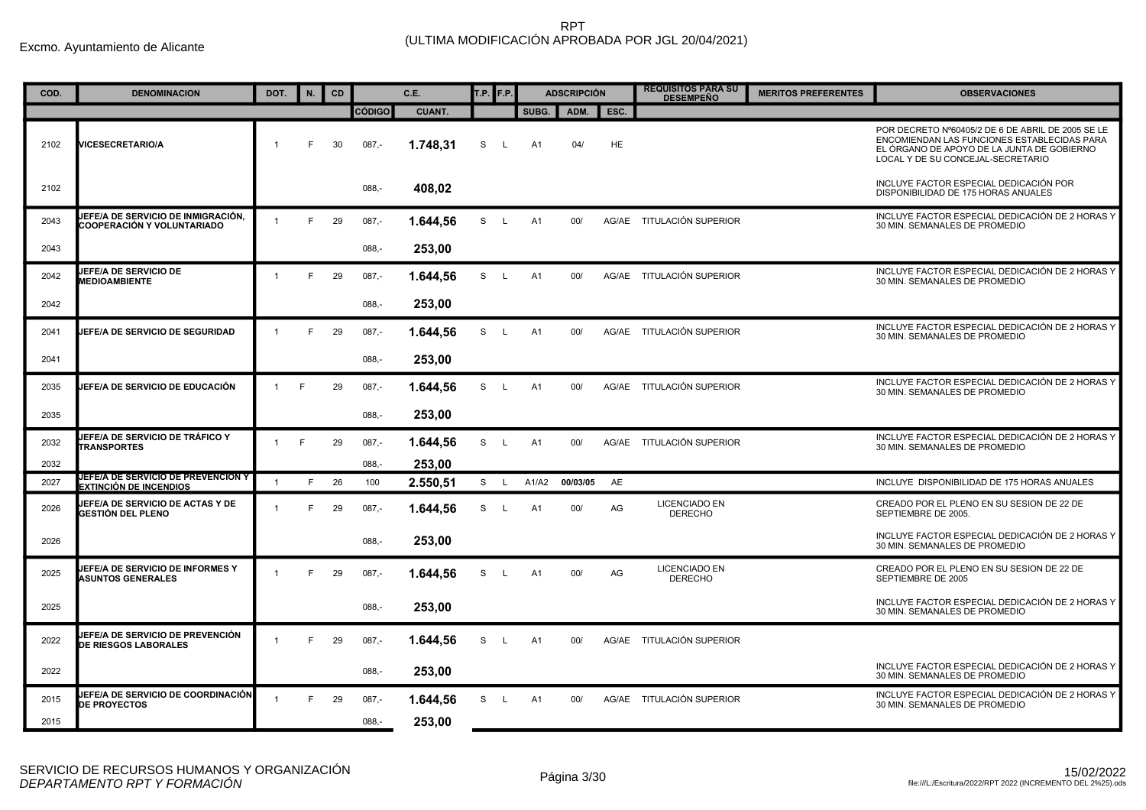| COD. | <b>DENOMINACION</b>                                                        | DOT.           | N. | CD |               | C.E.          | T.P. | F.P.         |       | <b>ADSCRIPCIÓN</b> |           | <b>REQUISITOS PARA SU</b><br><b>DESEMPEÑO</b> | <b>MERITOS PREFERENTES</b> | <b>OBSERVACIONES</b>                                                                                                                                                                |
|------|----------------------------------------------------------------------------|----------------|----|----|---------------|---------------|------|--------------|-------|--------------------|-----------|-----------------------------------------------|----------------------------|-------------------------------------------------------------------------------------------------------------------------------------------------------------------------------------|
|      |                                                                            |                |    |    | <b>CÓDIGO</b> | <b>CUANT.</b> |      |              | SUBG. | ADM.               | ESC.      |                                               |                            |                                                                                                                                                                                     |
| 2102 | <b>/ICESECRETARIO/A</b>                                                    | $\overline{1}$ | F. | 30 | $087 -$       | 1.748.31      | S    | L.           | A1    | 04/                | <b>HE</b> |                                               |                            | POR DECRETO Nº60405/2 DE 6 DE ABRIL DE 2005 SE LE<br>ENCOMIENDAN LAS FUNCIONES ESTABLECIDAS PARA<br>EL ÓRGANO DE APOYO DE LA JUNTA DE GOBIERNO<br>LOCAL Y DE SU CONCEJAL-SECRETARIO |
| 2102 |                                                                            |                |    |    | $088,-$       | 408,02        |      |              |       |                    |           |                                               |                            | INCLUYE FACTOR ESPECIAL DEDICACIÓN POR<br>DISPONIBILIDAD DE 175 HORAS ANUALES                                                                                                       |
| 2043 | IEFE/A DE SERVICIO DE INMIGRACIÓN,<br>COOPERACIÓN Y VOLUNTARIADO           |                | F  | 29 | $087 -$       | 1.644.56      | S L  |              | A1    | 00/                |           | AG/AE TITULACIÓN SUPERIOR                     |                            | INCLUYE FACTOR ESPECIAL DEDICACIÓN DE 2 HORAS Y<br>30 MIN. SEMANALES DE PROMEDIO                                                                                                    |
| 2043 |                                                                            |                |    |    | $088 -$       | 253,00        |      |              |       |                    |           |                                               |                            |                                                                                                                                                                                     |
| 2042 | <b>JEFE/A DE SERVICIO DE</b><br><b>MEDIOAMBIENTE</b>                       |                | E  | 29 | $087 -$       | 1.644,56      | S    | $\mathsf{L}$ | A1    | 00/                |           | AG/AE TITULACIÓN SUPERIOR                     |                            | INCLUYE FACTOR ESPECIAL DEDICACIÓN DE 2 HORAS Y<br>30 MIN. SEMANALES DE PROMEDIO                                                                                                    |
| 2042 |                                                                            |                |    |    | $088, -$      | 253,00        |      |              |       |                    |           |                                               |                            |                                                                                                                                                                                     |
| 2041 | <b>JEFE/A DE SERVICIO DE SEGURIDAD</b>                                     |                | F  | 29 | $087,-$       | 1.644,56      | S.   | L            | A1    | 00/                |           | AG/AE TITULACIÓN SUPERIOR                     |                            | INCLUYE FACTOR ESPECIAL DEDICACIÓN DE 2 HORAS Y<br>30 MIN. SEMANALES DE PROMEDIO                                                                                                    |
| 2041 |                                                                            |                |    |    | $088 -$       | 253,00        |      |              |       |                    |           |                                               |                            |                                                                                                                                                                                     |
| 2035 | JEFE/A DE SERVICIO DE EDUCACIÓN                                            |                | F  | 29 | $087,-$       | 1.644,56      | S    | $\mathsf{L}$ | A1    | 00/                |           | AG/AE TITULACIÓN SUPERIOR                     |                            | INCLUYE FACTOR ESPECIAL DEDICACIÓN DE 2 HORAS Y<br>30 MIN. SEMANALES DE PROMEDIO                                                                                                    |
| 2035 |                                                                            |                |    |    | $088 -$       | 253,00        |      |              |       |                    |           |                                               |                            |                                                                                                                                                                                     |
| 2032 | <b>IEFE/A DE SERVICIO DE TRÁFICO Y</b><br><b>TRANSPORTES</b>               | 1              | E  | 29 | $087,-$       | 1.644,56      | S L  |              | A1    | 00/                |           | AG/AE TITULACIÓN SUPERIOR                     |                            | INCLUYE FACTOR ESPECIAL DEDICACIÓN DE 2 HORAS Y<br>30 MIN. SEMANALES DE PROMEDIO                                                                                                    |
| 2032 |                                                                            |                |    |    | 088.          | 253,00        |      |              |       |                    |           |                                               |                            |                                                                                                                                                                                     |
| 2027 | <b>JEFE/A DE SERVICIO DE PREVENCION Y</b><br><b>EXTINCIÓN DE INCENDIOS</b> | $\overline{1}$ | F. | 26 | 100           | 2.550.51      | S L  |              | A1/A2 | 00/03/05           | AE        |                                               |                            | INCLUYE DISPONIBILIDAD DE 175 HORAS ANUALES                                                                                                                                         |
| 2026 | <b>IEFE/A DE SERVICIO DE ACTAS Y DE</b><br>GESTIÓN DEL PLENO               |                | F. | 29 | $087 -$       | 1.644,56      | S    | $\mathsf{L}$ | A1    | 00/                | AG        | <b>LICENCIADO EN</b><br><b>DERECHO</b>        |                            | CREADO POR EL PLENO EN SU SESION DE 22 DE<br>SEPTIEMBRE DE 2005.                                                                                                                    |
| 2026 |                                                                            |                |    |    | $088, -$      | 253,00        |      |              |       |                    |           |                                               |                            | INCLUYE FACTOR ESPECIAL DEDICACIÓN DE 2 HORAS Y<br>30 MIN. SEMANALES DE PROMEDIO                                                                                                    |
| 2025 | <b>JEFE/A DE SERVICIO DE INFORMES Y</b><br><b>ASUNTOS GENERALES</b>        |                | F  | 29 | $087,-$       | 1.644,56      | S    | L.           | A1    | 00/                | AG        | LICENCIADO EN<br><b>DERECHO</b>               |                            | CREADO POR EL PLENO EN SU SESION DE 22 DE<br>SEPTIEMBRE DE 2005                                                                                                                     |
| 2025 |                                                                            |                |    |    | $088 -$       | 253,00        |      |              |       |                    |           |                                               |                            | INCLUYE FACTOR ESPECIAL DEDICACIÓN DE 2 HORAS Y<br>30 MIN. SEMANALES DE PROMEDIO                                                                                                    |
| 2022 | <b>IEFE/A DE SERVICIO DE PREVENCIÓN</b><br><b>DE RIESGOS LABORALES</b>     |                | F  | 29 | $087,-$       | 1.644,56      | S.   | L.           | A1    | 00/                |           | AG/AE TITULACIÓN SUPERIOR                     |                            |                                                                                                                                                                                     |
| 2022 |                                                                            |                |    |    | $088,-$       | 253,00        |      |              |       |                    |           |                                               |                            | INCLUYE FACTOR ESPECIAL DEDICACIÓN DE 2 HORAS Y<br>30 MIN. SEMANALES DE PROMEDIO                                                                                                    |
| 2015 | JEFE/A DE SERVICIO DE COORDINACIÓN<br><b>DE PROYECTOS</b>                  |                | F. | 29 | $087 -$       | 1.644,56      | S    | $\mathsf{L}$ | A1    | 00/                |           | AG/AE TITULACIÓN SUPERIOR                     |                            | INCLUYE FACTOR ESPECIAL DEDICACIÓN DE 2 HORAS Y<br>30 MIN. SEMANALES DE PROMEDIO                                                                                                    |
| 2015 |                                                                            |                |    |    | $088 -$       | 253,00        |      |              |       |                    |           |                                               |                            |                                                                                                                                                                                     |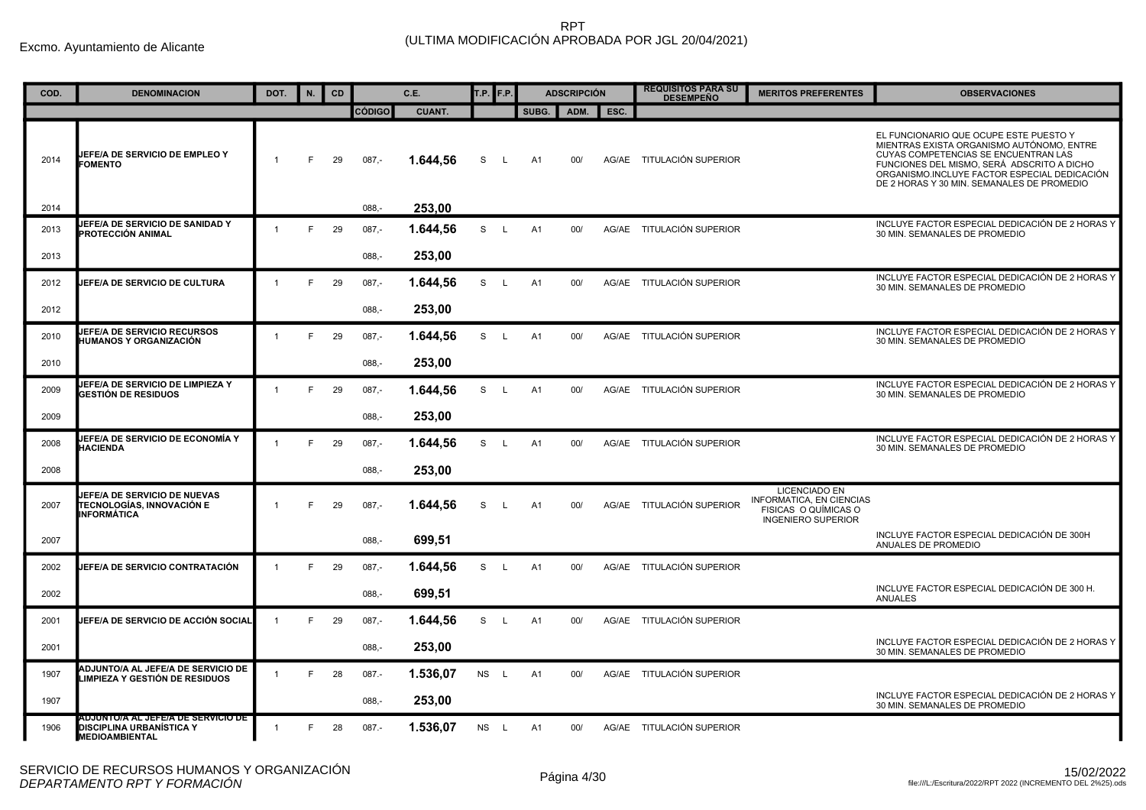| COD. | <b>DENOMINACION</b>                                                                            | DOT.           | N. | <b>CD</b> |               | C.E.          | T.P.      | F.P.         |                | <b>ADSCRIPCIÓN</b> |      | <b>REQUISITOS PARA SU</b><br><b>DESEMPEÑO</b> | <b>MERITOS PREFERENTES</b>                                                                            | <b>OBSERVACIONES</b>                                                                                                                                                                                                                                                    |
|------|------------------------------------------------------------------------------------------------|----------------|----|-----------|---------------|---------------|-----------|--------------|----------------|--------------------|------|-----------------------------------------------|-------------------------------------------------------------------------------------------------------|-------------------------------------------------------------------------------------------------------------------------------------------------------------------------------------------------------------------------------------------------------------------------|
|      |                                                                                                |                |    |           | <b>CÓDIGO</b> | <b>CUANT.</b> |           |              | SUBG.          | ADM.               | ESC. |                                               |                                                                                                       |                                                                                                                                                                                                                                                                         |
| 2014 | <b>JEFE/A DE SERVICIO DE EMPLEO Y</b><br><b>FOMENTO</b>                                        |                | F. | 29        | $087 -$       | 1.644,56      | S         | L.           | A1             | 00/                |      | AG/AE TITULACIÓN SUPERIOR                     |                                                                                                       | EL FUNCIONARIO QUE OCUPE ESTE PUESTO Y<br>MIENTRAS EXISTA ORGANISMO AUTÓNOMO. ENTRE<br>CUYAS COMPETENCIAS SE ENCUENTRAN LAS<br>FUNCIONES DEL MISMO, SERÁ ADSCRITO A DICHO<br>ORGANISMO.INCLUYE FACTOR ESPECIAL DEDICACIÓN<br>DE 2 HORAS Y 30 MIN. SEMANALES DE PROMEDIO |
| 2014 |                                                                                                |                |    |           | $088, -$      | 253,00        |           |              |                |                    |      |                                               |                                                                                                       |                                                                                                                                                                                                                                                                         |
| 2013 | JEFE/A DE SERVICIO DE SANIDAD Y<br>PROTECCIÓN ANIMAL                                           | $\mathbf{1}$   | E  | 29        | $087 -$       | 1.644,56      | S         | $\mathsf{L}$ | A1             | 00/                |      | AG/AE TITULACIÓN SUPERIOR                     |                                                                                                       | INCLUYE FACTOR ESPECIAL DEDICACIÓN DE 2 HORAS Y<br>30 MIN. SEMANALES DE PROMEDIO                                                                                                                                                                                        |
| 2013 |                                                                                                |                |    |           | $088 -$       | 253,00        |           |              |                |                    |      |                                               |                                                                                                       |                                                                                                                                                                                                                                                                         |
| 2012 | <b>JEFE/A DE SERVICIO DE CULTURA</b>                                                           | $\overline{1}$ | E  | 29        | $087,-$       | 1.644,56      | S         | L.           | A1             | 00/                |      | AG/AE TITULACIÓN SUPERIOR                     |                                                                                                       | INCLUYE FACTOR ESPECIAL DEDICACIÓN DE 2 HORAS Y<br>30 MIN. SEMANALES DE PROMEDIO                                                                                                                                                                                        |
| 2012 |                                                                                                |                |    |           | $088 -$       | 253,00        |           |              |                |                    |      |                                               |                                                                                                       |                                                                                                                                                                                                                                                                         |
| 2010 | <b>JEFE/A DE SERVICIO RECURSOS</b><br>HUMANOS Y ORGANIZACIÓN                                   | $\overline{1}$ | E  | 29        | $087 -$       | 1.644,56      | S         | L.           | A1             | 00/                |      | AG/AE TITULACIÓN SUPERIOR                     |                                                                                                       | INCLUYE FACTOR ESPECIAL DEDICACIÓN DE 2 HORAS Y<br>30 MIN. SEMANALES DE PROMEDIO                                                                                                                                                                                        |
| 2010 |                                                                                                |                |    |           | $088, -$      | 253,00        |           |              |                |                    |      |                                               |                                                                                                       |                                                                                                                                                                                                                                                                         |
| 2009 | JEFE/A DE SERVICIO DE LIMPIEZA Y<br><b>GESTIÓN DE RESIDUOS</b>                                 | $\overline{1}$ | E  | 29        | $087,-$       | 1.644,56      | S         | L            | A1             | 00/                |      | AG/AE TITULACIÓN SUPERIOR                     |                                                                                                       | INCLUYE FACTOR ESPECIAL DEDICACIÓN DE 2 HORAS Y<br>30 MIN. SEMANALES DE PROMEDIO                                                                                                                                                                                        |
| 2009 |                                                                                                |                |    |           | $088 -$       | 253,00        |           |              |                |                    |      |                                               |                                                                                                       |                                                                                                                                                                                                                                                                         |
| 2008 | JEFE/A DE SERVICIO DE ECONOMÍA Y<br><b>HACIENDA</b>                                            | $\mathbf{1}$   | E  | 29        | $087 -$       | 1.644,56      | S.        | $\mathsf{L}$ | A1             | 00/                |      | AG/AE TITULACIÓN SUPERIOR                     |                                                                                                       | INCLUYE FACTOR ESPECIAL DEDICACIÓN DE 2 HORAS Y<br>30 MIN. SEMANALES DE PROMEDIO                                                                                                                                                                                        |
| 2008 |                                                                                                |                |    |           | $088,-$       | 253,00        |           |              |                |                    |      |                                               |                                                                                                       |                                                                                                                                                                                                                                                                         |
| 2007 | JEFE/A DE SERVICIO DE NUEVAS<br><b>TECNOLOGÍAS. INNOVACIÓN E</b><br>INFORMÁTICA                | $\overline{1}$ | E  | 29        | $087 -$       | 1.644.56      | S         | L.           | A <sub>1</sub> | 00/                |      | AG/AE TITULACIÓN SUPERIOR                     | <b>LICENCIADO EN</b><br>INFORMATICA, EN CIENCIAS<br>FISICAS O QUÍMICAS O<br><b>INGENIERO SUPERIOR</b> |                                                                                                                                                                                                                                                                         |
| 2007 |                                                                                                |                |    |           | $088 -$       | 699,51        |           |              |                |                    |      |                                               |                                                                                                       | INCLUYE FACTOR ESPECIAL DEDICACIÓN DE 300H<br>ANUALES DE PROMEDIO                                                                                                                                                                                                       |
| 2002 | JEFE/A DE SERVICIO CONTRATACIÓN                                                                | $\overline{1}$ | E  | 29        | $087 -$       | 1.644,56      | S         | L.           | A1             | 00/                |      | AG/AE TITULACIÓN SUPERIOR                     |                                                                                                       |                                                                                                                                                                                                                                                                         |
| 2002 |                                                                                                |                |    |           | 088.-         | 699,51        |           |              |                |                    |      |                                               |                                                                                                       | INCLUYE FACTOR ESPECIAL DEDICACIÓN DE 300 H.<br><b>ANUALES</b>                                                                                                                                                                                                          |
| 2001 | JEFE/A DE SERVICIO DE ACCIÓN SOCIAL                                                            | $\overline{1}$ | E  | 29        | $087 -$       | 1.644,56      | S         | L.           | A1             | 00/                |      | AG/AE TITULACIÓN SUPERIOR                     |                                                                                                       |                                                                                                                                                                                                                                                                         |
| 2001 |                                                                                                |                |    |           | $088 -$       | 253,00        |           |              |                |                    |      |                                               |                                                                                                       | INCLUYE FACTOR ESPECIAL DEDICACIÓN DE 2 HORAS Y<br>30 MIN. SEMANALES DE PROMEDIO                                                                                                                                                                                        |
| 1907 | ADJUNTO/A AL JEFE/A DE SERVICIO DE<br>LIMPIEZA Y GESTIÓN DE RESIDUOS                           | $\overline{1}$ | E  | 28        | $087. -$      | 1.536,07      | <b>NS</b> | $\mathsf{L}$ | A <sub>1</sub> | 00/                |      | AG/AE TITULACIÓN SUPERIOR                     |                                                                                                       |                                                                                                                                                                                                                                                                         |
| 1907 |                                                                                                |                |    |           | $088,-$       | 253,00        |           |              |                |                    |      |                                               |                                                                                                       | INCLUYE FACTOR ESPECIAL DEDICACIÓN DE 2 HORAS Y<br>30 MIN. SEMANALES DE PROMEDIO                                                                                                                                                                                        |
| 1906 | ADJUNTO/A AL JEFE/A DE SERVICIO DE<br><b>DISCIPLINA URBANÍSTICA Y</b><br><b>MEDIOAMBIENTAL</b> |                | E  | 28        | $087 -$       | 1.536,07      | NS L      |              | A1             | 00/                |      | AG/AE TITULACIÓN SUPERIOR                     |                                                                                                       |                                                                                                                                                                                                                                                                         |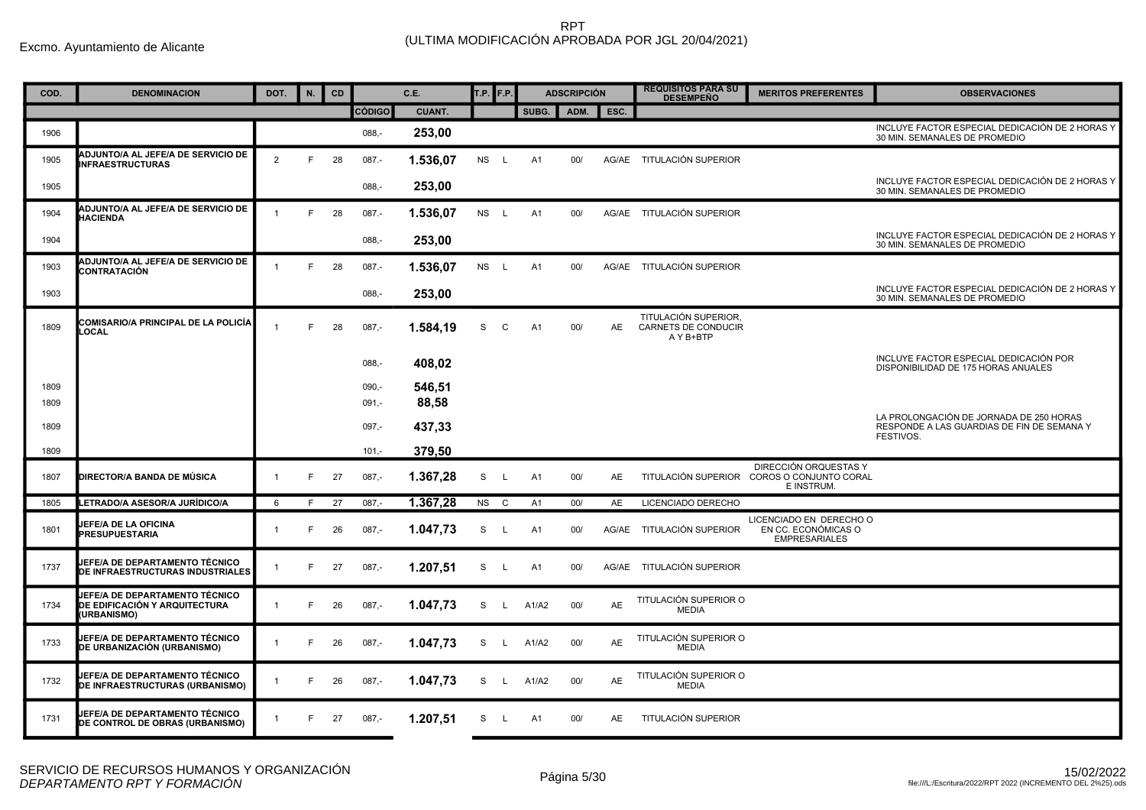| COD. | <b>DENOMINACION</b>                                                            | DOT.           | N. | <b>CD</b> |               | C.E.          | T.P. F.P. |              |       | <b>ADSCRIPCIÓN</b> |           | <b>REQUISITOS PARA SU</b><br><b>DESEMPEÑO</b>            | <b>MERITOS PREFERENTES</b>                                             | <b>OBSERVACIONES</b>                                                                  |
|------|--------------------------------------------------------------------------------|----------------|----|-----------|---------------|---------------|-----------|--------------|-------|--------------------|-----------|----------------------------------------------------------|------------------------------------------------------------------------|---------------------------------------------------------------------------------------|
|      |                                                                                |                |    |           | <b>CÓDIGO</b> | <b>CUANT.</b> |           |              | SUBG. |                    | ADM. ESC. |                                                          |                                                                        |                                                                                       |
| 1906 |                                                                                |                |    |           | $088,-$       | 253,00        |           |              |       |                    |           |                                                          |                                                                        | INCLUYE FACTOR ESPECIAL DEDICACIÓN DE 2 HORAS Y<br>30 MIN. SEMANALES DE PROMEDIO      |
| 1905 | <b>ADJUNTO/A AL JEFE/A DE SERVICIO DE</b><br><b>INFRAESTRUCTURAS</b>           | 2              | E  | 28        | $087 -$       | 1.536,07      | <b>NS</b> | - L          | A1    | 00/                | AG/AE     | TITULACIÓN SUPERIOR                                      |                                                                        |                                                                                       |
| 1905 |                                                                                |                |    |           | $088, -$      | 253,00        |           |              |       |                    |           |                                                          |                                                                        | INCLUYE FACTOR ESPECIAL DEDICACIÓN DE 2 HORAS Y<br>30 MIN. SEMANALES DE PROMEDIO      |
| 1904 | <b>ADJUNTO/A AL JEFE/A DE SERVICIO DE</b><br><b>HACIENDA</b>                   | $\overline{1}$ | F  | 28        | 087.-         | 1.536,07      | <b>NS</b> | L.           | A1    | 00/                |           | AG/AE TITULACIÓN SUPERIOR                                |                                                                        |                                                                                       |
| 1904 |                                                                                |                |    |           | $088 -$       | 253,00        |           |              |       |                    |           |                                                          |                                                                        | INCLUYE FACTOR ESPECIAL DEDICACIÓN DE 2 HORAS Y<br>30 MIN. SEMANALES DE PROMEDIO      |
| 1903 | <b>ADJUNTO/A AL JEFE/A DE SERVICIO DE</b><br>CONTRATACIÓN                      |                | F  | 28        | $087 -$       | 1.536,07      | NS L      |              | A1    | 00/                |           | AG/AE TITULACIÓN SUPERIOR                                |                                                                        |                                                                                       |
| 1903 |                                                                                |                |    |           | $088 -$       | 253.00        |           |              |       |                    |           |                                                          |                                                                        | INCLUYE FACTOR ESPECIAL DEDICACIÓN DE 2 HORAS Y<br>30 MIN. SEMANALES DE PROMEDIO      |
| 1809 | COMISARIO/A PRINCIPAL DE LA POLICÍA<br><b>OCAL</b>                             | $\overline{1}$ | F  | 28        | $087,-$       | 1.584,19      | S         | C            | A1    | 00/                | AE        | TITULACIÓN SUPERIOR.<br>CARNETS DE CONDUCIR<br>A Y B+BTP |                                                                        |                                                                                       |
|      |                                                                                |                |    |           | $088,-$       | 408,02        |           |              |       |                    |           |                                                          |                                                                        | INCLUYE FACTOR ESPECIAL DEDICACIÓN POR<br>DISPONIBILIDAD DE 175 HORAS ANUALES         |
| 1809 |                                                                                |                |    |           | $090,-$       | 546,51        |           |              |       |                    |           |                                                          |                                                                        |                                                                                       |
| 1809 |                                                                                |                |    |           | $091,-$       | 88,58         |           |              |       |                    |           |                                                          |                                                                        |                                                                                       |
| 1809 |                                                                                |                |    |           | $097,-$       | 437,33        |           |              |       |                    |           |                                                          |                                                                        | LA PROLONGACIÓN DE JORNADA DE 250 HORAS<br>RESPONDE A LAS GUARDIAS DE FIN DE SEMANA Y |
| 1809 |                                                                                |                |    |           | $101 -$       | 379,50        |           |              |       |                    |           |                                                          |                                                                        | FESTIVOS.                                                                             |
| 1807 | DIRECTOR/A BANDA DE MÚSICA                                                     | $\mathbf{1}$   | F  | 27        | $087,-$       | 1.367,28      | S         | L            | A1    | 00/                | AE        | TITULACIÓN SUPERIOR                                      | DIRECCIÓN ORQUESTAS Y<br>COROS O CONJUNTO CORAL<br>E INSTRUM.          |                                                                                       |
| 1805 | LETRADO/A ASESOR/A JURÍDICO/A                                                  | 6              | F  | 27        | $087 -$       | 1.367,28      | <b>NS</b> | C            | A1    | 00/                | AE        | LICENCIADO DERECHO                                       |                                                                        |                                                                                       |
| 1801 | JEFE/A DE LA OFICINA<br><b>PRESUPUESTARIA</b>                                  | $\mathbf 1$    | F  | 26        | $087,-$       | 1.047,73      | S         | L            | A1    | 00/                |           | AG/AE TITULACIÓN SUPERIOR                                | LICENCIADO EN DERECHO O<br>EN CC. ECONÓMICAS O<br><b>EMPRESARIALES</b> |                                                                                       |
| 1737 | JEFE/A DE DEPARTAMENTO TÉCNICO<br>DE INFRAESTRUCTURAS INDUSTRIALES             | $\mathbf{1}$   | F  | 27        | $087,-$       | 1.207,51      | S         | L.           | A1    | 00/                |           | AG/AE TITULACIÓN SUPERIOR                                |                                                                        |                                                                                       |
| 1734 | JEFE/A DE DEPARTAMENTO TÉCNICO<br>DE EDIFICACIÓN Y ARQUITECTURA<br>(URBANISMO) | $\mathbf{1}$   | E  | 26        | $087 -$       | 1.047,73      | S         | $\mathsf{L}$ | A1/A2 | 00/                | AE        | TITULACIÓN SUPERIOR O<br><b>MEDIA</b>                    |                                                                        |                                                                                       |
| 1733 | JEFE/A DE DEPARTAMENTO TÉCNICO<br>DE URBANIZACIÓN (URBANISMO)                  | $\mathbf{1}$   | F  | 26        | $087 -$       | 1.047,73      | S         | L.           | A1/A2 | 00/                | AE        | TITULACIÓN SUPERIOR O<br><b>MEDIA</b>                    |                                                                        |                                                                                       |
| 1732 | JEFE/A DE DEPARTAMENTO TÉCNICO<br>DE INFRAESTRUCTURAS (URBANISMO)              | $\mathbf{1}$   |    | 26        | $087,-$       | 1.047,73      | S         | L.           | A1/A2 | 00/                | AE        | TITULACIÓN SUPERIOR O<br><b>MEDIA</b>                    |                                                                        |                                                                                       |
| 1731 | JEFE/A DE DEPARTAMENTO TÉCNICO<br>DE CONTROL DE OBRAS (URBANISMO)              | $\mathbf{1}$   | F. | 27        | $087 -$       | 1.207,51      | S.        | $\mathsf{L}$ | A1    | 00/                | AE        | <b>TITULACIÓN SUPERIOR</b>                               |                                                                        |                                                                                       |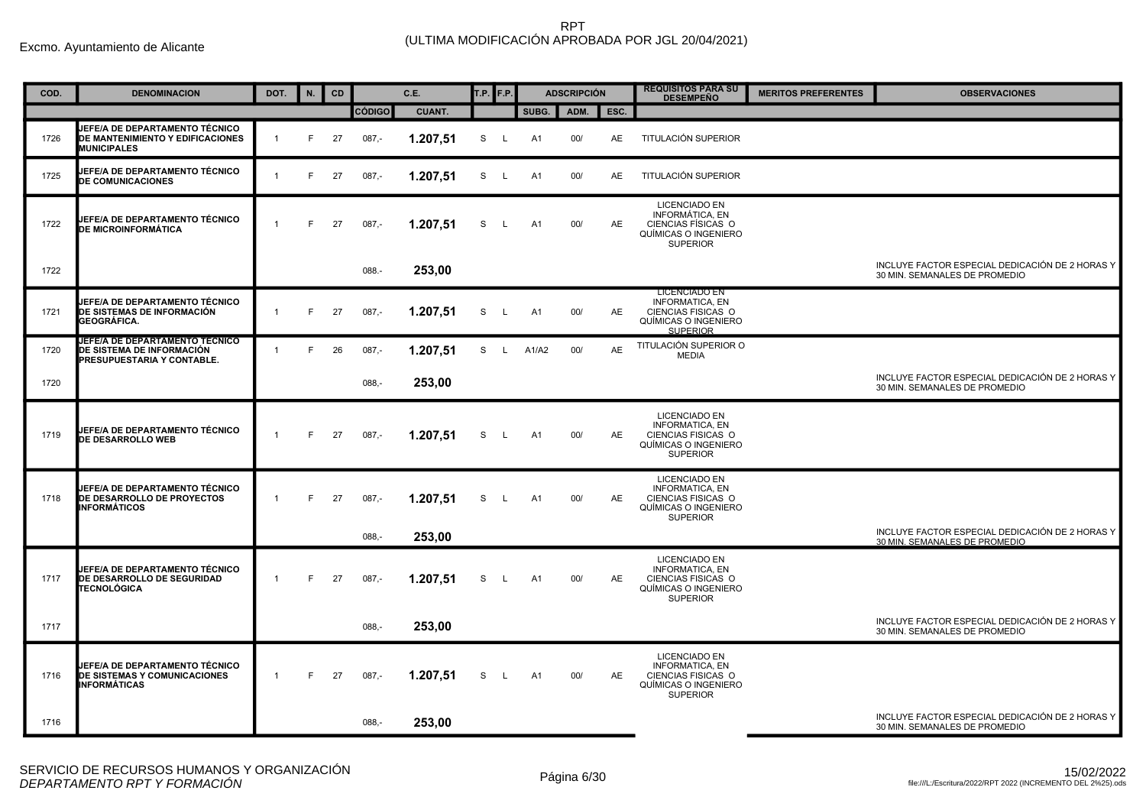| COD. | <b>DENOMINACION</b>                                                                       | DOT.                 | N. | CD |               | C.E.          | <b>T.P.</b> F.P. |              |                | <b>ADSCRIPCIÓN</b> |           | <b>REQUISITOS PARA SU</b><br><b>DESEMPEÑO</b>                                                                   | <b>MERITOS PREFERENTES</b> | <b>OBSERVACIONES</b>                                                             |
|------|-------------------------------------------------------------------------------------------|----------------------|----|----|---------------|---------------|------------------|--------------|----------------|--------------------|-----------|-----------------------------------------------------------------------------------------------------------------|----------------------------|----------------------------------------------------------------------------------|
|      |                                                                                           |                      |    |    | <b>CÓDIGO</b> | <b>CUANT.</b> |                  |              | SUBG.          | ADM.               | ESC.      |                                                                                                                 |                            |                                                                                  |
| 1726 | JEFE/A DE DEPARTAMENTO TÉCNICO<br>DE MANTENIMIENTO Y EDIFICACIONES<br><b>MUNICIPALES</b>  | $\mathbf{1}$         | F  | 27 | $087,-$       | 1.207,51      | S                | L            | A <sub>1</sub> | 00/                | AE        | TITULACIÓN SUPERIOR                                                                                             |                            |                                                                                  |
| 1725 | JEFE/A DE DEPARTAMENTO TÉCNICO<br><b>DE COMUNICACIONES</b>                                | $\overline{1}$       | F  | 27 | $087 -$       | 1.207,51      | S                | L.           | A1             | 00/                | AE        | TITULACIÓN SUPERIOR                                                                                             |                            |                                                                                  |
| 1722 | JEFE/A DE DEPARTAMENTO TÉCNICO<br><b>DE MICROINFORMÁTICA</b>                              | $\overline{1}$       | E  | 27 | $087 -$       | 1.207,51      | S                | L.           | A1             | 00/                | AE        | <b>LICENCIADO EN</b><br>INFORMÁTICA, EN<br>CIENCIAS FÍSICAS O<br>QUÍMICAS O INGENIERO<br><b>SUPERIOR</b>        |                            |                                                                                  |
| 1722 |                                                                                           |                      |    |    | 088.-         | 253,00        |                  |              |                |                    |           |                                                                                                                 |                            | INCLUYE FACTOR ESPECIAL DEDICACIÓN DE 2 HORAS Y<br>30 MIN. SEMANALES DE PROMEDIO |
| 1721 | JEFE/A DE DEPARTAMENTO TÉCNICO<br>DE SISTEMAS DE INFORMACIÓN<br>GEOGRÁFICA.               | $\overline{1}$       | F  | 27 | $087 -$       | 1.207,51      | S                | L            | A1             | 00/                | AE        | <b>LICENCIADO EN</b><br><b>INFORMATICA, EN</b><br>CIENCIAS FISICAS O<br>QUÍMICAS O INGENIERO<br><b>SUPERIOR</b> |                            |                                                                                  |
| 1720 | JEFE/A DE DEPARTAMENTO TECNICO<br>DE SISTEMA DE INFORMACIÓN<br>PRESUPUESTARIA Y CONTABLE. | $\blacktriangleleft$ | F  | 26 | $087,-$       | 1.207,51      | S                | L.           | A1/A2          | 00/                | <b>AE</b> | TITULACIÓN SUPERIOR O<br><b>MEDIA</b>                                                                           |                            |                                                                                  |
| 1720 |                                                                                           |                      |    |    | $088, -$      | 253,00        |                  |              |                |                    |           |                                                                                                                 |                            | INCLUYE FACTOR ESPECIAL DEDICACIÓN DE 2 HORAS Y<br>30 MIN. SEMANALES DE PROMEDIO |
| 1719 | JEFE/A DE DEPARTAMENTO TÉCNICO<br>DE DESARROLLO WEB                                       | $\mathbf{1}$         | E  | 27 | $087 -$       | 1.207,51      | S                | L.           | A1             | 00/                | AE        | <b>LICENCIADO EN</b><br><b>INFORMATICA, EN</b><br>CIENCIAS FISICAS O<br>QUÍMICAS O INGENIERO<br><b>SUPERIOR</b> |                            |                                                                                  |
| 1718 | JEFE/A DE DEPARTAMENTO TÉCNICO<br>DE DESARROLLO DE PROYECTOS<br>INFORMÁTICOS              | $\overline{1}$       | F  | 27 | $087,-$       | 1.207,51      | S                | $\mathsf{L}$ | A1             | 00/                | <b>AE</b> | <b>LICENCIADO EN</b><br><b>INFORMATICA, EN</b><br>CIENCIAS FISICAS O<br>QUÍMICAS O INGENIERO<br><b>SUPERIOR</b> |                            |                                                                                  |
|      |                                                                                           |                      |    |    | $088. -$      | 253,00        |                  |              |                |                    |           |                                                                                                                 |                            | INCLUYE FACTOR ESPECIAL DEDICACIÓN DE 2 HORAS Y<br>30 MIN. SEMANALES DE PROMEDIO |
| 1717 | JEFE/A DE DEPARTAMENTO TÉCNICO<br>DE DESARROLLO DE SEGURIDAD<br>TECNOLÓGICA               | $\mathbf{1}$         | F. | 27 | $087,-$       | 1.207,51      | S                | L.           | A1             | 00/                | AE        | <b>LICENCIADO EN</b><br><b>INFORMATICA, EN</b><br>CIENCIAS FISICAS O<br>QUÍMICAS O INGENIERO<br><b>SUPERIOR</b> |                            |                                                                                  |
| 1717 |                                                                                           |                      |    |    | $088 -$       | 253,00        |                  |              |                |                    |           |                                                                                                                 |                            | INCLUYE FACTOR ESPECIAL DEDICACIÓN DE 2 HORAS Y<br>30 MIN. SEMANALES DE PROMEDIO |
| 1716 | JEFE/A DE DEPARTAMENTO TÉCNICO<br>DE SISTEMAS Y COMUNICACIONES<br><b>INFORMÁTICAS</b>     | $\mathbf{1}$         | F  | 27 | $087 -$       | 1.207,51      | S                | L.           | A1             | 00/                | <b>AE</b> | <b>LICENCIADO EN</b><br><b>INFORMATICA, EN</b><br>CIENCIAS FISICAS O<br>QUÍMICAS O INGENIERO<br><b>SUPERIOR</b> |                            |                                                                                  |
| 1716 |                                                                                           |                      |    |    | $088 -$       | 253,00        |                  |              |                |                    |           |                                                                                                                 |                            | INCLUYE FACTOR ESPECIAL DEDICACIÓN DE 2 HORAS Y<br>30 MIN. SEMANALES DE PROMEDIO |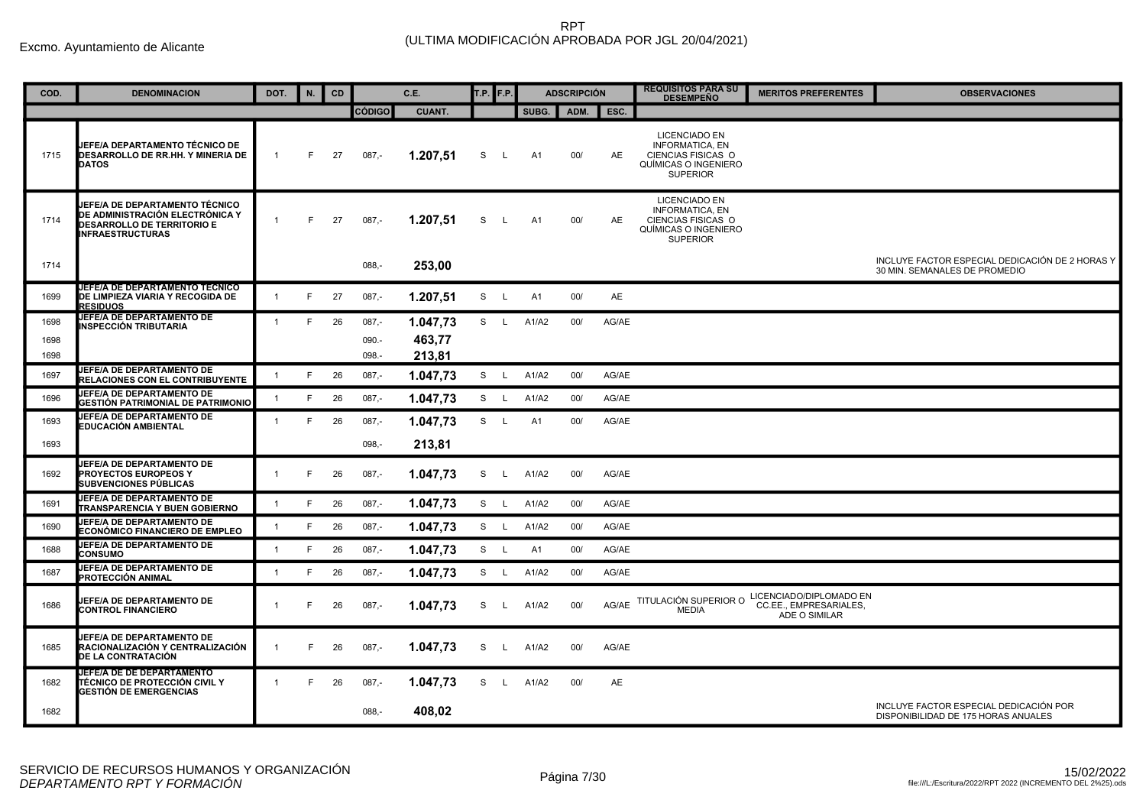| COD. | <b>DENOMINACION</b>                                                                                                               | DOT.           | N. | CD |               | C.E.          | T.P. F.P. |              |       | <b>ADSCRIPCIÓN</b> |       | <b>REQUISITOS PARA SU</b><br><b>DESEMPEÑO</b>                                                                   | <b>MERITOS PREFERENTES</b>                                         | <b>OBSERVACIONES</b>                                                             |
|------|-----------------------------------------------------------------------------------------------------------------------------------|----------------|----|----|---------------|---------------|-----------|--------------|-------|--------------------|-------|-----------------------------------------------------------------------------------------------------------------|--------------------------------------------------------------------|----------------------------------------------------------------------------------|
|      |                                                                                                                                   |                |    |    | <b>CÓDIGO</b> | <b>CUANT.</b> |           |              | SUBG. | ADM.               | ESC.  |                                                                                                                 |                                                                    |                                                                                  |
| 1715 | JEFE/A DEPARTAMENTO TÉCNICO DE<br><b>DESARROLLO DE RR.HH. Y MINERIA DE</b><br><b>DATOS</b>                                        | $\mathbf{1}$   | F. | 27 | $087,-$       | 1.207,51      | S         | L,           | A1    | 00/                | AE    | <b>LICENCIADO EN</b><br><b>INFORMATICA, EN</b><br>CIENCIAS FISICAS O<br>QUÍMICAS O INGENIERO<br><b>SUPERIOR</b> |                                                                    |                                                                                  |
| 1714 | JEFE/A DE DEPARTAMENTO TÉCNICO<br>DE ADMINISTRACIÓN ELECTRÓNICA Y<br><b>DESARROLLO DE TERRITORIO E</b><br><b>INFRAESTRUCTURAS</b> | $\mathbf{1}$   | F  | 27 | $087,-$       | 1.207,51      | S         | L            | A1    | 00/                | AE    | <b>LICENCIADO EN</b><br><b>INFORMATICA, EN</b><br>CIENCIAS FISICAS O<br>QUÍMICAS O INGENIERO<br><b>SUPERIOR</b> |                                                                    |                                                                                  |
| 1714 |                                                                                                                                   |                |    |    | $088,-$       | 253,00        |           |              |       |                    |       |                                                                                                                 |                                                                    | INCLUYE FACTOR ESPECIAL DEDICACIÓN DE 2 HORAS Y<br>30 MIN. SEMANALES DE PROMEDIO |
| 1699 | <b>JEFE/A DE DEPARTAMENTO TECNICO</b><br>DE LIMPIEZA VIARIA Y RECOGIDA DE<br><b>RESIDUOS</b>                                      | $\mathbf{1}$   | F  | 27 | $087 -$       | 1.207,51      | S         | $\mathsf{L}$ | A1    | 00/                | AE    |                                                                                                                 |                                                                    |                                                                                  |
| 1698 | <b>JEFE/A DE DEPARTAMENTO DE</b><br>INSPECCIÓN TRIBUTARIA                                                                         | $\overline{1}$ | F  | 26 | $087 -$       | 1.047,73      | S L       |              | A1/A2 | 00/                | AG/AE |                                                                                                                 |                                                                    |                                                                                  |
| 1698 |                                                                                                                                   |                |    |    | 090.-         | 463,77        |           |              |       |                    |       |                                                                                                                 |                                                                    |                                                                                  |
| 1698 | JEFE/A DE DEPARTAMENTO DE                                                                                                         |                |    |    | 098.-         | 213,81        |           |              |       |                    |       |                                                                                                                 |                                                                    |                                                                                  |
| 1697 | <b>RELACIONES CON EL CONTRIBUYENTE</b>                                                                                            | $\mathbf{1}$   | F  | 26 | $087 -$       | 1.047.73      | S L       |              | A1/A2 | 00/                | AG/AE |                                                                                                                 |                                                                    |                                                                                  |
| 1696 | JEFE/A DE DEPARTAMENTO DE<br>GESTIÓN PATRIMONIAL DE PATRIMONIO                                                                    | $\mathbf{1}$   | F  | 26 | $087,-$       | 1.047,73      | S L       |              | A1/A2 | 00/                | AG/AE |                                                                                                                 |                                                                    |                                                                                  |
| 1693 | JEFE/A DE DEPARTAMENTO DE<br><b>EDUCACIÓN AMBIENTAL</b>                                                                           | $\mathbf{1}$   | F. | 26 | $087 -$       | 1.047,73      | S L       |              | A1    | 00/                | AG/AE |                                                                                                                 |                                                                    |                                                                                  |
| 1693 |                                                                                                                                   |                |    |    | $098 -$       | 213.81        |           |              |       |                    |       |                                                                                                                 |                                                                    |                                                                                  |
| 1692 | <b>JEFE/A DE DEPARTAMENTO DE</b><br><b>PROYECTOS EUROPEOS Y</b><br><b>SUBVENCIONES PÚBLICAS</b>                                   | $\mathbf{1}$   | E  | 26 | $087,-$       | 1.047,73      | S         | $\mathsf{L}$ | A1/A2 | 00/                | AG/AE |                                                                                                                 |                                                                    |                                                                                  |
| 1691 | JEFE/A DE DEPARTAMENTO DE<br>TRANSPARENCIA Y BUEN GOBIERNO                                                                        | $\overline{1}$ | F  | 26 | $087 -$       | 1.047,73      | S L       |              | A1/A2 | 00/                | AG/AE |                                                                                                                 |                                                                    |                                                                                  |
| 1690 | <b>JEFE/A DE DEPARTAMENTO DE</b><br><b>ECONÓMICO FINANCIERO DE EMPLEO</b>                                                         | $\mathbf{1}$   | F  | 26 | $087,-$       | 1.047,73      | S L       |              | A1/A2 | 00/                | AG/AE |                                                                                                                 |                                                                    |                                                                                  |
| 1688 | JEFE/A DE DEPARTAMENTO DE<br><b>CONSUMO</b>                                                                                       | $\mathbf{1}$   | F  | 26 | $087 -$       | 1.047.73      | S L       |              | A1    | 00/                | AG/AE |                                                                                                                 |                                                                    |                                                                                  |
| 1687 | JEFE/A DE DEPARTAMENTO DE<br>PROTECCIÓN ANIMAL                                                                                    | $\overline{1}$ | F  | 26 | $087 -$       | 1.047,73      | S L       |              | A1/A2 | 00/                | AG/AE |                                                                                                                 |                                                                    |                                                                                  |
| 1686 | JEFE/A DE DEPARTAMENTO DE<br><b>CONTROL FINANCIERO</b>                                                                            | $\mathbf{1}$   | F  | 26 | $087,-$       | 1.047,73      | S         | L.           | A1/A2 | 00/                | AG/AE | TITULACIÓN SUPERIOR O<br><b>MEDIA</b>                                                                           | LICENCIADO/DIPLOMADO EN<br>CC.EE., EMPRESARIALES,<br>ADE O SIMILAR |                                                                                  |
| 1685 | <b>JEFE/A DE DEPARTAMENTO DE</b><br>RACIONALIZACIÓN Y CENTRALIZACIÓN<br>DE LA CONTRATACIÓN                                        | $\mathbf{1}$   | F. | 26 | $087 -$       | 1.047,73      | S         | $\mathsf{L}$ | A1/A2 | 00/                | AG/AE |                                                                                                                 |                                                                    |                                                                                  |
| 1682 | JEFE/A DE DE DEPARTAMENTO<br>TÉCNICO DE PROTECCIÓN CIVIL Y<br><b>GESTIÓN DE EMERGENCIAS</b>                                       | $\overline{1}$ | F  | 26 | 087,-         | 1.047,73      | S         | L            | A1/A2 | 00/                | AE    |                                                                                                                 |                                                                    |                                                                                  |
| 1682 |                                                                                                                                   |                |    |    | $088 -$       | 408.02        |           |              |       |                    |       |                                                                                                                 |                                                                    | INCLUYE FACTOR ESPECIAL DEDICACIÓN POR<br>DISPONIBILIDAD DE 175 HORAS ANUALES    |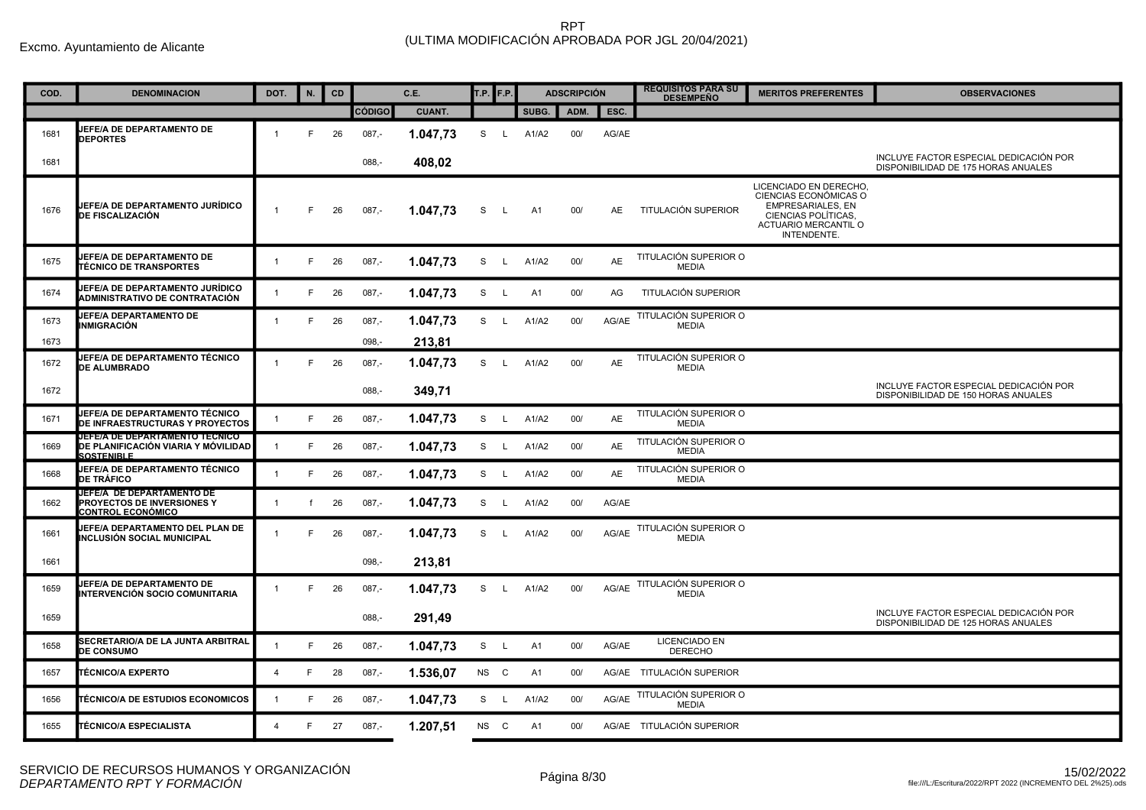Excmo. Ayuntamiento de Alicante

| COD. | <b>DENOMINACION</b>                                                                        | DOT.           | N. | CD |               | C.E.          | T.P. <b>F.P.</b> |              |           | <b>ADSCRIPCIÓN</b> |           | <b>REQUISITOS PARA SU</b><br><b>DESEMPEÑO</b> | <b>MERITOS PREFERENTES</b>                                                                                                               | <b>OBSERVACIONES</b>                                                          |
|------|--------------------------------------------------------------------------------------------|----------------|----|----|---------------|---------------|------------------|--------------|-----------|--------------------|-----------|-----------------------------------------------|------------------------------------------------------------------------------------------------------------------------------------------|-------------------------------------------------------------------------------|
|      |                                                                                            |                |    |    | <b>CÓDIGO</b> | <b>CUANT.</b> |                  |              | SUBG.     | ADM.               | ESC.      |                                               |                                                                                                                                          |                                                                               |
| 1681 | JEFE/A DE DEPARTAMENTO DE<br><b>DEPORTES</b>                                               | $\overline{1}$ | F. | 26 | $087,-$       | 1.047,73      | S                | $\mathsf{L}$ | A1/A2     | 00/                | AG/AE     |                                               |                                                                                                                                          |                                                                               |
| 1681 |                                                                                            |                |    |    | $088,-$       | 408,02        |                  |              |           |                    |           |                                               |                                                                                                                                          | INCLUYE FACTOR ESPECIAL DEDICACIÓN POR<br>DISPONIBILIDAD DE 175 HORAS ANUALES |
| 1676 | JEFE/A DE DEPARTAMENTO JURÍDICO<br><b>DE FISCALIZACIÓN</b>                                 | $\overline{1}$ | E  | 26 | $087,-$       | 1.047,73      | S                | L.           | A1        | 00/                | <b>AE</b> | TITULACIÓN SUPERIOR                           | LICENCIADO EN DERECHO<br>CIENCIAS ECONÓMICAS O<br><b>EMPRESARIALES, EN</b><br>CIENCIAS POLÍTICAS,<br>ACTUARIO MERCANTIL O<br>INTENDENTE. |                                                                               |
| 1675 | <b>JEFE/A DE DEPARTAMENTO DE</b><br><b>TÉCNICO DE TRANSPORTES</b>                          | $\mathbf{1}$   | F. | 26 | $087,-$       | 1.047,73      | S                | $\mathsf{L}$ | A1/A2     | 00/                | <b>AE</b> | TITULACIÓN SUPERIOR O<br><b>MEDIA</b>         |                                                                                                                                          |                                                                               |
| 1674 | JEFE/A DE DEPARTAMENTO JURÍDICO<br>ADMINISTRATIVO DE CONTRATACIÓN                          | $\mathbf{1}$   | F  | 26 | $087,-$       | 1.047,73      | S                | $\mathsf{L}$ | A1        | 00/                | AG        | TITULACIÓN SUPERIOR                           |                                                                                                                                          |                                                                               |
| 1673 | JEFE/A DEPARTAMENTO DE<br>INMIGRACIÓN                                                      | $\overline{1}$ | F. | 26 | $087,-$       | 1.047,73      | S L              |              | A1/A2     | 00/                | AG/AE     | TITULACIÓN SUPERIOR O<br><b>MEDIA</b>         |                                                                                                                                          |                                                                               |
| 1673 |                                                                                            |                |    |    | $098, -$      | 213,81        |                  |              |           |                    |           |                                               |                                                                                                                                          |                                                                               |
| 1672 | JEFE/A DE DEPARTAMENTO TÉCNICO<br><b>DE ALUMBRADO</b>                                      | $\mathbf{1}$   | F. | 26 | $087,-$       | 1.047,73      | S L              |              | A1/A2     | 00/                | <b>AE</b> | TITULACIÓN SUPERIOR O<br><b>MEDIA</b>         |                                                                                                                                          |                                                                               |
| 1672 |                                                                                            |                |    |    | $088,-$       | 349,71        |                  |              |           |                    |           |                                               |                                                                                                                                          | INCLUYE FACTOR ESPECIAL DEDICACIÓN POR<br>DISPONIBILIDAD DE 150 HORAS ANUALES |
| 1671 | <b>JEFE/A DE DEPARTAMENTO TÉCNICO</b><br><b>DE INFRAESTRUCTURAS Y PROYECTOS</b>            | $\overline{1}$ | F. | 26 | $087 -$       | 1.047,73      | S L              |              | A1/A2     | 00/                | <b>AE</b> | TITULACIÓN SUPERIOR O<br><b>MEDIA</b>         |                                                                                                                                          |                                                                               |
| 1669 | JEFE/A DE DEPARTAMENTO TECNICO<br>DE PLANIFICACIÓN VIARIA Y MÓVILIDAD<br><b>SOSTENIBLE</b> | $\mathbf{1}$   | F. | 26 | 087,-         | 1.047,73      |                  | S L          | A1/A2     | 00/                | AE        | TITULACIÓN SUPERIOR O<br><b>MEDIA</b>         |                                                                                                                                          |                                                                               |
| 1668 | JEFE/A DE DEPARTAMENTO TÉCNICO<br><b>DE TRÁFICO</b>                                        | $\mathbf{1}$   | F  | 26 | 087,-         | 1.047,73      |                  | S L          | A1/A2     | 00/                | AE        | TITULACIÓN SUPERIOR O<br><b>MEDIA</b>         |                                                                                                                                          |                                                                               |
| 1662 | JEFE/A DE DEPARTAMENTO DE<br>PROYECTOS DE INVERSIONES Y<br><b>CONTROL ECONÓMICO</b>        | $\mathbf{1}$   | f  | 26 | $087,-$       | 1.047,73      |                  | S L          | A1/A2     | 00/                | AG/AE     |                                               |                                                                                                                                          |                                                                               |
| 1661 | JEFE/A DEPARTAMENTO DEL PLAN DE<br>INCLUSIÓN SOCIAL MUNICIPAL                              | $\mathbf{1}$   | F  | 26 | $087,-$       | 1.047,73      | S                | $\mathsf{L}$ | A1/A2     | 00/                | AG/AE     | TITULACIÓN SUPERIOR O<br><b>MEDIA</b>         |                                                                                                                                          |                                                                               |
| 1661 |                                                                                            |                |    |    | 098,-         | 213,81        |                  |              |           |                    |           |                                               |                                                                                                                                          |                                                                               |
| 1659 | JEFE/A DE DEPARTAMENTO DE<br>INTERVENCIÓN SOCIO COMUNITARIA                                | $\overline{1}$ | F. | 26 | $087,-$       | 1.047,73      |                  |              | S L A1/A2 | 00/                | AG/AE     | TITULACIÓN SUPERIOR O<br><b>MEDIA</b>         |                                                                                                                                          |                                                                               |
| 1659 |                                                                                            |                |    |    | $088,-$       | 291,49        |                  |              |           |                    |           |                                               |                                                                                                                                          | INCLUYE FACTOR ESPECIAL DEDICACIÓN POR<br>DISPONIBILIDAD DE 125 HORAS ANUALES |
| 1658 | SECRETARIO/A DE LA JUNTA ARBITRAL<br><b>DE CONSUMO</b>                                     | $\overline{1}$ | F. | 26 | $087,-$       | 1.047,73      | S                | $\mathsf{L}$ | A1        | 00/                | AG/AE     | LICENCIADO EN<br><b>DERECHO</b>               |                                                                                                                                          |                                                                               |
| 1657 | <b>TÉCNICO/A EXPERTO</b>                                                                   | $\overline{4}$ | E  | 28 | $087,-$       | 1.536,07      | NS C             |              | A1        | 00/                |           | AG/AE TITULACIÓN SUPERIOR                     |                                                                                                                                          |                                                                               |
| 1656 | <b>TÉCNICO/A DE ESTUDIOS ECONOMICOS</b>                                                    | $\overline{1}$ | F. | 26 | $087,-$       | 1.047,73      | S L              |              | A1/A2     | 00/                | AG/AE     | TITULACIÓN SUPERIOR O<br><b>MEDIA</b>         |                                                                                                                                          |                                                                               |
| 1655 | <b>TÉCNICO/A ESPECIALISTA</b>                                                              | $\overline{4}$ | F. | 27 | $087,-$       | 1.207,51      | NS C             |              | A1        | 00/                |           | AG/AE TITULACIÓN SUPERIOR                     |                                                                                                                                          |                                                                               |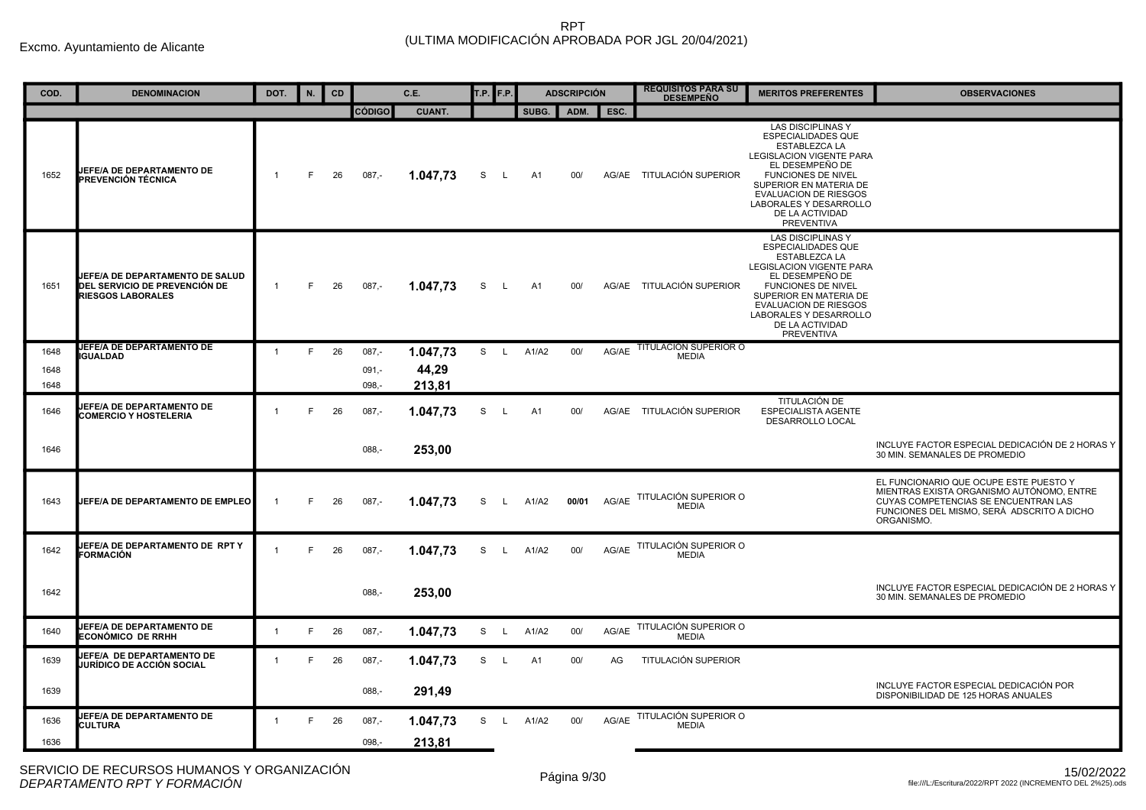| COD. | <b>DENOMINACION</b>                                                                                 | DOT.           | N. | CD |               | C.E.          | T.P. | F.P.         |       | <b>ADSCRIPCIÓN</b> |       | <b>REQUISITOS PARA SU</b><br><b>DESEMPEÑO</b> | <b>MERITOS PREFERENTES</b>                                                                                                                                                                                                                                              | <b>OBSERVACIONES</b>                                                                                                                                                                    |
|------|-----------------------------------------------------------------------------------------------------|----------------|----|----|---------------|---------------|------|--------------|-------|--------------------|-------|-----------------------------------------------|-------------------------------------------------------------------------------------------------------------------------------------------------------------------------------------------------------------------------------------------------------------------------|-----------------------------------------------------------------------------------------------------------------------------------------------------------------------------------------|
|      |                                                                                                     |                |    |    | <b>CÓDIGO</b> | <b>CUANT.</b> |      |              | SUBG. | ADM.               | ESC.  |                                               |                                                                                                                                                                                                                                                                         |                                                                                                                                                                                         |
| 1652 | <b>UEFE/A DE DEPARTAMENTO DE</b><br>PREVENCIÓN TÉCNICA                                              | $\mathbf 1$    | F. | 26 | $087 -$       | 1.047,73      | S    | L.           | A1    | 00/                |       | AG/AE TITULACIÓN SUPERIOR                     | <b>LAS DISCIPLINAS Y</b><br><b>ESPECIALIDADES QUE</b><br>ESTABLEZCA LA<br>LEGISLACION VIGENTE PARA<br>EL DESEMPEÑO DE<br><b>FUNCIONES DE NIVEL</b><br>SUPERIOR EN MATERIA DE<br><b>EVALUACION DE RIESGOS</b><br>LABORALES Y DESARROLLO<br>DE LA ACTIVIDAD<br>PREVENTIVA |                                                                                                                                                                                         |
| 1651 | JEFE/A DE DEPARTAMENTO DE SALUD<br><b>DEL SERVICIO DE PREVENCIÓN DE</b><br><b>RIESGOS LABORALES</b> | $\overline{1}$ | F  | 26 | $087,-$       | 1.047,73      | S    | $\mathsf{L}$ | A1    | 00/                |       | AG/AE TITULACIÓN SUPERIOR                     | <b>LAS DISCIPLINAS Y</b><br><b>ESPECIALIDADES QUE</b><br>ESTABLEZCA LA<br><b>LEGISLACION VIGENTE PARA</b><br>EL DESEMPEÑO DE<br><b>FUNCIONES DE NIVEL</b><br>SUPERIOR EN MATERIA DE<br>EVALUACION DE RIESGOS<br>LABORALES Y DESARROLLO<br>DE LA ACTIVIDAD<br>PREVENTIVA |                                                                                                                                                                                         |
| 1648 | JEFE/A DE DEPARTAMENTO DE<br><b>IGUALDAD</b>                                                        | $\overline{1}$ | F  | 26 | $087 -$       | 1.047,73      | S    | $\mathsf{L}$ | A1/A2 | 00/                | AG/AE | <b>TITULACION SUPERIOR O</b><br><b>MEDIA</b>  |                                                                                                                                                                                                                                                                         |                                                                                                                                                                                         |
| 1648 |                                                                                                     |                |    |    | $091, -$      | 44,29         |      |              |       |                    |       |                                               |                                                                                                                                                                                                                                                                         |                                                                                                                                                                                         |
| 1648 |                                                                                                     |                |    |    | $098, -$      | 213,81        |      |              |       |                    |       |                                               |                                                                                                                                                                                                                                                                         |                                                                                                                                                                                         |
| 1646 | JEFE/A DE DEPARTAMENTO DE<br><b>COMERCIO Y HOSTELERIA</b>                                           | $\mathbf{1}$   | F  | 26 | $087,-$       | 1.047,73      | S    | L.           | A1    | 00/                |       | AG/AE TITULACIÓN SUPERIOR                     | TITULACIÓN DE<br><b>ESPECIALISTA AGENTE</b><br>DESARROLLO LOCAL                                                                                                                                                                                                         |                                                                                                                                                                                         |
| 1646 |                                                                                                     |                |    |    | $088. -$      | 253,00        |      |              |       |                    |       |                                               |                                                                                                                                                                                                                                                                         | INCLUYE FACTOR ESPECIAL DEDICACIÓN DE 2 HORAS Y<br>30 MIN. SEMANALES DE PROMEDIO                                                                                                        |
| 1643 | JEFE/A DE DEPARTAMENTO DE EMPLEO                                                                    | -1             | F  | 26 | $087 -$       | 1.047,73      | S    | $\mathsf{L}$ | A1/A2 | 00/01              | AG/AE | TITULACIÓN SUPERIOR O<br><b>MEDIA</b>         |                                                                                                                                                                                                                                                                         | EL FUNCIONARIO QUE OCUPE ESTE PUESTO Y<br>MIENTRAS EXISTA ORGANISMO AUTÓNOMO, ENTRE<br>CUYAS COMPETENCIAS SE ENCUENTRAN LAS<br>FUNCIONES DEL MISMO, SERÁ ADSCRITO A DICHO<br>ORGANISMO. |
| 1642 | JEFE/A DE DEPARTAMENTO DE RPT Y<br>FORMACIÓN                                                        | $\overline{1}$ | F  | 26 | $087,-$       | 1.047,73      | S    | L.           | A1/A2 | 00/                | AG/AE | TITULACIÓN SUPERIOR O<br><b>MEDIA</b>         |                                                                                                                                                                                                                                                                         |                                                                                                                                                                                         |
| 1642 |                                                                                                     |                |    |    | $088, -$      | 253,00        |      |              |       |                    |       |                                               |                                                                                                                                                                                                                                                                         | INCLUYE FACTOR ESPECIAL DEDICACIÓN DE 2 HORAS Y<br>30 MIN. SEMANALES DE PROMEDIO                                                                                                        |
| 1640 | JEFE/A DE DEPARTAMENTO DE<br>ECONÓMICO DE RRHH                                                      | $\overline{1}$ | F. | 26 | $087,-$       | 1.047,73      | S    | $\mathsf{L}$ | A1/A2 | 00/                | AG/AE | TITULACIÓN SUPERIOR O<br><b>MEDIA</b>         |                                                                                                                                                                                                                                                                         |                                                                                                                                                                                         |
| 1639 | JEFE/A DE DEPARTAMENTO DE<br>UURÍDICO DE ACCIÓN SOCIAL                                              | $\overline{1}$ | F  | 26 | $087,-$       | 1.047,73      | S    | $\mathsf{L}$ | A1    | 00/                | AG    | TITULACIÓN SUPERIOR                           |                                                                                                                                                                                                                                                                         |                                                                                                                                                                                         |
| 1639 |                                                                                                     |                |    |    | $088, -$      | 291,49        |      |              |       |                    |       |                                               |                                                                                                                                                                                                                                                                         | INCLUYE FACTOR ESPECIAL DEDICACIÓN POR<br>DISPONIBILIDAD DE 125 HORAS ANUALES                                                                                                           |
| 1636 | <b>JEFE/A DE DEPARTAMENTO DE</b><br><b>CULTURA</b>                                                  | $\overline{1}$ | F. | 26 | $087 -$       | 1.047,73      | S    | $\mathsf{L}$ | A1/A2 | 00/                | AG/AE | TITULACIÓN SUPERIOR O<br><b>MEDIA</b>         |                                                                                                                                                                                                                                                                         |                                                                                                                                                                                         |
| 1636 |                                                                                                     |                |    |    | $098 -$       | 213.81        |      |              |       |                    |       |                                               |                                                                                                                                                                                                                                                                         |                                                                                                                                                                                         |
|      |                                                                                                     |                |    |    |               |               |      |              |       |                    |       |                                               |                                                                                                                                                                                                                                                                         |                                                                                                                                                                                         |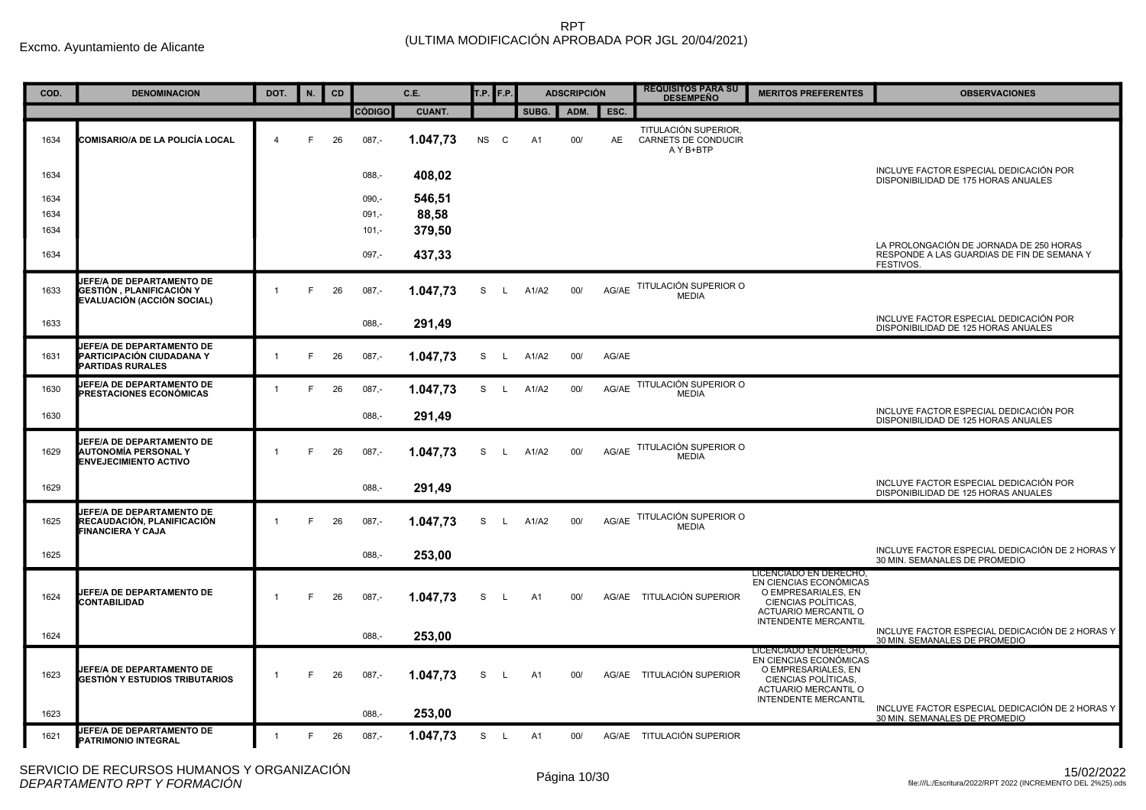| COD. | <b>DENOMINACION</b>                                                                             | DOT.           | N. | <b>CD</b> |               | C.E.          | T.P. <b>F.P.</b> |              |                | <b>ADSCRIPCIÓN</b> |           | <b>REQUISITOS PARA SU</b><br><b>DESEMPEÑO</b>            | <b>MERITOS PREFERENTES</b>                                                                                                                            | <b>OBSERVACIONES</b>                                                                               |
|------|-------------------------------------------------------------------------------------------------|----------------|----|-----------|---------------|---------------|------------------|--------------|----------------|--------------------|-----------|----------------------------------------------------------|-------------------------------------------------------------------------------------------------------------------------------------------------------|----------------------------------------------------------------------------------------------------|
|      |                                                                                                 |                |    |           | <b>CÓDIGO</b> | <b>CUANT.</b> |                  |              | SUBG.          | ADM.               | ESC.      |                                                          |                                                                                                                                                       |                                                                                                    |
| 1634 | COMISARIO/A DE LA POLICÍA LOCAL                                                                 | $\overline{4}$ | F  | 26        | $087 -$       | 1.047,73      | <b>NS</b>        | C            | A <sub>1</sub> | 00/                | <b>AE</b> | TITULACIÓN SUPERIOR,<br>CARNETS DE CONDUCIR<br>A Y B+BTP |                                                                                                                                                       |                                                                                                    |
| 1634 |                                                                                                 |                |    |           | $088,-$       | 408,02        |                  |              |                |                    |           |                                                          |                                                                                                                                                       | INCLUYE FACTOR ESPECIAL DEDICACIÓN POR<br>DISPONIBILIDAD DE 175 HORAS ANUALES                      |
| 1634 |                                                                                                 |                |    |           | $090 -$       | 546,51        |                  |              |                |                    |           |                                                          |                                                                                                                                                       |                                                                                                    |
| 1634 |                                                                                                 |                |    |           | $091,-$       | 88,58         |                  |              |                |                    |           |                                                          |                                                                                                                                                       |                                                                                                    |
| 1634 |                                                                                                 |                |    |           | $101,-$       | 379,50        |                  |              |                |                    |           |                                                          |                                                                                                                                                       |                                                                                                    |
| 1634 |                                                                                                 |                |    |           | $097,-$       | 437,33        |                  |              |                |                    |           |                                                          |                                                                                                                                                       | LA PROLONGACIÓN DE JORNADA DE 250 HORAS<br>RESPONDE A LAS GUARDIAS DE FIN DE SEMANA Y<br>FESTIVOS. |
| 1633 | JEFE/A DE DEPARTAMENTO DE<br>GESTIÓN, PLANIFICACIÓN Y<br>EVALUACIÓN (ACCIÓN SOCIAL)             |                | F  | 26        | $087 -$       | 1.047.73      | S                | $\mathsf{L}$ | A1/A2          | 00/                |           | AG/AE TITULACIÓN SUPERIOR O<br><b>MEDIA</b>              |                                                                                                                                                       |                                                                                                    |
| 1633 |                                                                                                 |                |    |           | $088 -$       | 291,49        |                  |              |                |                    |           |                                                          |                                                                                                                                                       | INCLUYE FACTOR ESPECIAL DEDICACIÓN POR<br>DISPONIBILIDAD DE 125 HORAS ANUALES                      |
| 1631 | JEFE/A DE DEPARTAMENTO DE<br>PARTICIPACIÓN CIUDADANA Y<br><b>PARTIDAS RURALES</b>               | $\mathbf{1}$   | F. | 26        | $087,-$       | 1.047,73      | S                | $\mathsf{L}$ | A1/A2          | 00/                | AG/AE     |                                                          |                                                                                                                                                       |                                                                                                    |
| 1630 | <b>JEFE/A DE DEPARTAMENTO DE</b><br>PRESTACIONES ECONÓMICAS                                     |                | F  | 26        | $087,-$       | 1.047,73      | S                | $\mathsf{L}$ | A1/A2          | 00/                | AG/AE     | TITULACIÓN SUPERIOR O<br><b>MEDIA</b>                    |                                                                                                                                                       |                                                                                                    |
| 1630 |                                                                                                 |                |    |           | $088, -$      | 291,49        |                  |              |                |                    |           |                                                          |                                                                                                                                                       | INCLUYE FACTOR ESPECIAL DEDICACIÓN POR<br>DISPONIBILIDAD DE 125 HORAS ANUALES                      |
| 1629 | <b>JEFE/A DE DEPARTAMENTO DE</b><br><b>AUTONOMÍA PERSONAL Y</b><br><b>ENVEJECIMIENTO ACTIVO</b> |                | F  | 26        | $087,-$       | 1.047,73      | S                | <b>L</b>     | A1/A2          | 00/                | AG/AE     | TITULACIÓN SUPERIOR O<br><b>MEDIA</b>                    |                                                                                                                                                       |                                                                                                    |
| 1629 |                                                                                                 |                |    |           | $088 -$       | 291.49        |                  |              |                |                    |           |                                                          |                                                                                                                                                       | INCLUYE FACTOR ESPECIAL DEDICACIÓN POR<br>DISPONIBILIDAD DE 125 HORAS ANUALES                      |
| 1625 | <b>JEFE/A DE DEPARTAMENTO DE</b><br>RECAUDACIÓN, PLANIFICACIÓN<br><b>FINANCIERA Y CAJA</b>      | $\overline{1}$ | F  | 26        | $087,-$       | 1.047.73      | S                | $\mathsf{L}$ | A1/A2          | 00/                |           | AG/AE TITULACIÓN SUPERIOR O<br><b>MEDIA</b>              |                                                                                                                                                       |                                                                                                    |
| 1625 |                                                                                                 |                |    |           | $088, -$      | 253,00        |                  |              |                |                    |           |                                                          |                                                                                                                                                       | INCLUYE FACTOR ESPECIAL DEDICACIÓN DE 2 HORAS Y<br>30 MIN. SEMANALES DE PROMEDIO                   |
| 1624 | JEFE/A DE DEPARTAMENTO DE<br>CONTABILIDAD                                                       |                | F  | 26        | $087,-$       | 1.047,73      | S                | -L           | A1             | 00/                |           | AG/AE TITULACIÓN SUPERIOR                                | LICENCIADO EN DERECHO,<br>EN CIENCIAS ECONÓMICAS<br>O EMPRESARIALES, EN<br>CIENCIAS POLÍTICAS,<br>ACTUARIO MERCANTIL O<br><b>INTENDENTE MERCANTIL</b> |                                                                                                    |
| 1624 |                                                                                                 |                |    |           | $088, -$      | 253,00        |                  |              |                |                    |           |                                                          |                                                                                                                                                       | INCLUYE FACTOR ESPECIAL DEDICACIÓN DE 2 HORAS Y<br>30 MIN. SEMANALES DE PROMEDIO                   |
| 1623 | JEFE/A DE DEPARTAMENTO DE<br>GESTIÓN Y ESTUDIOS TRIBUTARIOS                                     |                | F  | 26        | $087 -$       | 1.047,73      | S                | L.           | A1             | 00/                |           | AG/AE TITULACIÓN SUPERIOR                                | LICENCIADO EN DERECHO,<br>EN CIENCIAS ECONÓMICAS<br>O EMPRESARIALES, EN<br>CIENCIAS POLÍTICAS.<br>ACTUARIO MERCANTIL O<br><b>INTENDENTE MERCANTIL</b> |                                                                                                    |
| 1623 |                                                                                                 |                |    |           | $088 -$       | 253,00        |                  |              |                |                    |           |                                                          |                                                                                                                                                       | INCLUYE FACTOR ESPECIAL DEDICACIÓN DE 2 HORAS Y<br>30 MIN. SEMANALES DE PROMEDIO                   |
| 1621 | JEFE/A DE DEPARTAMENTO DE<br>PATRIMONIO INTEGRAL                                                | $\overline{1}$ | F. | 26        | $087,-$       | 1.047,73      | S.               | $\mathsf{L}$ | A1             | 00/                |           | AG/AE TITULACIÓN SUPERIOR                                |                                                                                                                                                       |                                                                                                    |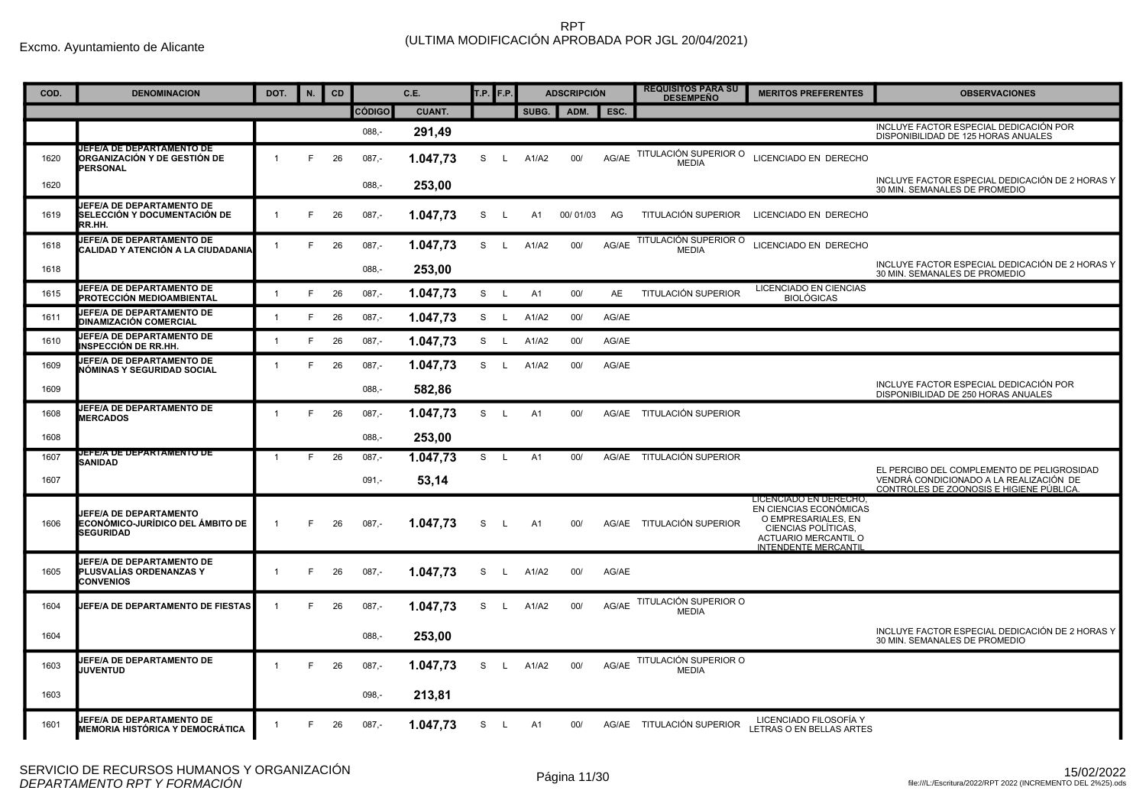| COD. | <b>DENOMINACION</b>                                                                   | DOT.           | N. | CD |               | C.E.          | <b>T.P.</b> F.P. |              |                | <b>ADSCRIPCIÓN</b> |           | <b>REQUISITOS PARA SU</b><br><b>DESEMPEÑO</b> | <b>MERITOS PREFERENTES</b>                                                                                                                            | <b>OBSERVACIONES</b>                                                                                                              |
|------|---------------------------------------------------------------------------------------|----------------|----|----|---------------|---------------|------------------|--------------|----------------|--------------------|-----------|-----------------------------------------------|-------------------------------------------------------------------------------------------------------------------------------------------------------|-----------------------------------------------------------------------------------------------------------------------------------|
|      |                                                                                       |                |    |    | <b>CÓDIGO</b> | <b>CUANT.</b> |                  |              | SUBG.          | ADM.               | ESC.      |                                               |                                                                                                                                                       |                                                                                                                                   |
|      |                                                                                       |                |    |    | $088 -$       | 291,49        |                  |              |                |                    |           |                                               |                                                                                                                                                       | INCLUYE FACTOR ESPECIAL DEDICACIÓN POR<br>DISPONIBILIDAD DE 125 HORAS ANUALES                                                     |
| 1620 | JEFE/A DE DEPARTAMENTO DE<br>ORGANIZACIÓN Y DE GESTIÓN DE<br><b>PERSONAL</b>          | $\overline{1}$ | F  | 26 | $087 -$       | 1.047,73      | S                | L.           | A1/A2          | 00/                | AG/AE     | TITULACIÓN SUPERIOR O<br><b>MEDIA</b>         | LICENCIADO EN DERECHO                                                                                                                                 |                                                                                                                                   |
| 1620 |                                                                                       |                |    |    | $088, -$      | 253,00        |                  |              |                |                    |           |                                               |                                                                                                                                                       | INCLUYE FACTOR ESPECIAL DEDICACIÓN DE 2 HORAS Y<br>30 MIN. SEMANALES DE PROMEDIO                                                  |
| 1619 | JEFE/A DE DEPARTAMENTO DE<br>SELECCIÓN Y DOCUMENTACIÓN DE<br>RR.HH.                   |                | F  | 26 | $087 -$       | 1.047,73      | S                | <b>L</b>     | A <sub>1</sub> | 00/01/03           | AG        | TITULACIÓN SUPERIOR                           | LICENCIADO EN DERECHO                                                                                                                                 |                                                                                                                                   |
| 1618 | JEFE/A DE DEPARTAMENTO DE<br>CALIDAD Y ATENCIÓN A LA CIUDADANIA                       | $\overline{1}$ | E  | 26 | $087 -$       | 1.047,73      | S L              |              | A1/A2          | 00/                | AG/AE     | TITULACIÓN SUPERIOR O<br><b>MEDIA</b>         | LICENCIADO EN DERECHO                                                                                                                                 |                                                                                                                                   |
| 1618 |                                                                                       |                |    |    | $088. -$      | 253,00        |                  |              |                |                    |           |                                               |                                                                                                                                                       | INCLUYE FACTOR ESPECIAL DEDICACIÓN DE 2 HORAS Y<br>30 MIN. SEMANALES DE PROMEDIO                                                  |
| 1615 | JEFE/A DE DEPARTAMENTO DE<br>PROTECCIÓN MEDIOAMBIENTAL                                | $\overline{1}$ | F  | 26 | $087 -$       | 1.047.73      | S L              |              | A1             | 00/                | <b>AE</b> | TITULACIÓN SUPERIOR                           | <b>LICENCIADO EN CIENCIAS</b><br><b>BIOLÓGICAS</b>                                                                                                    |                                                                                                                                   |
| 1611 | <b>JEFE/A DE DEPARTAMENTO DE</b><br><b>DINAMIZACIÓN COMERCIAL</b>                     | $\overline{1}$ | F  | 26 | $087 -$       | 1.047,73      | S L              |              | A1/A2          | 00/                | AG/AE     |                                               |                                                                                                                                                       |                                                                                                                                   |
| 1610 | JEFE/A DE DEPARTAMENTO DE<br><b>NSPECCIÓN DE RR.HH.</b>                               | $\overline{1}$ | F. | 26 | 087,-         | 1.047,73      | S L              |              | A1/A2          | 00/                | AG/AE     |                                               |                                                                                                                                                       |                                                                                                                                   |
| 1609 | JEFE/A DE DEPARTAMENTO DE<br>NÓMINAS Y SEGURIDAD SOCIAL                               | $\mathbf{1}$   | F  | 26 | $087 -$       | 1.047.73      |                  | S L          | A1/A2          | 00/                | AG/AE     |                                               |                                                                                                                                                       |                                                                                                                                   |
| 1609 |                                                                                       |                |    |    | $088, -$      | 582,86        |                  |              |                |                    |           |                                               |                                                                                                                                                       | INCLUYE FACTOR ESPECIAL DEDICACIÓN POR<br>DISPONIBILIDAD DE 250 HORAS ANUALES                                                     |
| 1608 | JEFE/A DE DEPARTAMENTO DE<br><b>MERCADOS</b>                                          | $\mathbf{1}$   | F. | 26 | $087,-$       | 1.047,73      | S L              |              | A1             | 00/                |           | AG/AE TITULACIÓN SUPERIOR                     |                                                                                                                                                       |                                                                                                                                   |
| 1608 |                                                                                       |                |    |    | $088. -$      | 253.00        |                  |              |                |                    |           |                                               |                                                                                                                                                       |                                                                                                                                   |
| 1607 | JEFE/A DE DEPARTAMENTO DE<br><b>SANIDAD</b>                                           | $\overline{1}$ | F  | 26 | $087,-$       | 1.047.73      | S.               | $\mathsf{L}$ | A1             | 00/                |           | AG/AE TITULACIÓN SUPERIOR                     |                                                                                                                                                       |                                                                                                                                   |
| 1607 |                                                                                       |                |    |    | $091 -$       | 53.14         |                  |              |                |                    |           |                                               |                                                                                                                                                       | EL PERCIBO DEL COMPLEMENTO DE PELIGROSIDAD<br>VENDRÁ CONDICIONADO A LA REALIZACIÓN DE<br>CONTROLES DE ZOONOSIS E HIGIENE PÚBLICA. |
| 1606 | <b>JEFE/A DE DEPARTAMENTO</b><br>ECONÓMICO-JURÍDICO DEL ÁMBITO DE<br><b>SEGURIDAD</b> |                |    | 26 | $087,-$       | 1.047,73      | S                | L.           | A <sub>1</sub> | 00/                |           | AG/AE TITULACIÓN SUPERIOR                     | LICENCIADO EN DERECHO.<br>EN CIENCIAS ECONÓMICAS<br>O EMPRESARIALES, EN<br>CIENCIAS POLÍTICAS.<br>ACTUARIO MERCANTIL O<br><b>INTENDENTE MERCANTIL</b> |                                                                                                                                   |
| 1605 | <b>JEFE/A DE DEPARTAMENTO DE</b><br>PLUSVALÍAS ORDENANZAS Y<br><b>CONVENIOS</b>       | $\mathbf{1}$   | F  | 26 | $087 -$       | 1.047.73      | S                | L.           | A1/A2          | 00/                | AG/AE     |                                               |                                                                                                                                                       |                                                                                                                                   |
| 1604 | JEFE/A DE DEPARTAMENTO DE FIESTAS                                                     |                | F  | 26 | $087 -$       | 1.047,73      | S                | $\mathsf{L}$ | A1/A2          | 00/                | AG/AE     | TITULACIÓN SUPERIOR O<br><b>MEDIA</b>         |                                                                                                                                                       |                                                                                                                                   |
| 1604 |                                                                                       |                |    |    | $088. -$      | 253.00        |                  |              |                |                    |           |                                               |                                                                                                                                                       | INCLUYE FACTOR ESPECIAL DEDICACIÓN DE 2 HORAS Y<br>30 MIN. SEMANALES DE PROMEDIO                                                  |
| 1603 | <b>JEFE/A DE DEPARTAMENTO DE</b><br>JUVENTUD                                          |                |    | 26 | $087,-$       | 1.047,73      | S                | $\mathsf{L}$ | A1/A2          | 00/                | AG/AE     | TITULACIÓN SUPERIOR O<br><b>MEDIA</b>         |                                                                                                                                                       |                                                                                                                                   |
| 1603 |                                                                                       |                |    |    | $098, -$      | 213,81        |                  |              |                |                    |           |                                               |                                                                                                                                                       |                                                                                                                                   |
| 1601 | <b>JEFE/A DE DEPARTAMENTO DE</b><br>MEMORIA HISTÓRICA Y DEMOCRÁTICA                   | $\overline{1}$ |    | 26 | $087 -$       | 1.047,73      | S L              |              | A1             | 00/                |           | AG/AE TITULACIÓN SUPERIOR                     | LICENCIADO FILOSOFÍA Y<br>LETRAS O EN BELLAS ARTES                                                                                                    |                                                                                                                                   |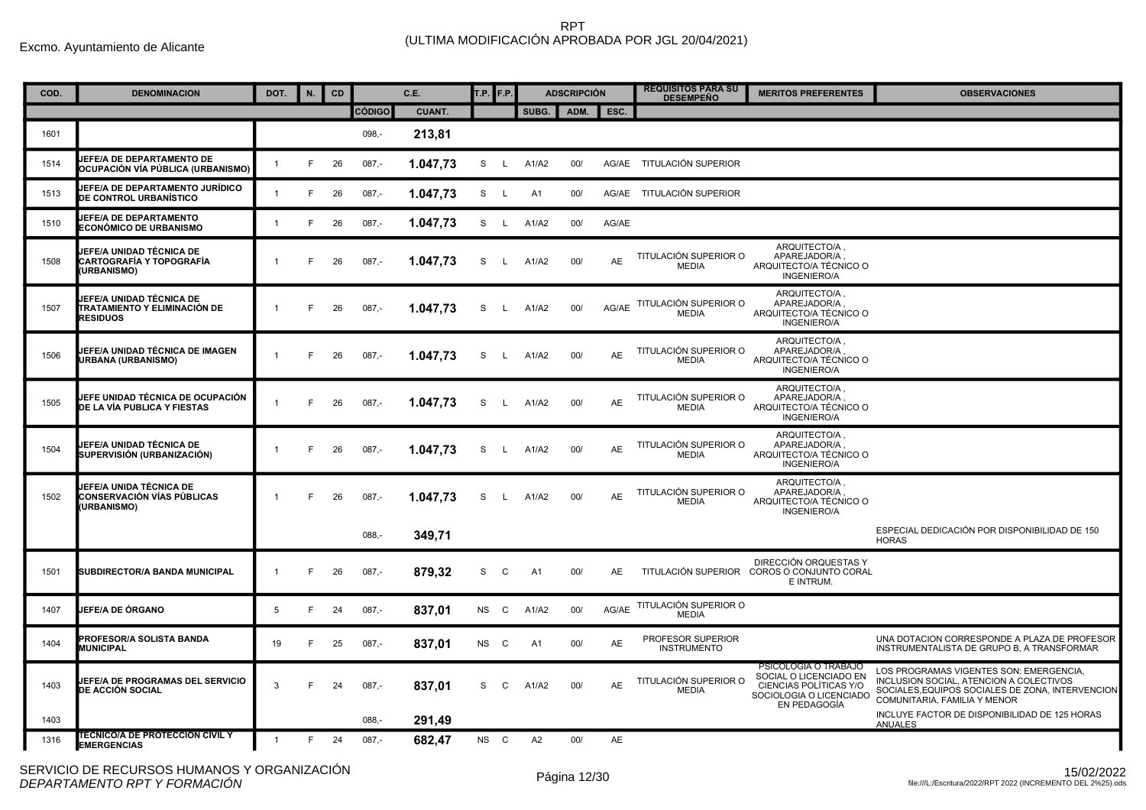| COD. | <b>DENOMINACION</b>                                                         | DOT.         | N. | CD |               | C.E.          | <b>T.P.</b> F.P. |              |                | <b>ADSCRIPCIÓN</b> |           | <b>REQUISITOS PARA SU</b><br><b>DESEMPEÑO</b> | <b>MERITOS PREFERENTES</b>                                                                                          | <b>OBSERVACIONES</b>                                                                                                                                                   |
|------|-----------------------------------------------------------------------------|--------------|----|----|---------------|---------------|------------------|--------------|----------------|--------------------|-----------|-----------------------------------------------|---------------------------------------------------------------------------------------------------------------------|------------------------------------------------------------------------------------------------------------------------------------------------------------------------|
|      |                                                                             |              |    |    | <b>CÓDIGO</b> | <b>CUANT.</b> |                  |              | SUBG.          | ADM.               | ESC.      |                                               |                                                                                                                     |                                                                                                                                                                        |
| 1601 |                                                                             |              |    |    | $098 -$       | 213,81        |                  |              |                |                    |           |                                               |                                                                                                                     |                                                                                                                                                                        |
| 1514 | <b>JEFE/A DE DEPARTAMENTO DE</b><br>OCUPACIÓN VÍA PÚBLICA (URBANISMO)       | $\mathbf{1}$ | E  | 26 | $087,-$       | 1.047,73      | S                | $\lfloor$    | A1/A2          | 00/                |           | AG/AE TITULACIÓN SUPERIOR                     |                                                                                                                     |                                                                                                                                                                        |
| 1513 | JEFE/A DE DEPARTAMENTO JURÍDICO<br>DE CONTROL URBANÍSTICO                   |              | F  | 26 | $087,-$       | 1.047,73      | S                | L.           | A1             | 00/                |           | AG/AE TITULACIÓN SUPERIOR                     |                                                                                                                     |                                                                                                                                                                        |
| 1510 | <b>JEFE/A DE DEPARTAMENTO</b><br>ECONÓMICO DE URBANISMO                     | $\mathbf{1}$ | F. | 26 | $087 -$       | 1.047,73      | S                | $\mathsf{L}$ | A1/A2          | 00/                | AG/AE     |                                               |                                                                                                                     |                                                                                                                                                                        |
| 1508 | IEFE/A UNIDAD TÉCNICA DE<br>CARTOGRAFÍA Y TOPOGRAFÍA<br><b>URBANISMO)</b>   | $\mathbf{1}$ | E  | 26 | $087 -$       | 1.047,73      | S                | $\mathsf{L}$ | A1/A2          | 00/                | AE        | TITULACIÓN SUPERIOR O<br><b>MEDIA</b>         | ARQUITECTO/A,<br>APAREJADOR/A.<br>ARQUITECTO/A TÉCNICO O<br><b>INGENIERO/A</b>                                      |                                                                                                                                                                        |
| 1507 | JEFE/A UNIDAD TÉCNICA DE<br>TRATAMIENTO Y ELIMINACIÓN DE<br><b>RESIDUOS</b> | $\mathbf{1}$ | E  | 26 | $087,-$       | 1.047,73      | S                | L.           | A1/A2          | 00/                | AG/AE     | TITULACIÓN SUPERIOR O<br><b>MEDIA</b>         | ARQUITECTO/A.<br>APAREJADOR/A,<br>ARQUITECTO/A TÉCNICO O<br>INGENIERO/A                                             |                                                                                                                                                                        |
| 1506 | JEFE/A UNIDAD TÉCNICA DE IMAGEN<br>URBANA (URBANISMO)                       |              | E  | 26 | $087,-$       | 1.047,73      | S                | $\mathsf{L}$ | A1/A2          | 00/                | <b>AE</b> | TITULACIÓN SUPERIOR O<br><b>MEDIA</b>         | ARQUITECTO/A.<br>APAREJADOR/A.<br>ARQUITECTO/A TÉCNICO O<br><b>INGENIERO/A</b>                                      |                                                                                                                                                                        |
| 1505 | JEFE UNIDAD TÉCNICA DE OCUPACIÓN<br>DE LA VÍA PUBLICA Y FIESTAS             | $\mathbf{1}$ | E  | 26 | $087 -$       | 1.047,73      | S                | L.           | A1/A2          | 00/                | <b>AE</b> | TITULACIÓN SUPERIOR O<br><b>MEDIA</b>         | ARQUITECTO/A,<br>APAREJADOR/A.<br>ARQUITECTO/A TÉCNICO O<br><b>INGENIERO/A</b>                                      |                                                                                                                                                                        |
| 1504 | JEFE/A UNIDAD TÉCNICA DE<br>SUPERVISIÓN (URBANIZACIÓN)                      |              | E  | 26 | $087 -$       | 1.047,73      | S                | L.           | A1/A2          | 00/                | <b>AE</b> | TITULACIÓN SUPERIOR O<br><b>MEDIA</b>         | ARQUITECTO/A.<br>APAREJADOR/A.<br>ARQUITECTO/A TÉCNICO O<br>INGENIERO/A                                             |                                                                                                                                                                        |
| 1502 | JEFE/A UNIDA TÉCNICA DE<br>CONSERVACIÓN VÍAS PÚBLICAS<br><b>URBANISMO)</b>  | $\mathbf{1}$ | E  | 26 | $087,-$       | 1.047,73      | S                |              | A1/A2          | 00/                | AE        | TITULACIÓN SUPERIOR O<br><b>MEDIA</b>         | ARQUITECTO/A.<br>APAREJADOR/A<br>ARQUITECTO/A TÉCNICO O<br><b>INGENIERO/A</b>                                       |                                                                                                                                                                        |
|      |                                                                             |              |    |    | $088 -$       | 349,71        |                  |              |                |                    |           |                                               |                                                                                                                     | ESPECIAL DEDICACIÓN POR DISPONIBILIDAD DE 150<br><b>HORAS</b>                                                                                                          |
| 1501 | SUBDIRECTOR/A BANDA MUNICIPAL                                               | $\mathbf{1}$ | E  | 26 | $087 -$       | 879,32        | S                | C            | A1             | 00/                | <b>AE</b> |                                               | DIRECCIÓN ORQUESTAS Y<br>TITULACIÓN SUPERIOR COROS O CONJUNTO CORAL<br>E INTRUM.                                    |                                                                                                                                                                        |
| 1407 | JEFE/A DE ÓRGANO                                                            | 5            | E  | 24 | $087 -$       | 837,01        | <b>NS</b>        | $\mathbf{C}$ | A1/A2          | 00/                | AG/AE     | TITULACIÓN SUPERIOR O<br><b>MEDIA</b>         |                                                                                                                     |                                                                                                                                                                        |
| 1404 | <b>PROFESOR/A SOLISTA BANDA</b><br><b>MUNICIPAL</b>                         | 19           |    | 25 | $087,-$       | 837,01        | <b>NS</b>        | $\mathbf{C}$ | A <sub>1</sub> | 00/                | <b>AE</b> | PROFESOR SUPERIOR<br><b>INSTRUMENTO</b>       |                                                                                                                     | UNA DOTACION CORRESPONDE A PLAZA DE PROFESOR<br>INSTRUMENTALISTA DE GRUPO B. A TRANSFORMAR                                                                             |
| 1403 | JEFE/A DE PROGRAMAS DEL SERVICIO<br>DE ACCIÓN SOCIAL                        | 3            | E  | 24 | $087 -$       | 837,01        | S                | C            | A1/A2          | 00/                | <b>AE</b> | TITULACIÓN SUPERIOR O<br><b>MEDIA</b>         | PSICOLOGIA O TRABAJO<br>SOCIAL O LICENCIADO EN<br>CIENCIAS POLÍTICAS Y/O<br>SOCIOLOGIA O LICENCIADO<br>EN PEDAGOGÍA | LOS PROGRAMAS VIGENTES SON: EMERGENCIA,<br>INCLUSION SOCIAL, ATENCION A COLECTIVOS<br>SOCIALES, EQUIPOS SOCIALES DE ZONA, INTERVENCION<br>COMUNITARIA, FAMILIA Y MENOR |
| 1403 |                                                                             |              |    |    | $088 -$       | 291,49        |                  |              |                |                    |           |                                               |                                                                                                                     | INCLUYE FACTOR DE DISPONIBILIDAD DE 125 HORAS<br><b>ANUALES</b>                                                                                                        |
| 1316 | <b>TECNICO/A DE PROTECCION CIVIL Y</b><br><b>EMERGENCIAS</b>                | $\mathbf{1}$ | E  | 24 | $087 -$       | 682,47        | NS C             |              | A2             | 00/                | <b>AE</b> |                                               |                                                                                                                     |                                                                                                                                                                        |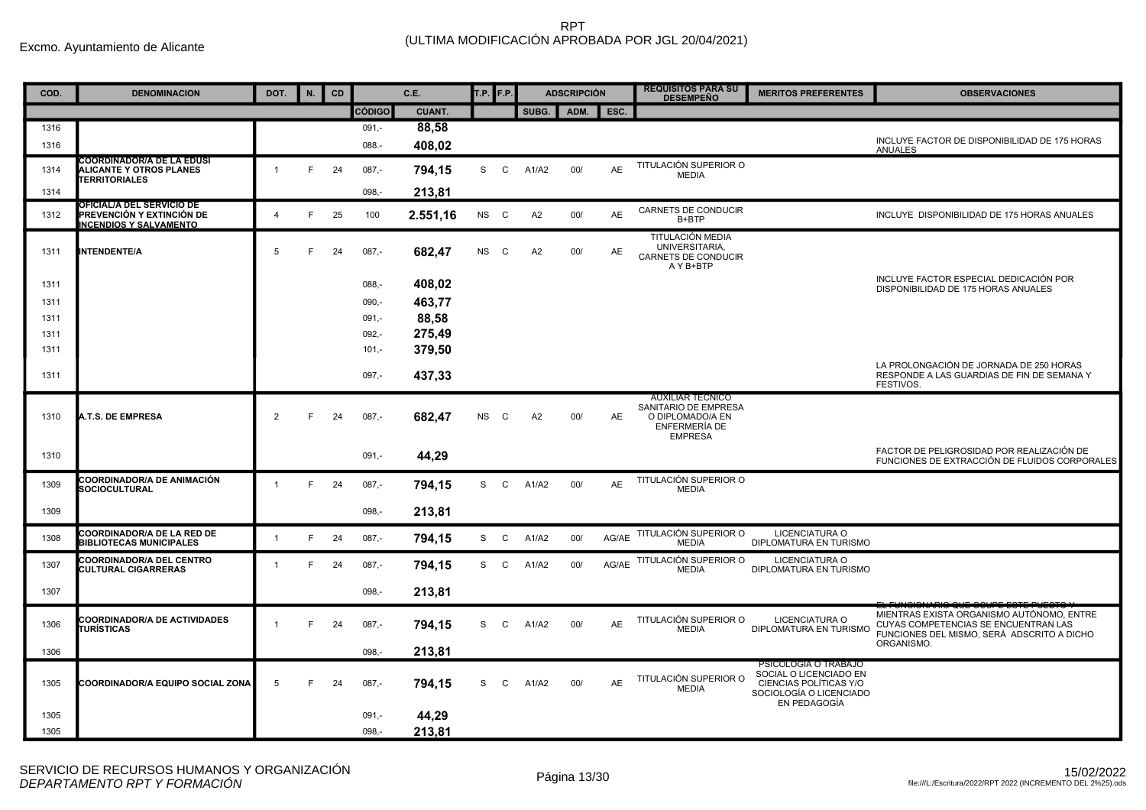| COD.         | <b>DENOMINACION</b>                                                                     | DOT.           | N. | <b>CD</b> |                    | C.E.            | T.P. <b>F.P.</b> |              |       | <b>ADSCRIPCIÓN</b> |           | <b>REQUISITOS PARA SU</b><br><b>DESEMPEÑO</b>                                                          | <b>MERITOS PREFERENTES</b>                                                                                          | <b>OBSERVACIONES</b>                                                                                                                          |
|--------------|-----------------------------------------------------------------------------------------|----------------|----|-----------|--------------------|-----------------|------------------|--------------|-------|--------------------|-----------|--------------------------------------------------------------------------------------------------------|---------------------------------------------------------------------------------------------------------------------|-----------------------------------------------------------------------------------------------------------------------------------------------|
|              |                                                                                         |                |    |           | <b>CÓDIGO</b>      | CUANT.          |                  |              | SUBG. | ADM.               | ESC.      |                                                                                                        |                                                                                                                     |                                                                                                                                               |
| 1316         |                                                                                         |                |    |           | $091,-$            | 88,58           |                  |              |       |                    |           |                                                                                                        |                                                                                                                     |                                                                                                                                               |
| 1316         |                                                                                         |                |    |           | 088.-              | 408,02          |                  |              |       |                    |           |                                                                                                        |                                                                                                                     | INCLUYE FACTOR DE DISPONIBILIDAD DE 175 HORAS<br><b>ANUALES</b>                                                                               |
| 1314         | COORDINADOR/A DE LA EDUSI<br>ALICANTE Y OTROS PLANES<br><b>TERRITORIALES</b>            | $\overline{1}$ | E  | 24        | $087 -$            | 794.15          | S                | $\mathsf{C}$ | A1/A2 | 00/                | <b>AE</b> | TITULACIÓN SUPERIOR O<br><b>MEDIA</b>                                                                  |                                                                                                                     |                                                                                                                                               |
| 1314         |                                                                                         |                |    |           | $098 -$            | 213,81          |                  |              |       |                    |           |                                                                                                        |                                                                                                                     |                                                                                                                                               |
| 1312         | OFICIAL/A DEL SERVICIO DE<br>PREVENCIÓN Y EXTINCIÓN DE<br><b>INCENDIOS Y SALVAMENTO</b> | $\overline{4}$ | E  | 25        | 100                | 2.551,16        | NS C             |              | A2    | 00/                | <b>AE</b> | CARNETS DE CONDUCIR<br>B+BTP                                                                           |                                                                                                                     | INCLUYE DISPONIBILIDAD DE 175 HORAS ANUALES                                                                                                   |
| 1311         | INTENDENTE/A                                                                            | 5              | E  | 24        | $087,-$            | 682,47          | <b>NS</b>        | C            | A2    | 00/                | AE        | TITULACIÓN MEDIA<br>UNIVERSITARIA.<br><b>CARNETS DE CONDUCIR</b><br>A Y B+BTP                          |                                                                                                                     |                                                                                                                                               |
| 1311         |                                                                                         |                |    |           | $088 -$            | 408,02          |                  |              |       |                    |           |                                                                                                        |                                                                                                                     | INCLUYE FACTOR ESPECIAL DEDICACIÓN POR<br>DISPONIBILIDAD DE 175 HORAS ANUALES                                                                 |
| 1311         |                                                                                         |                |    |           | $090,-$            | 463,77<br>88,58 |                  |              |       |                    |           |                                                                                                        |                                                                                                                     |                                                                                                                                               |
| 1311<br>1311 |                                                                                         |                |    |           | $091,-$<br>$092 -$ | 275,49          |                  |              |       |                    |           |                                                                                                        |                                                                                                                     |                                                                                                                                               |
| 1311         |                                                                                         |                |    |           | $101,-$            | 379,50          |                  |              |       |                    |           |                                                                                                        |                                                                                                                     |                                                                                                                                               |
| 1311         |                                                                                         |                |    |           | $097,-$            | 437,33          |                  |              |       |                    |           |                                                                                                        |                                                                                                                     | LA PROLONGACIÓN DE JORNADA DE 250 HORAS<br>RESPONDE A LAS GUARDIAS DE FIN DE SEMANA Y<br>FESTIVOS.                                            |
| 1310         | A.T.S. DE EMPRESA                                                                       | 2              | E  | 24        | $087 -$            | 682,47          | <b>NS</b>        | C            | A2    | 00/                | <b>AE</b> | <b>AUXILIAR TECNICO</b><br>SANITARIO DE EMPRESA<br>O DIPLOMADO/A EN<br>ENFERMERÍA DE<br><b>EMPRESA</b> |                                                                                                                     |                                                                                                                                               |
| 1310         |                                                                                         |                |    |           | $091 -$            | 44,29           |                  |              |       |                    |           |                                                                                                        |                                                                                                                     | FACTOR DE PELIGROSIDAD POR REALIZACIÓN DE<br>FUNCIONES DE EXTRACCIÓN DE FLUIDOS CORPORALES                                                    |
| 1309         | COORDINADOR/A DE ANIMACIÓN<br>SOCIOCULTURAL                                             | $\mathbf{1}$   | F  | - 24      | $087,-$            | 794,15          | S —              | $\mathsf{C}$ | A1/A2 | 00/                | AE        | TITULACIÓN SUPERIOR O<br><b>MEDIA</b>                                                                  |                                                                                                                     |                                                                                                                                               |
| 1309         |                                                                                         |                |    |           | $098 -$            | 213.81          |                  |              |       |                    |           |                                                                                                        |                                                                                                                     |                                                                                                                                               |
| 1308         | <b>COORDINADOR/A DE LA RED DE</b><br><b>BIBLIOTECAS MUNICIPALES</b>                     | $\overline{1}$ | F  | 24        | $087 -$            | 794.15          | S C              |              | A1/A2 | 00/                | AG/AE     | TITULACIÓN SUPERIOR O<br><b>MEDIA</b>                                                                  | LICENCIATURA O<br>DIPLOMATURA EN TURISMO                                                                            |                                                                                                                                               |
| 1307         | <b>COORDINADOR/A DEL CENTRO</b><br><b>CULTURAL CIGARRERAS</b>                           | $\overline{1}$ | E  | 24        | $087,-$            | 794,15          | S                | $\mathsf{C}$ | A1/A2 | 00/                | AG/AE     | TITULACIÓN SUPERIOR O<br><b>MEDIA</b>                                                                  | LICENCIATURA O<br>DIPLOMATURA EN TURISMO                                                                            |                                                                                                                                               |
| 1307         |                                                                                         |                |    |           | $098 -$            | 213,81          |                  |              |       |                    |           |                                                                                                        |                                                                                                                     |                                                                                                                                               |
| 1306         | <b>COORDINADOR/A DE ACTIVIDADES</b><br>TURÍSTICAS                                       | $\overline{1}$ | F  | 24        | $087,-$            | 794,15          | S                | $\mathsf{C}$ | A1/A2 | 00/                | <b>AE</b> | TITULACIÓN SUPERIOR O<br><b>MEDIA</b>                                                                  | LICENCIATURA O<br>DIPLOMATURA EN TURISMO                                                                            | MIENTRAS EXISTA ORGANISMO AUTÓNOMO. ENTRE<br>CUYAS COMPETENCIAS SE ENCUENTRAN LAS<br>FUNCIONES DEL MISMO, SERÁ ADSCRITO A DICHO<br>ORGANISMO. |
| 1306         |                                                                                         |                |    |           | $098 -$            | 213,81          |                  |              |       |                    |           |                                                                                                        |                                                                                                                     |                                                                                                                                               |
| 1305         | <b>COORDINADOR/A EQUIPO SOCIAL ZONA</b>                                                 | 5              | F  | 24        | $087,-$            | 794,15          | S                | C            | A1/A2 | 00/                | AE        | TITULACIÓN SUPERIOR O<br><b>MEDIA</b>                                                                  | PSICOLOGIA O TRABAJO<br>SOCIAL O LICENCIADO EN<br>CIENCIAS POLÍTICAS Y/O<br>SOCIOLOGÍA O LICENCIADO<br>EN PEDAGOGÍA |                                                                                                                                               |
| 1305         |                                                                                         |                |    |           | $091,-$            | 44,29           |                  |              |       |                    |           |                                                                                                        |                                                                                                                     |                                                                                                                                               |
| 1305         |                                                                                         |                |    |           | $098,-$            | 213,81          |                  |              |       |                    |           |                                                                                                        |                                                                                                                     |                                                                                                                                               |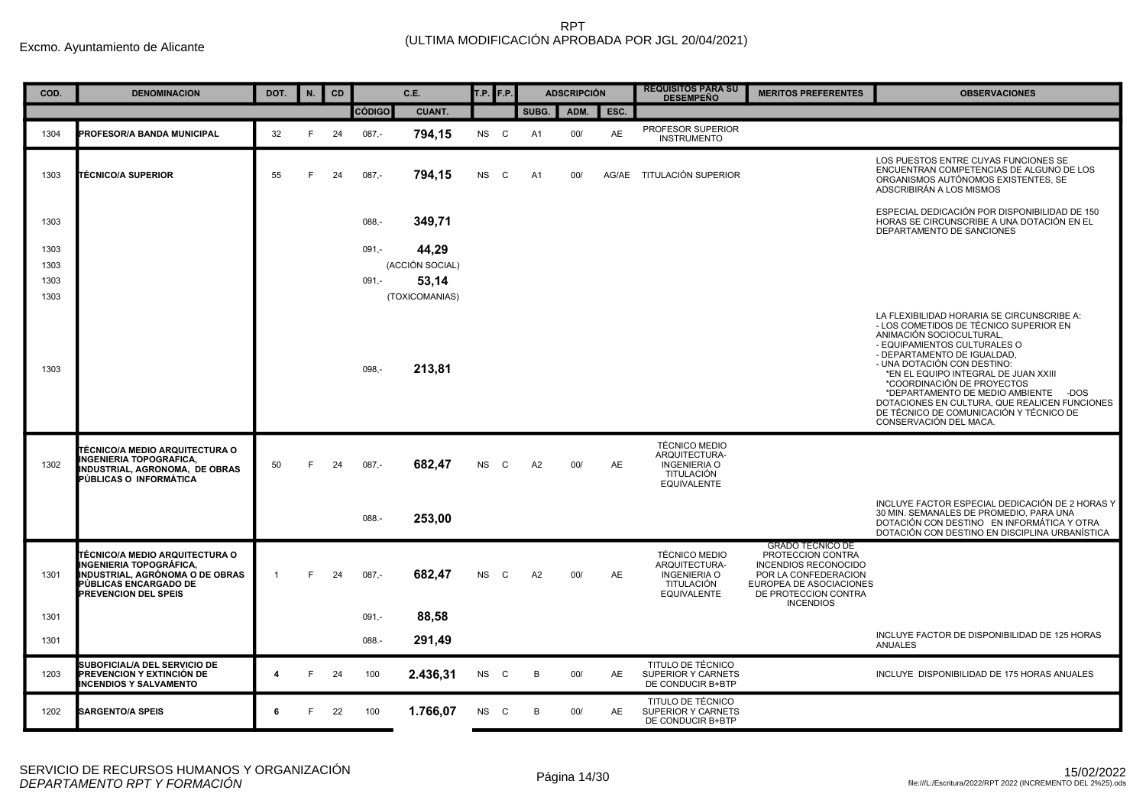| COD. | <b>DENOMINACION</b>                                                                                                                                  | DOT.           | N. | <b>CD</b> |               | C.E.            | T.P. F.P. |   |       | <b>ADSCRIPCIÓN</b> |           | <b>REQUISITOS PARA SU</b><br><b>DESEMPEÑO</b>                                                    | <b>MERITOS PREFERENTES</b>                                                                                                                                                 | <b>OBSERVACIONES</b>                                                                                                                                                                                                                                                                                                                                                                                                                               |
|------|------------------------------------------------------------------------------------------------------------------------------------------------------|----------------|----|-----------|---------------|-----------------|-----------|---|-------|--------------------|-----------|--------------------------------------------------------------------------------------------------|----------------------------------------------------------------------------------------------------------------------------------------------------------------------------|----------------------------------------------------------------------------------------------------------------------------------------------------------------------------------------------------------------------------------------------------------------------------------------------------------------------------------------------------------------------------------------------------------------------------------------------------|
|      |                                                                                                                                                      |                |    |           | <b>CÓDIGO</b> | <b>CUANT.</b>   |           |   | SUBG. | ADM.               | ESC.      |                                                                                                  |                                                                                                                                                                            |                                                                                                                                                                                                                                                                                                                                                                                                                                                    |
| 1304 | PROFESOR/A BANDA MUNICIPAL                                                                                                                           | 32             | F  | 24        | $087,-$       | 794,15          | NS C      |   | A1    | 00/                | AE        | PROFESOR SUPERIOR<br><b>INSTRUMENTO</b>                                                          |                                                                                                                                                                            |                                                                                                                                                                                                                                                                                                                                                                                                                                                    |
| 1303 | <b>TÉCNICO/A SUPERIOR</b>                                                                                                                            | 55             | F  | 24        | $087,-$       | 794,15          | <b>NS</b> | C | A1    | 00/                | AG/AE     | TITULACIÓN SUPERIOR                                                                              |                                                                                                                                                                            | LOS PUESTOS ENTRE CUYAS FUNCIONES SE<br>ENCUENTRAN COMPETENCIAS DE ALGUNO DE LOS<br>ORGANISMOS AUTÓNOMOS EXISTENTES, SE<br>ADSCRIBIRÁN A LOS MISMOS                                                                                                                                                                                                                                                                                                |
| 1303 |                                                                                                                                                      |                |    |           | $088 -$       | 349,71          |           |   |       |                    |           |                                                                                                  |                                                                                                                                                                            | ESPECIAL DEDICACIÓN POR DISPONIBILIDAD DE 150<br>HORAS SE CIRCUNSCRIBE A UNA DOTACIÓN EN EL<br>DEPARTAMENTO DE SANCIONES                                                                                                                                                                                                                                                                                                                           |
| 1303 |                                                                                                                                                      |                |    |           | $091,-$       | 44,29           |           |   |       |                    |           |                                                                                                  |                                                                                                                                                                            |                                                                                                                                                                                                                                                                                                                                                                                                                                                    |
| 1303 |                                                                                                                                                      |                |    |           |               | (ACCIÓN SOCIAL) |           |   |       |                    |           |                                                                                                  |                                                                                                                                                                            |                                                                                                                                                                                                                                                                                                                                                                                                                                                    |
| 1303 |                                                                                                                                                      |                |    |           | $091, -$      | 53,14           |           |   |       |                    |           |                                                                                                  |                                                                                                                                                                            |                                                                                                                                                                                                                                                                                                                                                                                                                                                    |
| 1303 |                                                                                                                                                      |                |    |           |               | (TOXICOMANIAS)  |           |   |       |                    |           |                                                                                                  |                                                                                                                                                                            |                                                                                                                                                                                                                                                                                                                                                                                                                                                    |
| 1303 |                                                                                                                                                      |                |    |           | $098, -$      | 213,81          |           |   |       |                    |           |                                                                                                  |                                                                                                                                                                            | LA FLEXIBILIDAD HORARIA SE CIRCUNSCRIBE A:<br>- LOS COMETIDOS DE TÉCNICO SUPERIOR EN<br>ANIMACIÓN SOCIOCULTURAL<br>- EQUIPAMIENTOS CULTURALES O<br>- DEPARTAMENTO DE IGUALDAD,<br>- UNA DOTACIÓN CON DESTINO:<br>*EN EL EQUIPO INTEGRAL DE JUAN XXIII<br>*COORDINACIÓN DE PROYECTOS<br>*DEPARTAMENTO DE MEDIO AMBIENTE - DOS<br>DOTACIONES EN CULTURA. QUE REALICEN FUNCIONES<br>DE TÉCNICO DE COMUNICACIÓN Y TÉCNICO DE<br>CONSERVACIÓN DEL MACA. |
| 1302 | TÉCNICO/A MEDIO ARQUITECTURA O<br><b>INGENIERIA TOPOGRAFICA,</b><br>INDUSTRIAL, AGRONOMA, DE OBRAS<br>PÚBLICAS O INFORMÁTICA                         | 50             | F  | 24        | $087 -$       | 682,47          | NS        | C | A2    | 00/                | AE        | <b>TÉCNICO MEDIO</b><br>ARQUITECTURA-<br><b>INGENIERIA O</b><br>TITULACIÓN<br><b>EQUIVALENTE</b> |                                                                                                                                                                            |                                                                                                                                                                                                                                                                                                                                                                                                                                                    |
|      |                                                                                                                                                      |                |    |           | 088.-         | 253,00          |           |   |       |                    |           |                                                                                                  |                                                                                                                                                                            | INCLUYE FACTOR ESPECIAL DEDICACIÓN DE 2 HORAS Y<br>30 MIN. SEMANALES DE PROMEDIO, PARA UNA<br>DOTACIÓN CON DESTINO EN INFORMÁTICA Y OTRA<br>DOTACIÓN CON DESTINO EN DISCIPLINA URBANÍSTICA                                                                                                                                                                                                                                                         |
| 1301 | TÉCNICO/A MEDIO ARQUITECTURA O<br>INGENIERIA TOPOGRÁFICA,<br>INDUSTRIAL, AGRÓNOMA O DE OBRAS<br>PÚBLICAS ENCARGADO DE<br><b>PREVENCION DEL SPEIS</b> | $\overline{1}$ | F  | 24        | $087 -$       | 682,47          | NS        | C | A2    | 00/                | AE        | <b>TÉCNICO MEDIO</b><br>ARQUITECTURA-<br><b>INGENIERIA O</b><br>TITULACIÓN<br><b>EQUIVALENTE</b> | <b>GRADO TECNICO DE</b><br>PROTECCION CONTRA<br><b>INCENDIOS RECONOCIDO</b><br>POR LA CONFEDERACION<br>EUROPEA DE ASOCIACIONES<br>DE PROTECCION CONTRA<br><b>INCENDIOS</b> |                                                                                                                                                                                                                                                                                                                                                                                                                                                    |
| 1301 |                                                                                                                                                      |                |    |           | $091,-$       | 88,58           |           |   |       |                    |           |                                                                                                  |                                                                                                                                                                            |                                                                                                                                                                                                                                                                                                                                                                                                                                                    |
| 1301 |                                                                                                                                                      |                |    |           | 088.-         | 291,49          |           |   |       |                    |           |                                                                                                  |                                                                                                                                                                            | INCLUYE FACTOR DE DISPONIBILIDAD DE 125 HORAS<br><b>ANUALES</b>                                                                                                                                                                                                                                                                                                                                                                                    |
| 1203 | SUBOFICIAL/A DEL SERVICIO DE<br><b>PREVENCION Y EXTINCIÓN DE</b><br><b>INCENDIOS Y SALVAMENTO</b>                                                    | 4              | F  | 24        | 100           | 2.436,31        | NS C      |   | B     | 00/                | <b>AE</b> | TITULO DE TÉCNICO<br><b>SUPERIOR Y CARNETS</b><br>DE CONDUCIR B+BTP                              |                                                                                                                                                                            | INCLUYE DISPONIBILIDAD DE 175 HORAS ANUALES                                                                                                                                                                                                                                                                                                                                                                                                        |
| 1202 | <b>SARGENTO/A SPEIS</b>                                                                                                                              | 6              | F  | 22        | 100           | 1.766,07        | NS C      |   | B     | 00/                | AE.       | TITULO DE TÉCNICO<br>SUPERIOR Y CARNETS<br>DE CONDUCIR B+BTP                                     |                                                                                                                                                                            |                                                                                                                                                                                                                                                                                                                                                                                                                                                    |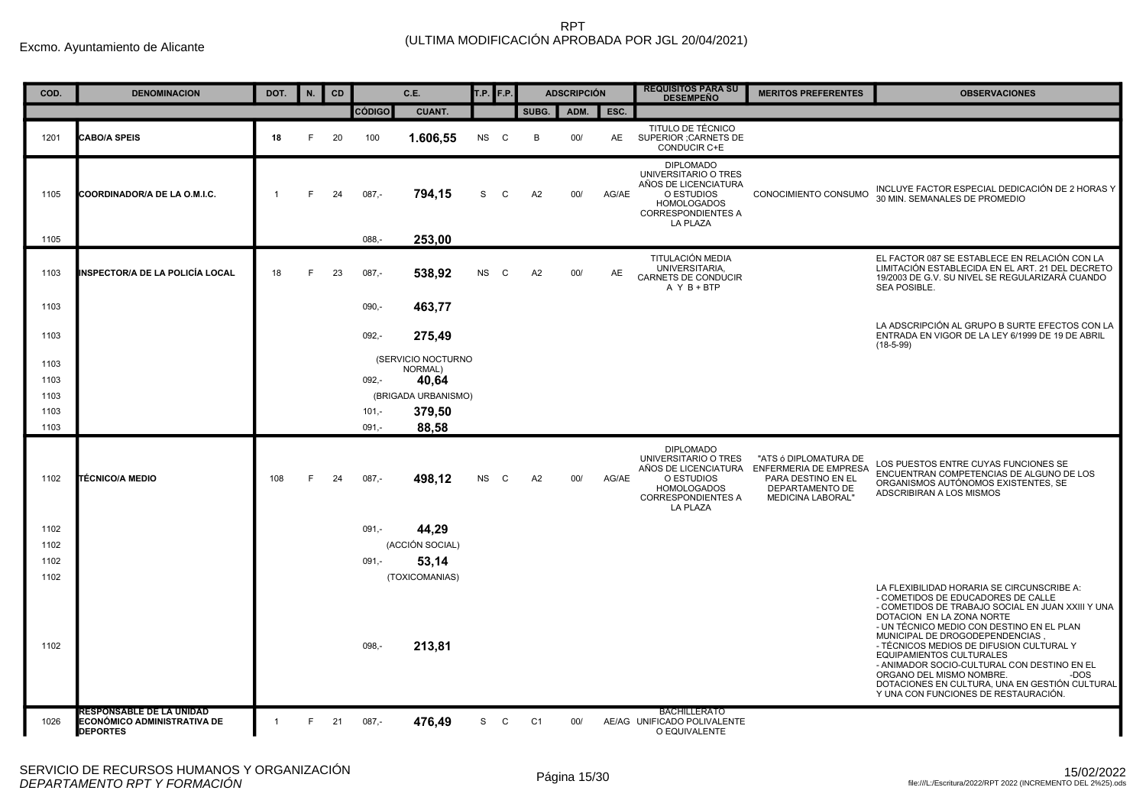| COD.         | <b>DENOMINACION</b>                                                        | DOT.           | N. | <b>CD</b> |               | C.E.                          | T.P. F.P. |              |                | <b>ADSCRIPCIÓN</b> |       | <b>REQUISITOS PARA SU</b><br><b>DESEMPEÑO</b>                                                                                                 | <b>MERITOS PREFERENTES</b>                                                                                                        | <b>OBSERVACIONES</b>                                                                                                                                                                                                                                                                                                                                                                                                                                                                                          |
|--------------|----------------------------------------------------------------------------|----------------|----|-----------|---------------|-------------------------------|-----------|--------------|----------------|--------------------|-------|-----------------------------------------------------------------------------------------------------------------------------------------------|-----------------------------------------------------------------------------------------------------------------------------------|---------------------------------------------------------------------------------------------------------------------------------------------------------------------------------------------------------------------------------------------------------------------------------------------------------------------------------------------------------------------------------------------------------------------------------------------------------------------------------------------------------------|
|              |                                                                            |                |    |           | <b>CÓDIGO</b> | <b>CUANT.</b>                 |           |              | SUBG.          | ADM.               | ESC.  |                                                                                                                                               |                                                                                                                                   |                                                                                                                                                                                                                                                                                                                                                                                                                                                                                                               |
| 1201         | <b>CABO/A SPEIS</b>                                                        | 18             | F. | 20        | 100           | 1.606,55                      | <b>NS</b> | $\mathsf{C}$ | B              | 00/                | AE    | TITULO DE TÉCNICO<br>SUPERIOR ; CARNETS DE<br><b>CONDUCIR C+E</b>                                                                             |                                                                                                                                   |                                                                                                                                                                                                                                                                                                                                                                                                                                                                                                               |
| 1105         | COORDINADOR/A DE LA O.M.I.C.                                               |                | F  | 24        | $087 -$       | 794,15                        | S         | $\mathsf{C}$ | A2             | 00/                | AG/AE | <b>DIPLOMADO</b><br>UNIVERSITARIO O TRES<br>AÑOS DE LICENCIATURA<br>O ESTUDIOS<br><b>HOMOLOGADOS</b><br><b>CORRESPONDIENTES A</b><br>LA PLAZA | CONOCIMIENTO CONSUMO                                                                                                              | INCLUYE FACTOR ESPECIAL DEDICACIÓN DE 2 HORAS Y<br>30 MIN. SEMANALES DE PROMEDIO                                                                                                                                                                                                                                                                                                                                                                                                                              |
| 1105         |                                                                            |                |    |           | 088.          | 253.00                        |           |              |                |                    |       |                                                                                                                                               |                                                                                                                                   |                                                                                                                                                                                                                                                                                                                                                                                                                                                                                                               |
| 1103         | INSPECTOR/A DE LA POLICÍA LOCAL                                            | 18             | F  | 23        | $087,-$       | 538,92                        | NS C      |              | A <sub>2</sub> | 00/                | AE    | TITULACIÓN MEDIA<br>UNIVERSITARIA,<br>CARNETS DE CONDUCIR<br>$A Y B + BTP$                                                                    |                                                                                                                                   | EL FACTOR 087 SE ESTABLECE EN RELACIÓN CON LA<br>LIMITACIÓN ESTABLECIDA EN EL ART. 21 DEL DECRETO<br>19/2003 DE G.V. SU NIVEL SE REGULARIZARÁ CUANDO<br><b>SEA POSIBLE.</b>                                                                                                                                                                                                                                                                                                                                   |
| 1103         |                                                                            |                |    |           | $090,-$       | 463,77                        |           |              |                |                    |       |                                                                                                                                               |                                                                                                                                   |                                                                                                                                                                                                                                                                                                                                                                                                                                                                                                               |
| 1103         |                                                                            |                |    |           | $092 -$       | 275,49                        |           |              |                |                    |       |                                                                                                                                               |                                                                                                                                   | LA ADSCRIPCIÓN AL GRUPO B SURTE EFECTOS CON LA<br>ENTRADA EN VIGOR DE LA LEY 6/1999 DE 19 DE ABRIL<br>$(18-5-99)$                                                                                                                                                                                                                                                                                                                                                                                             |
| 1103         |                                                                            |                |    |           |               | (SERVICIO NOCTURNO<br>NORMAL) |           |              |                |                    |       |                                                                                                                                               |                                                                                                                                   |                                                                                                                                                                                                                                                                                                                                                                                                                                                                                                               |
| 1103<br>1103 |                                                                            |                |    |           | $092 -$       | 40,64<br>(BRIGADA URBANISMO)  |           |              |                |                    |       |                                                                                                                                               |                                                                                                                                   |                                                                                                                                                                                                                                                                                                                                                                                                                                                                                                               |
| 1103         |                                                                            |                |    |           | $101 -$       | 379,50                        |           |              |                |                    |       |                                                                                                                                               |                                                                                                                                   |                                                                                                                                                                                                                                                                                                                                                                                                                                                                                                               |
| 1103         |                                                                            |                |    |           | $091 -$       | 88.58                         |           |              |                |                    |       |                                                                                                                                               |                                                                                                                                   |                                                                                                                                                                                                                                                                                                                                                                                                                                                                                                               |
| 1102         | <b>TÉCNICO/A MEDIO</b>                                                     | 108            | F. | 24        | $087 -$       | 498,12                        | <b>NS</b> | C            | A2             | 00/                | AG/AE | <b>DIPLOMADO</b><br>UNIVERSITARIO O TRES<br>O ESTUDIOS<br><b>HOMOLOGADOS</b><br><b>CORRESPONDIENTES A</b><br>LA PLAZA                         | "ATS 6 DIPLOMATURA DE<br>AÑOS DE LICENCIATURA ENFERMERIA DE EMPRESA<br>PARA DESTINO EN EL<br>DEPARTAMENTO DE<br>MEDICINA LABORAL" | LOS PUESTOS ENTRE CUYAS FUNCIONES SE<br>ENCUENTRAN COMPETENCIAS DE ALGUNO DE LOS<br>ORGANISMOS AUTÓNOMOS EXISTENTES, SE<br>ADSCRIBIRAN A LOS MISMOS                                                                                                                                                                                                                                                                                                                                                           |
| 1102         |                                                                            |                |    |           | $091 -$       | 44.29                         |           |              |                |                    |       |                                                                                                                                               |                                                                                                                                   |                                                                                                                                                                                                                                                                                                                                                                                                                                                                                                               |
| 1102         |                                                                            |                |    |           |               | (ACCIÓN SOCIAL)               |           |              |                |                    |       |                                                                                                                                               |                                                                                                                                   |                                                                                                                                                                                                                                                                                                                                                                                                                                                                                                               |
| 1102<br>1102 |                                                                            |                |    |           | $091 -$       | 53,14<br>(TOXICOMANIAS)       |           |              |                |                    |       |                                                                                                                                               |                                                                                                                                   |                                                                                                                                                                                                                                                                                                                                                                                                                                                                                                               |
| 1102         |                                                                            |                |    |           | 098,-         | 213,81                        |           |              |                |                    |       |                                                                                                                                               |                                                                                                                                   | LA FLEXIBILIDAD HORARIA SE CIRCUNSCRIBE A:<br>- COMETIDOS DE EDUCADORES DE CALLE<br>- COMETIDOS DE TRABAJO SOCIAL EN JUAN XXIII Y UNA<br>DOTACION EN LA ZONA NORTE<br>- UN TÉCNICO MEDIO CON DESTINO EN EL PLAN<br>MUNICIPAL DE DROGODEPENDENCIAS<br>- TÉCNICOS MEDIOS DE DIFUSION CULTURAL Y<br><b>EQUIPAMIENTOS CULTURALES</b><br>- ANIMADOR SOCIO-CULTURAL CON DESTINO EN EL<br>ORGANO DEL MISMO NOMBRE.<br>-DOS<br>DOTACIONES EN CULTURA. UNA EN GESTIÓN CULTURAL<br>Y UNA CON FUNCIONES DE RESTAURACIÓN. |
| 1026         | RESPONSABLE DE LA UNIDAD<br>ECONÓMICO ADMINISTRATIVA DE<br><b>DEPORTES</b> | $\overline{1}$ | F. | 21        | $087,-$       | 476,49                        | S C       |              | C <sub>1</sub> | 00/                |       | <b>BACHILLERATO</b><br>AE/AG UNIFICADO POLIVALENTE<br>O EQUIVALENTE                                                                           |                                                                                                                                   |                                                                                                                                                                                                                                                                                                                                                                                                                                                                                                               |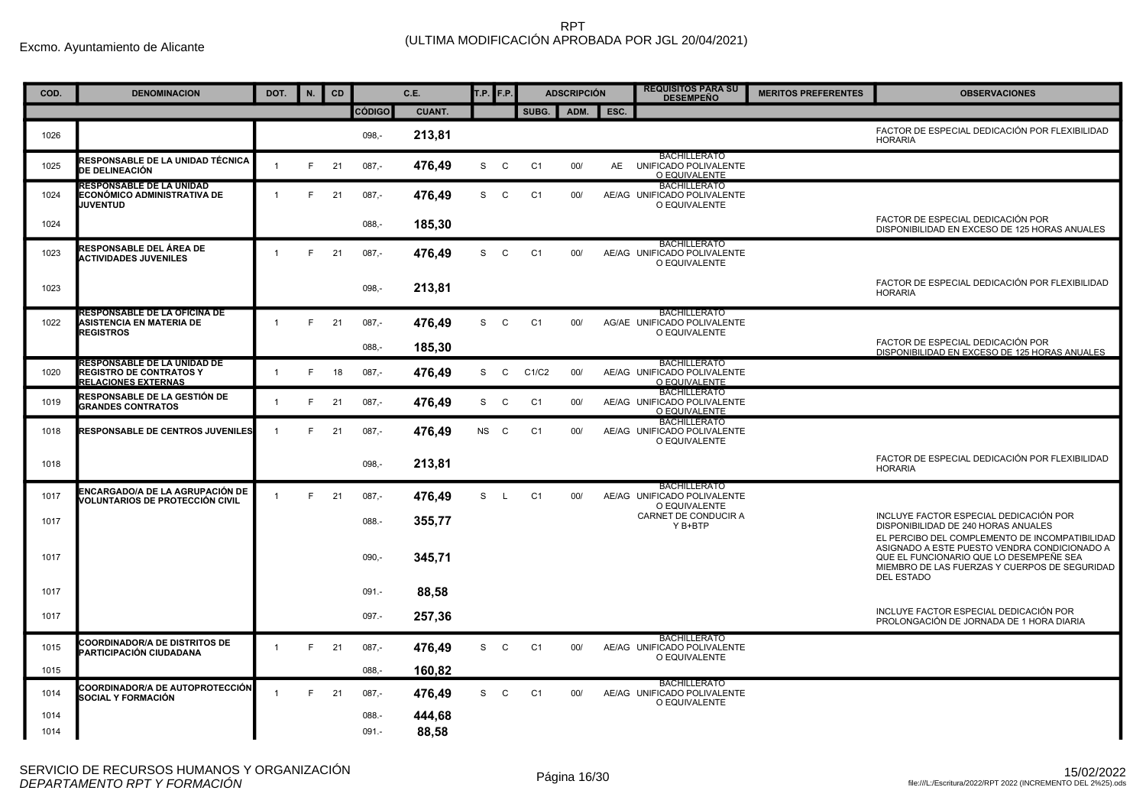| COD. | <b>DENOMINACION</b>                                                                         | DOT.         | N. | CD |               | C.E.   | T.P. <b>F.P.</b> |              |                | <b>ADSCRIPCIÓN</b> |      | <b>REQUISITOS PARA SU</b><br><b>DESEMPEÑO</b>                       | <b>MERITOS PREFERENTES</b> | <b>OBSERVACIONES</b>                                                                                                                                          |
|------|---------------------------------------------------------------------------------------------|--------------|----|----|---------------|--------|------------------|--------------|----------------|--------------------|------|---------------------------------------------------------------------|----------------------------|---------------------------------------------------------------------------------------------------------------------------------------------------------------|
|      |                                                                                             |              |    |    | <b>CÓDIGO</b> | CUANT. |                  |              | SUBG.          | ADM.               | ESC. |                                                                     |                            |                                                                                                                                                               |
| 1026 |                                                                                             |              |    |    | $098 -$       | 213,81 |                  |              |                |                    |      |                                                                     |                            | FACTOR DE ESPECIAL DEDICACIÓN POR FLEXIBILIDAD<br><b>HORARIA</b>                                                                                              |
| 1025 | RESPONSABLE DE LA UNIDAD TÉCNICA<br><b>DE DELINEACIÓN</b>                                   | $\mathbf{1}$ | F. | 21 | $087 -$       | 476,49 | S                | C            | C <sub>1</sub> | 00/                |      | <b>BACHILLERATO</b><br>AE UNIFICADO POLIVALENTE<br>O EQUIVALENTE    |                            |                                                                                                                                                               |
| 1024 | <b>RESPONSABLE DE LA UNIDAD</b><br>ECONÓMICO ADMINISTRATIVA DE<br><b>JUVENTUD</b>           | $\mathbf{1}$ | F  | 21 | $087 -$       | 476,49 | S                | C            | C1             | 00/                |      | <b>BACHILLERATO</b><br>AE/AG UNIFICADO POLIVALENTE<br>O EQUIVALENTE |                            |                                                                                                                                                               |
| 1024 |                                                                                             |              |    |    | $088,-$       | 185,30 |                  |              |                |                    |      |                                                                     |                            | FACTOR DE ESPECIAL DEDICACIÓN POR<br>DISPONIBILIDAD EN EXCESO DE 125 HORAS ANUALES                                                                            |
| 1023 | RESPONSABLE DEL ÁREA DE<br><b>ACTIVIDADES JUVENILES</b>                                     | $\mathbf{1}$ | E  | 21 | $087 -$       | 476.49 | S                | C            | C <sub>1</sub> | 00/                |      | <b>BACHILLERATO</b><br>AE/AG UNIFICADO POLIVALENTE<br>O EQUIVALENTE |                            |                                                                                                                                                               |
| 1023 |                                                                                             |              |    |    | $098 -$       | 213,81 |                  |              |                |                    |      |                                                                     |                            | FACTOR DE ESPECIAL DEDICACIÓN POR FLEXIBILIDAD<br><b>HORARIA</b>                                                                                              |
| 1022 | <b>RESPONSABLE DE LA OFICINA DE</b><br><b>ASISTENCIA EN MATERIA DE</b><br><b>REGISTROS</b>  | $\mathbf{1}$ | F  | 21 | $087 -$       | 476,49 | S                | $\mathbf{C}$ | C <sub>1</sub> | 00/                |      | <b>BACHILLERATO</b><br>AG/AE UNIFICADO POLIVALENTE<br>O EQUIVALENTE |                            |                                                                                                                                                               |
|      |                                                                                             |              |    |    | $088 -$       | 185.30 |                  |              |                |                    |      |                                                                     |                            | FACTOR DE ESPECIAL DEDICACIÓN POR<br>DISPONIBILIDAD EN EXCESO DE 125 HORAS ANUALES                                                                            |
| 1020 | RESPONSABLE DE LA UNIDAD DE<br><b>REGISTRO DE CONTRATOS Y</b><br><b>RELACIONES EXTERNAS</b> | -1           | E  | 18 | $087 -$       | 476,49 | S                | $\mathsf{C}$ | C1/C2          | 00/                |      | <b>BACHILLERATO</b><br>AE/AG UNIFICADO POLIVALENTE<br>O EQUIVALENTE |                            |                                                                                                                                                               |
| 1019 | RESPONSABLE DE LA GESTIÓN DE<br><b>GRANDES CONTRATOS</b>                                    | $\mathbf{1}$ | F  | 21 | $087 -$       | 476,49 | S                | C            | C1             | 00/                |      | <b>BACHILLERATO</b><br>AE/AG UNIFICADO POLIVALENTE<br>O EQUIVALENTE |                            |                                                                                                                                                               |
| 1018 | <b>RESPONSABLE DE CENTROS JUVENILES</b>                                                     | $\mathbf{1}$ | E  | 21 | $087 -$       | 476,49 | <b>NS</b>        | C            | C <sub>1</sub> | 00/                |      | <b>BACHILLERATO</b><br>AE/AG UNIFICADO POLIVALENTE<br>O EQUIVALENTE |                            |                                                                                                                                                               |
| 1018 |                                                                                             |              |    |    | $098, -$      | 213,81 |                  |              |                |                    |      |                                                                     |                            | FACTOR DE ESPECIAL DEDICACIÓN POR FLEXIBILIDAD<br><b>HORARIA</b>                                                                                              |
| 1017 | ENCARGADO/A DE LA AGRUPACIÓN DE<br>/OLUNTARIOS DE PROTECCIÓN CIVIL                          | $\mathbf{1}$ | E  | 21 | $087 -$       | 476,49 | S.               | $\mathsf{L}$ | C <sub>1</sub> | 00/                |      | <b>BACHILLERATO</b><br>AE/AG UNIFICADO POLIVALENTE<br>O EQUIVALENTE |                            |                                                                                                                                                               |
| 1017 |                                                                                             |              |    |    | 088.-         | 355,77 |                  |              |                |                    |      | CARNET DE CONDUCIR A<br>Y B+BTP                                     |                            | INCLUYE FACTOR ESPECIAL DEDICACIÓN POR<br>DISPONIBILIDAD DE 240 HORAS ANUALES<br>EL PERCIBO DEL COMPLEMENTO DE INCOMPATIBILIDAD                               |
| 1017 |                                                                                             |              |    |    | $090 -$       | 345.71 |                  |              |                |                    |      |                                                                     |                            | ASIGNADO A ESTE PUESTO VENDRA CONDICIONADO A<br>QUE EL FUNCIONARIO QUE LO DESEMPEÑE SEA<br>MIEMBRO DE LAS FUERZAS Y CUERPOS DE SEGURIDAD<br><b>DEL ESTADO</b> |
| 1017 |                                                                                             |              |    |    | $091 -$       | 88,58  |                  |              |                |                    |      |                                                                     |                            |                                                                                                                                                               |
| 1017 |                                                                                             |              |    |    | $097 -$       | 257,36 |                  |              |                |                    |      |                                                                     |                            | INCLUYE FACTOR ESPECIAL DEDICACIÓN POR<br>PROLONGACIÓN DE JORNADA DE 1 HORA DIARIA                                                                            |
| 1015 | <b>COORDINADOR/A DE DISTRITOS DE</b><br>PARTICIPACIÓN CIUDADANA                             | $\mathbf{1}$ | E  | 21 | $087 -$       | 476,49 | S                | C            | C <sub>1</sub> | 00/                |      | <b>BACHILLERATO</b><br>AE/AG UNIFICADO POLIVALENTE<br>O EQUIVALENTE |                            |                                                                                                                                                               |
| 1015 |                                                                                             |              |    |    | $088 -$       | 160,82 |                  |              |                |                    |      |                                                                     |                            |                                                                                                                                                               |
| 1014 | COORDINADOR/A DE AUTOPROTECCIÓN<br>SOCIAL Y FORMACIÓN                                       | $\mathbf{1}$ | F. | 21 | $087 -$       | 476,49 | S.               | $\mathbf{C}$ | C <sub>1</sub> | 00/                |      | <b>BACHILLERATO</b><br>AE/AG UNIFICADO POLIVALENTE<br>O EQUIVALENTE |                            |                                                                                                                                                               |
| 1014 |                                                                                             |              |    |    | 088.-         | 444,68 |                  |              |                |                    |      |                                                                     |                            |                                                                                                                                                               |
| 1014 |                                                                                             |              |    |    | $091 -$       | 88,58  |                  |              |                |                    |      |                                                                     |                            |                                                                                                                                                               |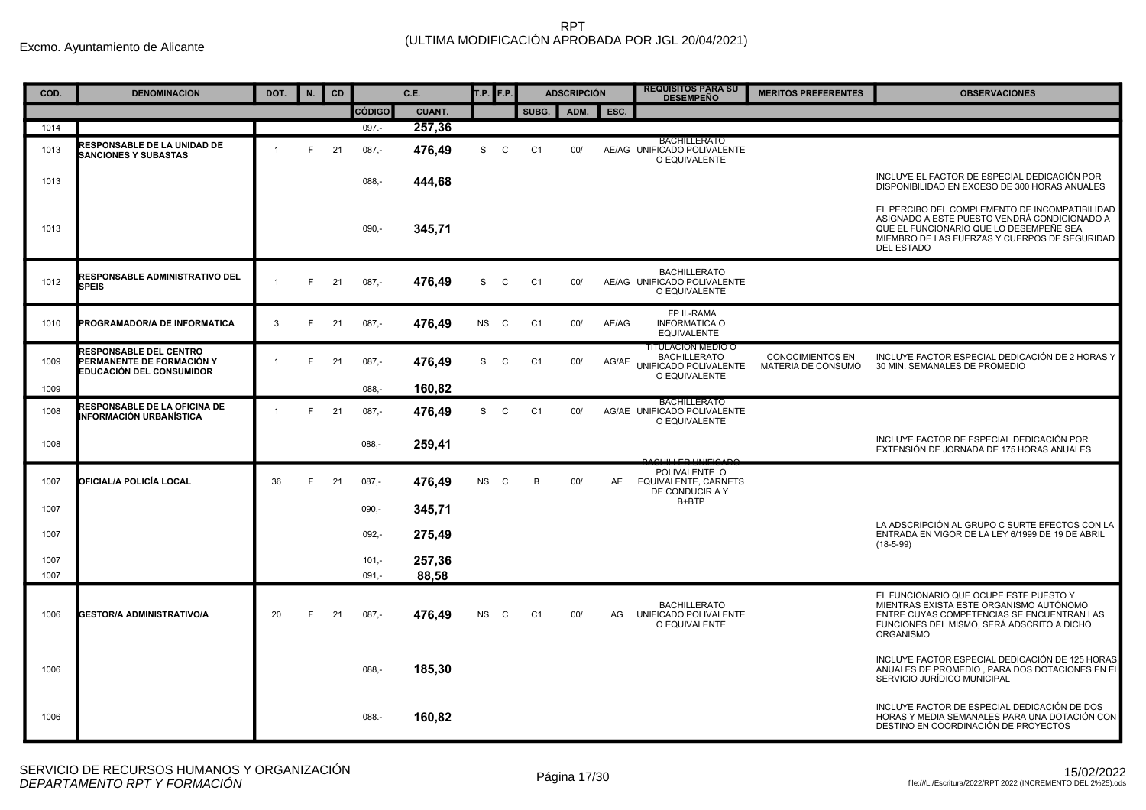| COD. | <b>DENOMINACION</b>                                                                    | DOT.           | N. | CD |               | C.E.          | T.P.      | F.P.         |                | <b>ADSCRIPCIÓN</b> |           | <b>REQUISITOS PARA SU</b><br><b>DESEMPEÑO</b>                                       | <b>MERITOS PREFERENTES</b>                    | <b>OBSERVACIONES</b>                                                                                                                                                                                            |
|------|----------------------------------------------------------------------------------------|----------------|----|----|---------------|---------------|-----------|--------------|----------------|--------------------|-----------|-------------------------------------------------------------------------------------|-----------------------------------------------|-----------------------------------------------------------------------------------------------------------------------------------------------------------------------------------------------------------------|
|      |                                                                                        |                |    |    | <b>CÓDIGO</b> | <b>CUANT.</b> |           |              | SUBG.          | ADM.               | ESC.      |                                                                                     |                                               |                                                                                                                                                                                                                 |
| 1014 |                                                                                        |                |    |    | 097.-         | 257,36        |           |              |                |                    |           |                                                                                     |                                               |                                                                                                                                                                                                                 |
| 1013 | <b>RESPONSABLE DE LA UNIDAD DE</b><br><b>SANCIONES Y SUBASTAS</b>                      | $\overline{1}$ | F  | 21 | $087,-$       | 476,49        | S         | C            | C1             | 00/                |           | <b>BACHILLERATO</b><br>AE/AG UNIFICADO POLIVALENTE<br>O EQUIVALENTE                 |                                               |                                                                                                                                                                                                                 |
| 1013 |                                                                                        |                |    |    | $088, -$      | 444,68        |           |              |                |                    |           |                                                                                     |                                               | INCLUYE EL FACTOR DE ESPECIAL DEDICACIÓN POR<br>DISPONIBILIDAD EN EXCESO DE 300 HORAS ANUALES                                                                                                                   |
| 1013 |                                                                                        |                |    |    | $090 -$       | 345,71        |           |              |                |                    |           |                                                                                     |                                               | EL PERCIBO DEL COMPLEMENTO DE INCOMPATIBILIDAD<br>ASIGNADO A ESTE PUESTO VENDRÁ CONDICIONADO A<br>QUE EL FUNCIONARIO QUE LO DESEMPEÑE SEA<br>MIEMBRO DE LAS FUERZAS Y CUERPOS DE SEGURIDAD<br><b>DEL ESTADO</b> |
| 1012 | RESPONSABLE ADMINISTRATIVO DEL<br><b>SPEIS</b>                                         | $\overline{1}$ | F  | 21 | $087,-$       | 476,49        | S         | $\mathsf{C}$ | C <sub>1</sub> | 00/                |           | <b>BACHILLERATO</b><br>AE/AG UNIFICADO POLIVALENTE<br>O EQUIVALENTE                 |                                               |                                                                                                                                                                                                                 |
| 1010 | PROGRAMADOR/A DE INFORMATICA                                                           | 3              | F  | 21 | $087 -$       | 476,49        | NS C      |              | C <sub>1</sub> | 00/                | AE/AG     | FP II.-RAMA<br><b>INFORMATICA O</b><br><b>EQUIVALENTE</b>                           |                                               |                                                                                                                                                                                                                 |
| 1009 | <b>RESPONSABLE DEL CENTRO</b><br>PERMANENTE DE FORMACIÓN Y<br>EDUCACIÓN DEL CONSUMIDOR | $\mathbf{1}$   | F  | 21 | $087 -$       | 476,49        | S         | $\mathsf{C}$ | C <sub>1</sub> | 00/                | AG/AE     | TITULACION MEDIO O<br><b>BACHILLERATO</b><br>UNIFICADO POLIVALENTE<br>O EQUIVALENTE | <b>CONOCIMIENTOS EN</b><br>MATERIA DE CONSUMO | INCLUYE FACTOR ESPECIAL DEDICACIÓN DE 2 HORAS Y<br>30 MIN. SEMANALES DE PROMEDIO                                                                                                                                |
| 1009 |                                                                                        |                |    |    | $088 -$       | 160,82        |           |              |                |                    |           |                                                                                     |                                               |                                                                                                                                                                                                                 |
| 1008 | <b>RESPONSABLE DE LA OFICINA DE</b><br>INFORMACIÓN URBANÍSTICA                         | $\overline{1}$ | F  | 21 | $087,-$       | 476,49        | S         | $\mathsf{C}$ | C <sub>1</sub> | 00/                |           | <b>BACHILLERATO</b><br>AG/AE UNIFICADO POLIVALENTE<br>O EQUIVALENTE                 |                                               |                                                                                                                                                                                                                 |
| 1008 |                                                                                        |                |    |    | $088 -$       | 259,41        |           |              |                |                    |           |                                                                                     |                                               | INCLUYE FACTOR DE ESPECIAL DEDICACIÓN POR<br>EXTENSIÓN DE JORNADA DE 175 HORAS ANUALES                                                                                                                          |
| 1007 | OFICIAL/A POLICÍA LOCAL                                                                | 36             | F  | 21 | $087 -$       | 476,49        | NS C      |              | B              | 00/                | <b>AE</b> | POLIVALENTE O<br><b>EQUIVALENTE, CARNETS</b><br>DE CONDUCIR A Y                     |                                               |                                                                                                                                                                                                                 |
| 1007 |                                                                                        |                |    |    | $090,-$       | 345,71        |           |              |                |                    |           | B+BTP                                                                               |                                               |                                                                                                                                                                                                                 |
| 1007 |                                                                                        |                |    |    | $092 -$       | 275,49        |           |              |                |                    |           |                                                                                     |                                               | LA ADSCRIPCIÓN AL GRUPO C SURTE EFECTOS CON LA<br>ENTRADA EN VIGOR DE LA LEY 6/1999 DE 19 DE ABRIL<br>$(18-5-99)$                                                                                               |
| 1007 |                                                                                        |                |    |    | $101 -$       | 257,36        |           |              |                |                    |           |                                                                                     |                                               |                                                                                                                                                                                                                 |
| 1007 |                                                                                        |                |    |    | $091 -$       | 88,58         |           |              |                |                    |           |                                                                                     |                                               |                                                                                                                                                                                                                 |
| 1006 | <b>GESTOR/A ADMINISTRATIVO/A</b>                                                       | 20             | F  | 21 | $087 -$       | 476,49        | <b>NS</b> | $\mathbf{C}$ | C <sub>1</sub> | 00/                | AG        | <b>BACHILLERATO</b><br>UNIFICADO POLIVALENTE<br>O EQUIVALENTE                       |                                               | EL FUNCIONARIO QUE OCUPE ESTE PUESTO Y<br>MIENTRAS EXISTA ESTE ORGANISMO AUTÓNOMO<br>ENTRE CUYAS COMPETENCIAS SE ENCUENTRAN LAS<br>FUNCIONES DEL MISMO, SERÁ ADSCRITO A DICHO<br>ORGANISMO                      |
| 1006 |                                                                                        |                |    |    | $088 -$       | 185,30        |           |              |                |                    |           |                                                                                     |                                               | INCLUYE FACTOR ESPECIAL DEDICACIÓN DE 125 HORAS<br>ANUALES DE PROMEDIO. PARA DOS DOTACIONES EN EL<br>SERVICIO JURÍDICO MUNICIPAL                                                                                |
| 1006 |                                                                                        |                |    |    | $088 -$       | 160,82        |           |              |                |                    |           |                                                                                     |                                               | INCLUYE FACTOR DE ESPECIAL DEDICACIÓN DE DOS<br>HORAS Y MEDIA SEMANALES PARA UNA DOTACIÓN CON<br>DESTINO EN COORDINACIÓN DE PROYECTOS                                                                           |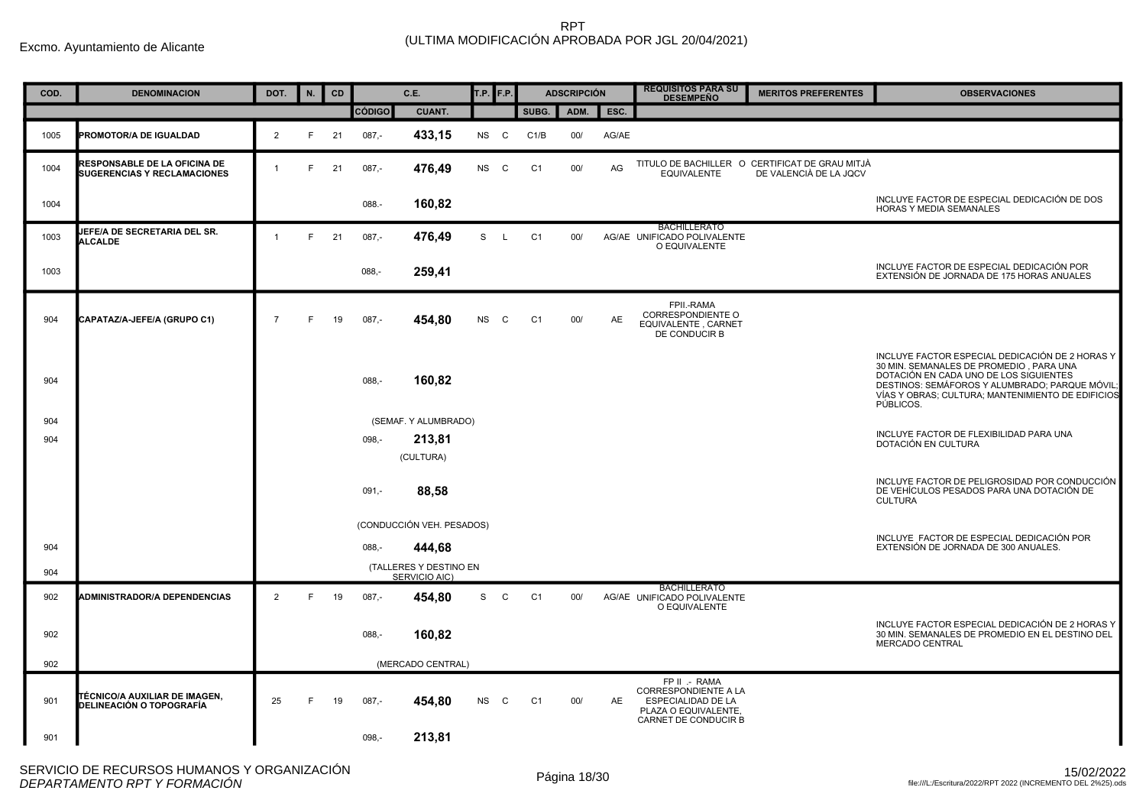| COD. | <b>DENOMINACION</b>                                                       | DOT.           | N. | CD |               | C.E.                                    | T.P. <b>F.P.</b> |              |                | <b>ADSCRIPCIÓN</b> |       | <b>REQUISITOS PARA SU</b><br><b>DESEMPEÑO</b>                                                                      | <b>MERITOS PREFERENTES</b>                                               | <b>OBSERVACIONES</b>                                                                                                                                                                                                                                     |
|------|---------------------------------------------------------------------------|----------------|----|----|---------------|-----------------------------------------|------------------|--------------|----------------|--------------------|-------|--------------------------------------------------------------------------------------------------------------------|--------------------------------------------------------------------------|----------------------------------------------------------------------------------------------------------------------------------------------------------------------------------------------------------------------------------------------------------|
|      |                                                                           |                |    |    | <b>CÓDIGO</b> | <b>CUANT.</b>                           |                  |              | SUBG.          | ADM.               | ESC.  |                                                                                                                    |                                                                          |                                                                                                                                                                                                                                                          |
| 1005 | <b>PROMOTOR/A DE IGUALDAD</b>                                             | 2              | E  | 21 | $087,-$       | 433,15                                  | NS C             |              | C1/B           | 00/                | AG/AE |                                                                                                                    |                                                                          |                                                                                                                                                                                                                                                          |
| 1004 | <b>RESPONSABLE DE LA OFICINA DE</b><br><b>SUGERENCIAS Y RECLAMACIONES</b> | $\overline{1}$ | F  | 21 | $087,-$       | 476,49                                  | <b>NS</b>        | C.           | C <sub>1</sub> | 00/                | AG    | <b>EQUIVALENTE</b>                                                                                                 | TITULO DE BACHILLER O CERTIFICAT DE GRAU MITJÀ<br>DE VALENCIÀ DE LA JOCV |                                                                                                                                                                                                                                                          |
| 1004 |                                                                           |                |    |    | 088.-         | 160,82                                  |                  |              |                |                    |       |                                                                                                                    |                                                                          | INCLUYE FACTOR DE ESPECIAL DEDICACIÓN DE DOS<br><b>HORAS Y MEDIA SEMANALES</b>                                                                                                                                                                           |
| 1003 | JEFE/A DE SECRETARIA DEL SR.<br><b>ALCALDE</b>                            | $\overline{1}$ | F. | 21 | $087,-$       | 476,49                                  | S                | $\mathsf{L}$ | C <sub>1</sub> | 00/                |       | <b>BACHILLERATO</b><br>AG/AE UNIFICADO POLIVALENTE<br>O EQUIVALENTE                                                |                                                                          |                                                                                                                                                                                                                                                          |
| 1003 |                                                                           |                |    |    | $088, -$      | 259,41                                  |                  |              |                |                    |       |                                                                                                                    |                                                                          | INCLUYE FACTOR DE ESPECIAL DEDICACIÓN POR<br>EXTENSIÓN DE JORNADA DE 175 HORAS ANUALES                                                                                                                                                                   |
| 904  | CAPATAZ/A-JEFE/A (GRUPO C1)                                               | $\overline{7}$ | F. | 19 | $087,-$       | 454,80                                  | <b>NS</b>        | C            | C <sub>1</sub> | 00/                | AE    | FPII.-RAMA<br><b>CORRESPONDIENTE O</b><br>EQUIVALENTE, CARNET<br>DE CONDUCIR B                                     |                                                                          |                                                                                                                                                                                                                                                          |
| 904  |                                                                           |                |    |    | $088, -$      | 160,82                                  |                  |              |                |                    |       |                                                                                                                    |                                                                          | INCLUYE FACTOR ESPECIAL DEDICACIÓN DE 2 HORAS Y<br>30 MIN. SEMANALES DE PROMEDIO, PARA UNA<br>DOTACIÓN EN CADA UNO DE LOS SIGUIENTES<br>DESTINOS: SEMÁFOROS Y ALUMBRADO; PARQUE MÓVIL;<br>VÍAS Y OBRAS: CULTURA: MANTENIMIENTO DE EDIFICIOS<br>PÚBLICOS. |
| 904  |                                                                           |                |    |    |               | (SEMAF. Y ALUMBRADO)                    |                  |              |                |                    |       |                                                                                                                    |                                                                          | INCLUYE FACTOR DE FLEXIBILIDAD PARA UNA                                                                                                                                                                                                                  |
| 904  |                                                                           |                |    |    | $098 -$       | 213,81                                  |                  |              |                |                    |       |                                                                                                                    |                                                                          | DOTACIÓN EN CULTURA                                                                                                                                                                                                                                      |
|      |                                                                           |                |    |    |               | (CULTURA)                               |                  |              |                |                    |       |                                                                                                                    |                                                                          |                                                                                                                                                                                                                                                          |
|      |                                                                           |                |    |    | $091,-$       | 88,58                                   |                  |              |                |                    |       |                                                                                                                    |                                                                          | INCLUYE FACTOR DE PELIGROSIDAD POR CONDUCCIÓN<br>DE VEHÍCULOS PESADOS PARA UNA DOTACIÓN DE<br><b>CULTURA</b>                                                                                                                                             |
|      |                                                                           |                |    |    |               | (CONDUCCIÓN VEH. PESADOS)               |                  |              |                |                    |       |                                                                                                                    |                                                                          |                                                                                                                                                                                                                                                          |
| 904  |                                                                           |                |    |    | $088 -$       | 444,68                                  |                  |              |                |                    |       |                                                                                                                    |                                                                          | INCLUYE FACTOR DE ESPECIAL DEDICACIÓN POR<br>EXTENSIÓN DE JORNADA DE 300 ANUALES.                                                                                                                                                                        |
| 904  |                                                                           |                |    |    |               | (TALLERES Y DESTINO EN<br>SERVICIO AIC) |                  |              |                |                    |       |                                                                                                                    |                                                                          |                                                                                                                                                                                                                                                          |
| 902  | <b>ADMINISTRADOR/A DEPENDENCIAS</b>                                       | 2              | F. | 19 | $087,-$       | 454,80                                  | S                | C            | C <sub>1</sub> | 00/                |       | <b>BACHILLERATO</b><br>AG/AE UNIFICADO POLIVALENTE<br>O EQUIVALENTE                                                |                                                                          |                                                                                                                                                                                                                                                          |
| 902  |                                                                           |                |    |    | $088 -$       | 160,82                                  |                  |              |                |                    |       |                                                                                                                    |                                                                          | INCLUYE FACTOR ESPECIAL DEDICACIÓN DE 2 HORAS Y<br>30 MIN. SEMANALES DE PROMEDIO EN EL DESTINO DEL<br>MERCADO CENTRAL                                                                                                                                    |
| 902  |                                                                           |                |    |    |               | (MERCADO CENTRAL)                       |                  |              |                |                    |       |                                                                                                                    |                                                                          |                                                                                                                                                                                                                                                          |
| 901  | TÉCNICO/A AUXILIAR DE IMAGEN,<br>DELINEACIÓN O TOPOGRAFÍA                 | 25             | F  | 19 | $087,-$       | 454,80                                  | <b>NS</b>        | C            | C <sub>1</sub> | 00/                | AE    | FP II .- RAMA<br><b>CORRESPONDIENTE A LA</b><br>ESPECIALIDAD DE LA<br>PLAZA O EQUIVALENTE.<br>CARNET DE CONDUCIR B |                                                                          |                                                                                                                                                                                                                                                          |
| 901  |                                                                           |                |    |    | $098 -$       | 213,81                                  |                  |              |                |                    |       |                                                                                                                    |                                                                          |                                                                                                                                                                                                                                                          |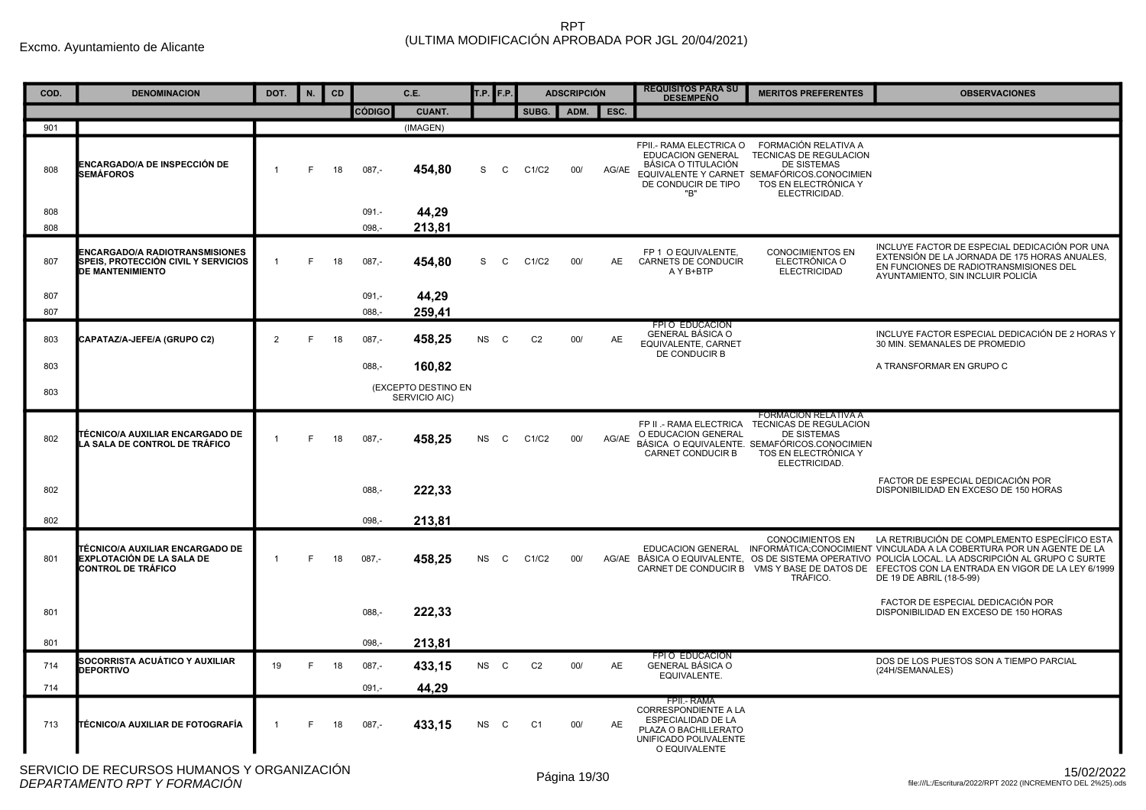| COD. | <b>DENOMINACION</b>                                                                                     | DOT.           | N. | <b>CD</b> |               | C.E.                                 |           | T.P. <b>F.P.</b> |                | <b>ADSCRIPCIÓN</b> |           | <b>REQUISITOS PARA SU</b><br><b>DESEMPEÑO</b>                                                                                             | <b>MERITOS PREFERENTES</b>                                                                                                                                           | <b>OBSERVACIONES</b>                                                                                                                                                                                                                                                                                                                                                      |
|------|---------------------------------------------------------------------------------------------------------|----------------|----|-----------|---------------|--------------------------------------|-----------|------------------|----------------|--------------------|-----------|-------------------------------------------------------------------------------------------------------------------------------------------|----------------------------------------------------------------------------------------------------------------------------------------------------------------------|---------------------------------------------------------------------------------------------------------------------------------------------------------------------------------------------------------------------------------------------------------------------------------------------------------------------------------------------------------------------------|
|      |                                                                                                         |                |    |           | <b>CÓDIGO</b> | <b>CUANT.</b>                        |           |                  | SUBG.          |                    | ADM. ESC. |                                                                                                                                           |                                                                                                                                                                      |                                                                                                                                                                                                                                                                                                                                                                           |
| 901  |                                                                                                         |                |    |           |               | (IMAGEN)                             |           |                  |                |                    |           |                                                                                                                                           |                                                                                                                                                                      |                                                                                                                                                                                                                                                                                                                                                                           |
| 808  | ENCARGADO/A DE INSPECCIÓN DE<br><b>SEMÁFOROS</b>                                                        | $\overline{1}$ | E  | 18        | $087 -$       | 454,80                               | S         | C                | C1/C2          | 00/                | AG/AE     | FPII.- RAMA ELECTRICA O<br><b>EDUCACION GENERAL</b><br>BÁSICA O TITULACIÓN<br>DE CONDUCIR DE TIPO<br>"B"                                  | FORMACIÓN RELATIVA A<br>TECNICAS DE REGULACION<br><b>DE SISTEMAS</b><br>EQUIVALENTE Y CARNET SEMAFÓRICOS.CONOCIMIEN<br>TOS EN ELECTRÓNICA Y<br>ELECTRICIDAD.         |                                                                                                                                                                                                                                                                                                                                                                           |
| 808  |                                                                                                         |                |    |           | $091 -$       | 44,29                                |           |                  |                |                    |           |                                                                                                                                           |                                                                                                                                                                      |                                                                                                                                                                                                                                                                                                                                                                           |
| 808  |                                                                                                         |                |    |           | $098 -$       | 213,81                               |           |                  |                |                    |           |                                                                                                                                           |                                                                                                                                                                      |                                                                                                                                                                                                                                                                                                                                                                           |
| 807  | <b>ENCARGADO/A RADIOTRANSMISIONES</b><br>SPEIS, PROTECCIÓN CIVIL Y SERVICIOS<br><b>DE MANTENIMIENTO</b> | $\mathbf 1$    | F  | 18        | $087 -$       | 454.80                               | S         | C                | C1/C2          | 00/                | <b>AE</b> | FP 1 O EQUIVALENTE.<br>CARNETS DE CONDUCIR<br>A Y B+BTP                                                                                   | <b>CONOCIMIENTOS EN</b><br>ELECTRÓNICA O<br><b>ELECTRICIDAD</b>                                                                                                      | INCLUYE FACTOR DE ESPECIAL DEDICACIÓN POR UNA<br>EXTENSIÓN DE LA JORNADA DE 175 HORAS ANUALES,<br>EN FUNCIONES DE RADIOTRANSMISIONES DEL<br>AYUNTAMIENTO, SIN INCLUIR POLICÍA                                                                                                                                                                                             |
| 807  |                                                                                                         |                |    |           | $091,-$       | 44,29                                |           |                  |                |                    |           |                                                                                                                                           |                                                                                                                                                                      |                                                                                                                                                                                                                                                                                                                                                                           |
| 807  |                                                                                                         |                |    |           | $088 -$       | 259.41                               |           |                  |                |                    |           |                                                                                                                                           |                                                                                                                                                                      |                                                                                                                                                                                                                                                                                                                                                                           |
| 803  | CAPATAZ/A-JEFE/A (GRUPO C2)                                                                             | 2              | F  | 18        | $087 -$       | 458,25                               | NS        | C                | C <sub>2</sub> | 00/                | AE        | FPI O EDUCACION<br>GENERAL BÁSICA O<br>EQUIVALENTE, CARNET<br>DE CONDUCIR B                                                               |                                                                                                                                                                      | INCLUYE FACTOR ESPECIAL DEDICACIÓN DE 2 HORAS Y<br>30 MIN. SEMANALES DE PROMEDIO                                                                                                                                                                                                                                                                                          |
| 803  |                                                                                                         |                |    |           | $088,-$       | 160,82                               |           |                  |                |                    |           |                                                                                                                                           |                                                                                                                                                                      | A TRANSFORMAR EN GRUPO C                                                                                                                                                                                                                                                                                                                                                  |
| 803  |                                                                                                         |                |    |           |               | (EXCEPTO DESTINO EN<br>SERVICIO AIC) |           |                  |                |                    |           |                                                                                                                                           |                                                                                                                                                                      |                                                                                                                                                                                                                                                                                                                                                                           |
| 802  | TÉCNICO/A AUXILIAR ENCARGADO DE<br>LA SALA DE CONTROL DE TRÁFICO                                        | $\mathbf 1$    | F  | 18        | $087,-$       | 458.25                               | <b>NS</b> | C                | C1/C2          | 00/                | AG/AE     | FP II .- RAMA ELECTRICA<br>O EDUCACION GENERAL<br>CARNET CONDUCIR B                                                                       | FORMACION RELATIVA A<br><b>TECNICAS DE REGULACION</b><br><b>DE SISTEMAS</b><br>BÁSICA O EQUIVALENTE. SEMAFÓRICOS.CONOCIMIEN<br>TOS EN ELECTRÓNICA Y<br>ELECTRICIDAD. |                                                                                                                                                                                                                                                                                                                                                                           |
| 802  |                                                                                                         |                |    |           | $088 -$       | 222,33                               |           |                  |                |                    |           |                                                                                                                                           |                                                                                                                                                                      | FACTOR DE ESPECIAL DEDICACIÓN POR<br>DISPONIBILIDAD EN EXCESO DE 150 HORAS                                                                                                                                                                                                                                                                                                |
| 802  |                                                                                                         |                |    |           | $098 -$       | 213.81                               |           |                  |                |                    |           |                                                                                                                                           |                                                                                                                                                                      |                                                                                                                                                                                                                                                                                                                                                                           |
| 801  | TÉCNICO/A AUXILIAR ENCARGADO DE<br><b>EXPLOTACIÓN DE LA SALA DE</b><br><b>CONTROL DE TRÁFICO</b>        | $\overline{1}$ | F  | 18        | $087,-$       | 458,25                               | <b>NS</b> | C                | C1/C2          | 00/                |           |                                                                                                                                           | <b>CONOCIMIENTOS EN</b><br>TRÁFICO.                                                                                                                                  | LA RETRIBUCIÓN DE COMPLEMENTO ESPECÍFICO ESTA<br>EDUCACION GENERAL INFORMÁTICA;CONOCIMIENT VINCULADA A LA COBERTURA POR UN AGENTE DE LA<br>AG/AE BÁSICA O EQUIVALENTE, OS DE SISTEMA OPERATIVO POLICÍA LOCAL. LA ADSCRIPCIÓN AL GRUPO C SURTE<br>CARNET DE CONDUCIR B VMS Y BASE DE DATOS DE EFECTOS CON LA ENTRADA EN VIGOR DE LA LEY 6/1999<br>DE 19 DE ABRIL (18-5-99) |
| 801  |                                                                                                         |                |    |           | $088 -$       | 222,33                               |           |                  |                |                    |           |                                                                                                                                           |                                                                                                                                                                      | FACTOR DE ESPECIAL DEDICACIÓN POR<br>DISPONIBILIDAD EN EXCESO DE 150 HORAS                                                                                                                                                                                                                                                                                                |
| 801  |                                                                                                         |                |    |           | $098 -$       | 213.81                               |           |                  |                |                    |           |                                                                                                                                           |                                                                                                                                                                      |                                                                                                                                                                                                                                                                                                                                                                           |
| 714  | SOCORRISTA ACUÁTICO Y AUXILIAR<br><b>DEPORTIVO</b>                                                      | 19             | F. | 18        | $087,-$       | 433,15                               | NS C      |                  | C <sub>2</sub> | 00/                | AE        | FPI O EDUCACION<br>GENERAL BÁSICA O<br>EQUIVALENTE.                                                                                       |                                                                                                                                                                      | DOS DE LOS PUESTOS SON A TIEMPO PARCIAL<br>(24H/SEMANALES)                                                                                                                                                                                                                                                                                                                |
| 714  |                                                                                                         |                |    |           | $091 -$       | 44,29                                |           |                  |                |                    |           |                                                                                                                                           |                                                                                                                                                                      |                                                                                                                                                                                                                                                                                                                                                                           |
| 713  | TÉCNICO/A AUXILIAR DE FOTOGRAFÍA                                                                        | $\mathbf 1$    | E  | 18        | $087 -$       | 433.15                               | NS C      |                  | C <sub>1</sub> | 00/                | AE        | FPII.- RAMA<br><b>CORRESPONDIENTE A LA</b><br><b>ESPECIALIDAD DE LA</b><br>PLAZA O BACHILLERATO<br>UNIFICADO POLIVALENTE<br>O EQUIVALENTE |                                                                                                                                                                      |                                                                                                                                                                                                                                                                                                                                                                           |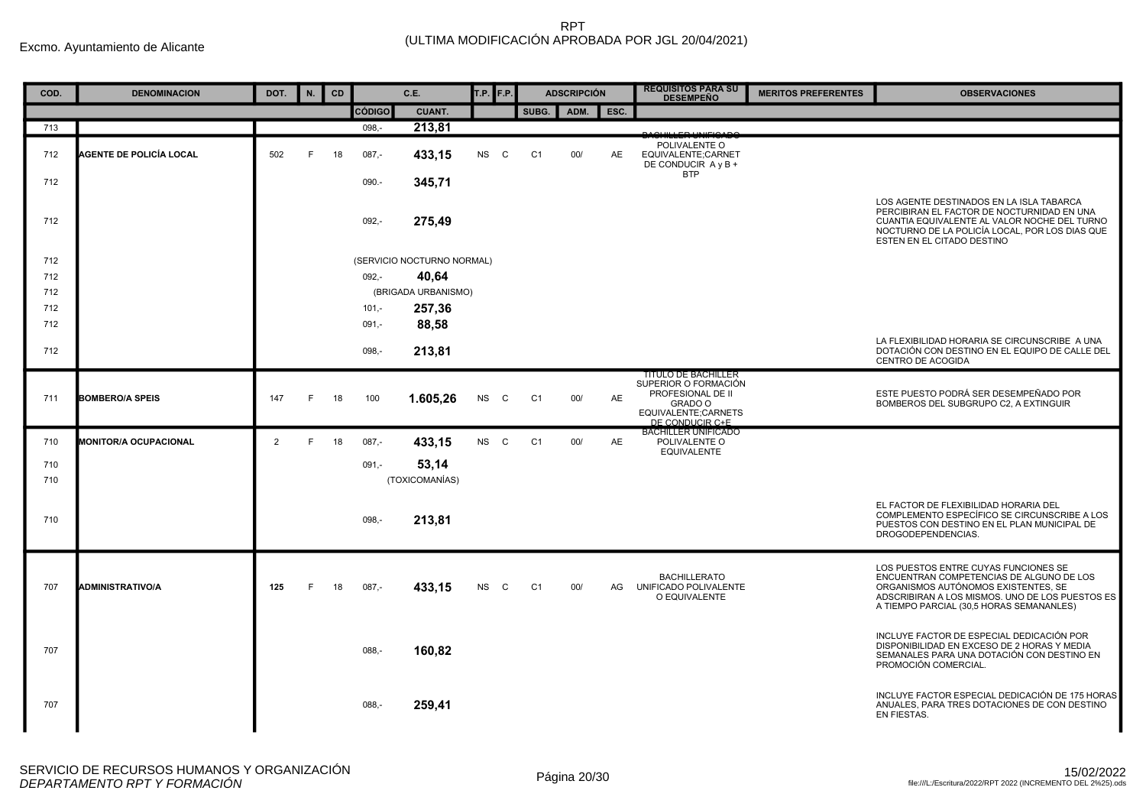| COD.       | <b>DENOMINACION</b>            | DOT.           | N. | <b>CD</b> |               | C.E.                       | $T.P.$ F.P.               |                | <b>ADSCRIPCIÓN</b> |           | <b>REQUISITOS PARA SU</b><br><b>DESEMPEÑO</b>                                                                                | <b>MERITOS PREFERENTES</b> | <b>OBSERVACIONES</b>                                                                                                                                                                                                   |
|------------|--------------------------------|----------------|----|-----------|---------------|----------------------------|---------------------------|----------------|--------------------|-----------|------------------------------------------------------------------------------------------------------------------------------|----------------------------|------------------------------------------------------------------------------------------------------------------------------------------------------------------------------------------------------------------------|
|            |                                |                |    |           | <b>CÓDIGO</b> | <b>CUANT.</b>              |                           | SUBG.          | ADM.               | ESC.      |                                                                                                                              |                            |                                                                                                                                                                                                                        |
| 713        |                                |                |    |           | 098,-         | 213,81                     |                           |                |                    |           |                                                                                                                              |                            |                                                                                                                                                                                                                        |
| 712        | <b>AGENTE DE POLICÍA LOCAL</b> | 502            | F  | 18        | $087 -$       | 433,15                     | <b>NS</b><br>$\mathbf{C}$ | C <sub>1</sub> | 00/                | <b>AE</b> | POLIVALENTE O<br>EQUIVALENTE;CARNET<br>DE CONDUCIR A y B +                                                                   |                            |                                                                                                                                                                                                                        |
| 712        |                                |                |    |           | 090.-         | 345.71                     |                           |                |                    |           | <b>BTP</b>                                                                                                                   |                            |                                                                                                                                                                                                                        |
| 712        |                                |                |    |           | $092 -$       | 275,49                     |                           |                |                    |           |                                                                                                                              |                            | LOS AGENTE DESTINADOS EN LA ISLA TABARCA<br>PERCIBIRAN EL FACTOR DE NOCTURNIDAD EN UNA<br>CUANTIA EQUIVALENTE AL VALOR NOCHE DEL TURNO<br>NOCTURNO DE LA POLICÍA LOCAL, POR LOS DIAS QUE<br>ESTEN EN EL CITADO DESTINO |
| 712        |                                |                |    |           |               | (SERVICIO NOCTURNO NORMAL) |                           |                |                    |           |                                                                                                                              |                            |                                                                                                                                                                                                                        |
| 712        |                                |                |    |           | $092 -$       | 40.64                      |                           |                |                    |           |                                                                                                                              |                            |                                                                                                                                                                                                                        |
| 712        |                                |                |    |           |               | (BRIGADA URBANISMO)        |                           |                |                    |           |                                                                                                                              |                            |                                                                                                                                                                                                                        |
| 712        |                                |                |    |           | $101 -$       | 257,36                     |                           |                |                    |           |                                                                                                                              |                            |                                                                                                                                                                                                                        |
| 712        |                                |                |    |           | $091 -$       | 88.58                      |                           |                |                    |           |                                                                                                                              |                            |                                                                                                                                                                                                                        |
| 712        |                                |                |    |           | $098. -$      | 213,81                     |                           |                |                    |           |                                                                                                                              |                            | LA FLEXIBILIDAD HORARIA SE CIRCUNSCRIBE A UNA<br>DOTACIÓN CON DESTINO EN EL EQUIPO DE CALLE DEL<br><b>CENTRO DE ACOGIDA</b>                                                                                            |
| 711        | <b>BOMBERO/A SPEIS</b>         | 147            | F  | 18        | 100           | 1.605,26                   | <b>NS</b><br>$\mathbf{C}$ | C <sub>1</sub> | 00/                | AE        | <b>TITULO DE BACHILLER</b><br>SUPERIOR O FORMACIÓN<br>PROFESIONAL DE II<br>GRADO O<br>EQUIVALENTE;CARNETS<br>DE CONDUCIR C+E |                            | ESTE PUESTO PODRÁ SER DESEMPEÑADO POR<br>BOMBEROS DEL SUBGRUPO C2, A EXTINGUIR                                                                                                                                         |
| 710        | <b>MONITOR/A OCUPACIONAL</b>   | $\overline{2}$ | F. | 18        | $087 -$       | 433,15                     | NS C                      | C <sub>1</sub> | 00/                | AE        | <b>BACHILLER UNIFICADO</b><br>POLIVALENTE O<br><b>EQUIVALENTE</b>                                                            |                            |                                                                                                                                                                                                                        |
| 710<br>710 |                                |                |    |           | $091 -$       | 53,14<br>(TOXICOMANÍAS)    |                           |                |                    |           |                                                                                                                              |                            |                                                                                                                                                                                                                        |
| 710        |                                |                |    |           | 098,-         | 213,81                     |                           |                |                    |           |                                                                                                                              |                            | EL FACTOR DE FLEXIBILIDAD HORARIA DEL<br>COMPLEMENTO ESPECÍFICO SE CIRCUNSCRIBE A LOS<br>PUESTOS CON DESTINO EN EL PLAN MUNICIPAL DE<br>DROGODEPENDENCIAS.                                                             |
| 707        | <b>ADMINISTRATIVO/A</b>        | 125            | F  | 18        | $087,-$       | 433,15                     | NS.<br>C C                | C <sub>1</sub> | 00/                | AG        | <b>BACHILLERATO</b><br>UNIFICADO POLIVALENTE<br>O EQUIVALENTE                                                                |                            | LOS PUESTOS ENTRE CUYAS FUNCIONES SE<br>ENCUENTRAN COMPETENCIAS DE ALGUNO DE LOS<br>ORGANISMOS AUTÓNOMOS EXISTENTES. SE<br>ADSCRIBIRAN A LOS MISMOS. UNO DE LOS PUESTOS ES<br>A TIEMPO PARCIAL (30,5 HORAS SEMANANLES) |
| 707        |                                |                |    |           | $088, -$      | 160,82                     |                           |                |                    |           |                                                                                                                              |                            | INCLUYE FACTOR DE ESPECIAL DEDICACIÓN POR<br>DISPONIBILIDAD EN EXCESO DE 2 HORAS Y MEDIA<br>SEMANALES PARA UNA DOTACIÓN CON DESTINO EN<br>PROMOCIÓN COMERCIAL.                                                         |
| 707        |                                |                |    |           | 088.          | 259,41                     |                           |                |                    |           |                                                                                                                              |                            | INCLUYE FACTOR ESPECIAL DEDICACIÓN DE 175 HORAS<br>ANUALES. PARA TRES DOTACIONES DE CON DESTINO<br>EN FIESTAS.                                                                                                         |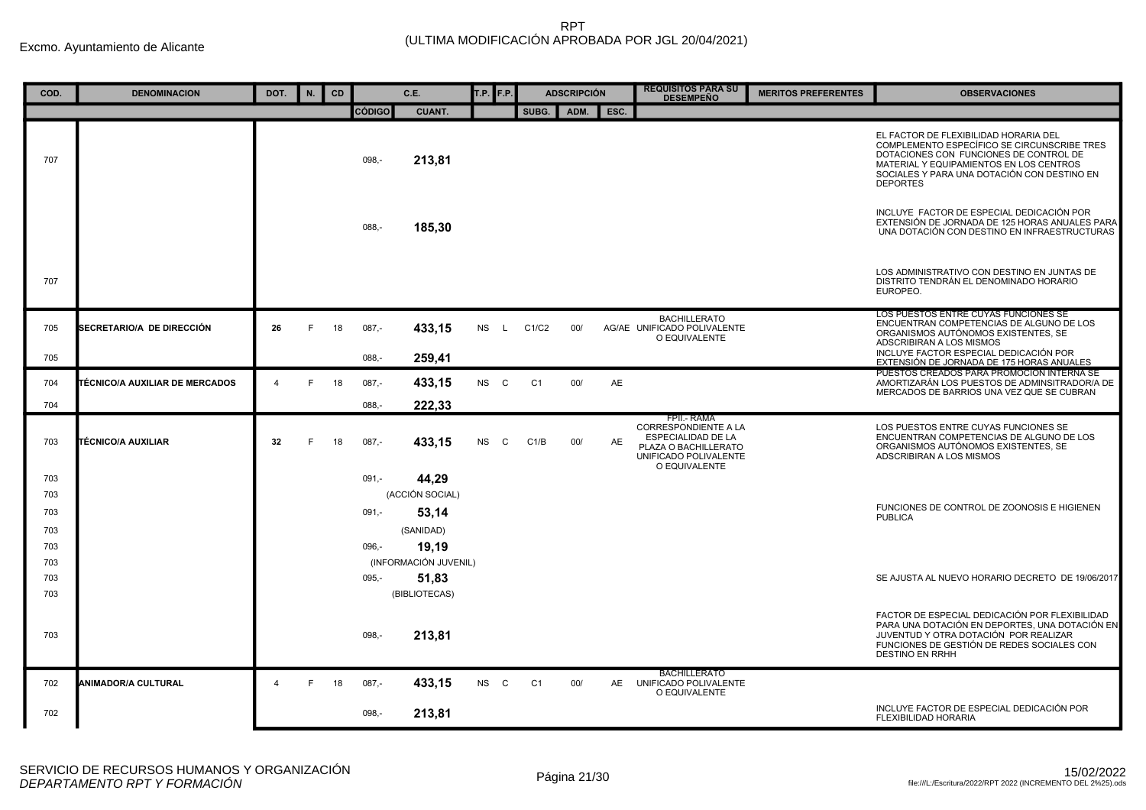| COD.       | <b>DENOMINACION</b>                   | DOT.                    | N. | CD |                     | C.E.                           | T.P. <b>F.P.</b> |              |                | <b>ADSCRIPCIÓN</b> |      | <b>REQUISITOS PARA SU</b><br><b>DESEMPEÑO</b>                                                                                             | <b>MERITOS PREFERENTES</b> | <b>OBSERVACIONES</b>                                                                                                                                                                                                                        |
|------------|---------------------------------------|-------------------------|----|----|---------------------|--------------------------------|------------------|--------------|----------------|--------------------|------|-------------------------------------------------------------------------------------------------------------------------------------------|----------------------------|---------------------------------------------------------------------------------------------------------------------------------------------------------------------------------------------------------------------------------------------|
|            |                                       |                         |    |    | <b>CÓDIGO</b>       | <b>CUANT.</b>                  |                  |              | SUBG.          | ADM.               | ESC. |                                                                                                                                           |                            |                                                                                                                                                                                                                                             |
| 707        |                                       |                         |    |    | 098,-               | 213,81                         |                  |              |                |                    |      |                                                                                                                                           |                            | EL FACTOR DE FLEXIBILIDAD HORARIA DEL<br>COMPLEMENTO ESPECÍFICO SE CIRCUNSCRIBE TRES<br>DOTACIONES CON FUNCIONES DE CONTROL DE<br>MATERIAL Y EQUIPAMIENTOS EN LOS CENTROS<br>SOCIALES Y PARA UNA DOTACIÓN CON DESTINO EN<br><b>DEPORTES</b> |
|            |                                       |                         |    |    | $088. -$            | 185,30                         |                  |              |                |                    |      |                                                                                                                                           |                            | INCLUYE FACTOR DE ESPECIAL DEDICACIÓN POR<br>EXTENSIÓN DE JORNADA DE 125 HORAS ANUALES PARA<br>UNA DOTACIÓN CON DESTINO EN INFRAESTRUCTURAS                                                                                                 |
| 707        |                                       |                         |    |    |                     |                                |                  |              |                |                    |      |                                                                                                                                           |                            | LOS ADMINISTRATIVO CON DESTINO EN JUNTAS DE<br>DISTRITO TENDRÁN EL DENOMINADO HORARIO<br>EUROPEO.                                                                                                                                           |
| 705<br>705 | SECRETARIO/A DE DIRECCIÓN             | 26                      | F  | 18 | $087,-$<br>$088 -$  | 433,15<br>259,41               | <b>NS</b>        | $\mathsf{L}$ | C1/C2          | 00/                |      | <b>BACHILLERATO</b><br>AG/AE UNIFICADO POLIVALENTE<br>O EQUIVALENTE                                                                       |                            | LOS PUESTOS ENTRE CUYAS FUNCIONES SE<br>ENCUENTRAN COMPETENCIAS DE ALGUNO DE LOS<br>ORGANISMOS AUTÓNOMOS EXISTENTES, SE<br>ADSCRIBIRAN A LOS MISMOS<br>INCLUYE FACTOR ESPECIAL DEDICACIÓN POR                                               |
|            |                                       |                         |    |    |                     |                                |                  |              |                |                    |      |                                                                                                                                           |                            | EXTENSIÓN DE JORNADA DE 175 HORAS ANUALES<br>PUESTOS CREADOS PARA PROMOCION INTERNA SE                                                                                                                                                      |
| 704<br>704 | <b>FÉCNICO/A AUXILIAR DE MERCADOS</b> | $\overline{\mathbf{4}}$ | F  | 18 | $087 -$<br>$088. -$ | 433,15<br>222.33               | NS C             |              | C <sub>1</sub> | 00/                | AE   |                                                                                                                                           |                            | AMORTIZARÁN LOS PUESTOS DE ADMINSITRADOR/A DE<br>MERCADOS DE BARRIOS UNA VEZ QUE SE CUBRAN                                                                                                                                                  |
| 703        | TÉCNICO/A AUXILIAR                    | 32                      | F  | 18 | $087,-$             | 433,15                         | <b>NS</b>        | C.           | C1/B           | 00/                | AE   | FPII.- RAMA<br><b>CORRESPONDIENTE A LA</b><br><b>ESPECIALIDAD DE LA</b><br>PLAZA O BACHILLERATO<br>UNIFICADO POLIVALENTE<br>O EQUIVALENTE |                            | LOS PUESTOS ENTRE CUYAS FUNCIONES SE<br>ENCUENTRAN COMPETENCIAS DE ALGUNO DE LOS<br>ORGANISMOS AUTÓNOMOS EXISTENTES, SE<br>ADSCRIBIRAN A LOS MISMOS                                                                                         |
| 703<br>703 |                                       |                         |    |    | $091, -$            | 44,29<br>(ACCIÓN SOCIAL)       |                  |              |                |                    |      |                                                                                                                                           |                            |                                                                                                                                                                                                                                             |
| 703        |                                       |                         |    |    | $091, -$            | 53,14                          |                  |              |                |                    |      |                                                                                                                                           |                            | FUNCIONES DE CONTROL DE ZOONOSIS E HIGIENEN<br><b>PUBLICA</b>                                                                                                                                                                               |
| 703        |                                       |                         |    |    |                     | (SANIDAD)                      |                  |              |                |                    |      |                                                                                                                                           |                            |                                                                                                                                                                                                                                             |
| 703<br>703 |                                       |                         |    |    | $096 -$             | 19,19<br>(INFORMACIÓN JUVENIL) |                  |              |                |                    |      |                                                                                                                                           |                            |                                                                                                                                                                                                                                             |
| 703        |                                       |                         |    |    | $095 -$             | 51,83                          |                  |              |                |                    |      |                                                                                                                                           |                            | SE AJUSTA AL NUEVO HORARIO DECRETO DE 19/06/2017                                                                                                                                                                                            |
| 703        |                                       |                         |    |    |                     | (BIBLIOTECAS)                  |                  |              |                |                    |      |                                                                                                                                           |                            |                                                                                                                                                                                                                                             |
| 703        |                                       |                         |    |    | 098,-               | 213,81                         |                  |              |                |                    |      |                                                                                                                                           |                            | FACTOR DE ESPECIAL DEDICACIÓN POR FLEXIBILIDAD<br>PARA UNA DOTACIÓN EN DEPORTES, UNA DOTACIÓN EN<br>JUVENTUD Y OTRA DOTACIÓN POR REALIZAR<br>FUNCIONES DE GESTIÓN DE REDES SOCIALES CON<br><b>DESTINO EN RRHH</b>                           |
| 702        | <b>ANIMADOR/A CULTURAL</b>            | $\overline{4}$          | F. | 18 | $087,-$             | 433,15                         | NS C             |              | C1             | 00/                |      | <b>BACHILLERATO</b><br>AE UNIFICADO POLIVALENTE<br>O EQUIVALENTE                                                                          |                            |                                                                                                                                                                                                                                             |
| 702        |                                       |                         |    |    | $098 -$             | 213,81                         |                  |              |                |                    |      |                                                                                                                                           |                            | INCLUYE FACTOR DE ESPECIAL DEDICACIÓN POR<br>FLEXIBILIDAD HORARIA                                                                                                                                                                           |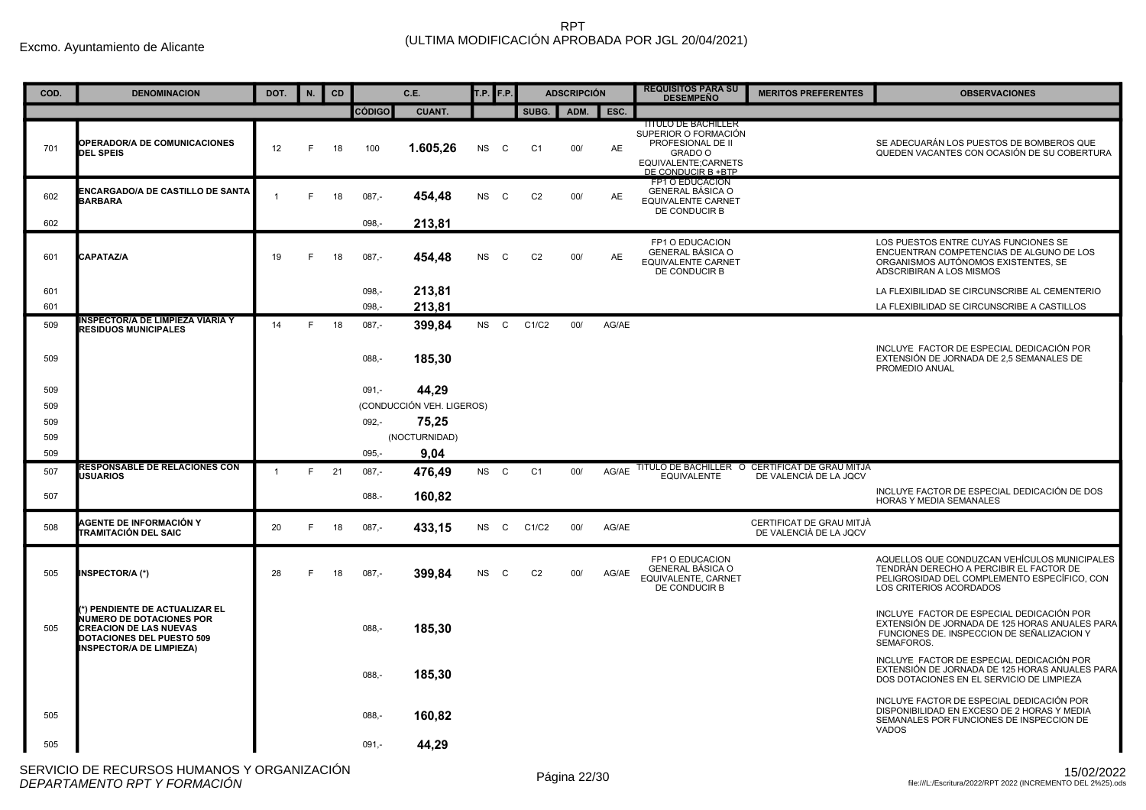| COD. | <b>DENOMINACION</b>                                                                                                                                                      | DOT.           | N. | CD |               | C.E.                      | T.P. <b>F.P.</b> |             |                | <b>ADSCRIPCIÓN</b> |           | <b>REQUISITOS PARA SU</b><br><b>DESEMPEÑO</b>                                                                                   | <b>MERITOS PREFERENTES</b>                                               | <b>OBSERVACIONES</b>                                                                                                                                               |
|------|--------------------------------------------------------------------------------------------------------------------------------------------------------------------------|----------------|----|----|---------------|---------------------------|------------------|-------------|----------------|--------------------|-----------|---------------------------------------------------------------------------------------------------------------------------------|--------------------------------------------------------------------------|--------------------------------------------------------------------------------------------------------------------------------------------------------------------|
|      |                                                                                                                                                                          |                |    |    | <b>CÓDIGO</b> | <b>CUANT.</b>             |                  |             | SUBG.          | ADM.               | ESC.      |                                                                                                                                 |                                                                          |                                                                                                                                                                    |
| 701  | <b>OPERADOR/A DE COMUNICACIONES</b><br><b>DEL SPEIS</b>                                                                                                                  | 12             | E  | 18 | 100           | 1.605,26                  | <b>NS</b>        | C           | C <sub>1</sub> | 00/                | AE        | <b>TITULO DE BACHILLER</b><br>SUPERIOR O FORMACIÓN<br>PROFESIONAL DE II<br>GRADO O<br>EQUIVALENTE;CARNETS<br>DE CONDUCIR B +BTP |                                                                          | SE ADECUARÁN LOS PUESTOS DE BOMBEROS QUE<br>QUEDEN VACANTES CON OCASIÓN DE SU COBERTURA                                                                            |
| 602  | <b>ENCARGADO/A DE CASTILLO DE SANTA</b><br><b>BARBARA</b>                                                                                                                |                | E  | 18 | $087 -$       | 454,48                    | <b>NS</b>        | $\mathbf C$ | C <sub>2</sub> | 00/                | AE        | FP1 O EDUCACION<br>GENERAL BÁSICA O<br><b>EQUIVALENTE CARNET</b><br>DE CONDUCIR B                                               |                                                                          |                                                                                                                                                                    |
| 602  |                                                                                                                                                                          |                |    |    | $098 -$       | 213.81                    |                  |             |                |                    |           |                                                                                                                                 |                                                                          |                                                                                                                                                                    |
| 601  | <b>CAPATAZ/A</b>                                                                                                                                                         | 19             | E  | 18 | $087 -$       | 454,48                    | <b>NS</b>        | C.          | C <sub>2</sub> | 00/                | <b>AE</b> | FP1 O EDUCACION<br><b>GENERAL BÁSICA O</b><br><b>EQUIVALENTE CARNET</b><br>DE CONDUCIR B                                        |                                                                          | LOS PUESTOS ENTRE CUYAS FUNCIONES SE<br>ENCUENTRAN COMPETENCIAS DE ALGUNO DE LOS<br>ORGANISMOS AUTÓNOMOS EXISTENTES, SE<br>ADSCRIBIRAN A LOS MISMOS                |
| 601  |                                                                                                                                                                          |                |    |    | $098, -$      | 213,81                    |                  |             |                |                    |           |                                                                                                                                 |                                                                          | LA FLEXIBILIDAD SE CIRCUNSCRIBE AL CEMENTERIO                                                                                                                      |
| 601  |                                                                                                                                                                          |                |    |    | 098,-         | 213,81                    |                  |             |                |                    |           |                                                                                                                                 |                                                                          | LA FLEXIBILIDAD SE CIRCUNSCRIBE A CASTILLOS                                                                                                                        |
| 509  | NSPECTOR/A DE LIMPIEZA VIARIA Y<br><b>RESIDUOS MUNICIPALES</b>                                                                                                           | 14             | F. | 18 | $087 -$       | 399.84                    | NS C             |             | C1/C2          | 00/                | AG/AE     |                                                                                                                                 |                                                                          |                                                                                                                                                                    |
| 509  |                                                                                                                                                                          |                |    |    | $088, -$      | 185,30                    |                  |             |                |                    |           |                                                                                                                                 |                                                                          | INCLUYE FACTOR DE ESPECIAL DEDICACIÓN POR<br>EXTENSIÓN DE JORNADA DE 2.5 SEMANALES DE<br>PROMEDIO ANUAL                                                            |
| 509  |                                                                                                                                                                          |                |    |    | $091 -$       | 44,29                     |                  |             |                |                    |           |                                                                                                                                 |                                                                          |                                                                                                                                                                    |
| 509  |                                                                                                                                                                          |                |    |    |               | (CONDUCCIÓN VEH. LIGEROS) |                  |             |                |                    |           |                                                                                                                                 |                                                                          |                                                                                                                                                                    |
| 509  |                                                                                                                                                                          |                |    |    | $092 -$       | 75,25                     |                  |             |                |                    |           |                                                                                                                                 |                                                                          |                                                                                                                                                                    |
| 509  |                                                                                                                                                                          |                |    |    |               | (NOCTURNIDAD)             |                  |             |                |                    |           |                                                                                                                                 |                                                                          |                                                                                                                                                                    |
| 509  |                                                                                                                                                                          |                |    |    | $095 -$       | 9,04                      |                  |             |                |                    |           |                                                                                                                                 |                                                                          |                                                                                                                                                                    |
| 507  | <b>RESPONSABLE DE RELACIONES CON</b><br><b>USUARIOS</b>                                                                                                                  | $\overline{1}$ | F. | 21 | $087,-$       | 476.49                    | NS C             |             | C <sub>1</sub> | 00/                | AG/AE     | <b>EQUIVALENTE</b>                                                                                                              | TITULO DE BACHILLER O CERTIFICAT DE GRAU MITJA<br>DE VALENCIÀ DE LA JQCV |                                                                                                                                                                    |
| 507  |                                                                                                                                                                          |                |    |    | 088.-         | 160,82                    |                  |             |                |                    |           |                                                                                                                                 |                                                                          | INCLUYE FACTOR DE ESPECIAL DEDICACIÓN DE DOS<br><b>HORAS Y MEDIA SEMANALES</b>                                                                                     |
| 508  | AGENTE DE INFORMACIÓN Y<br>TRAMITACIÓN DEL SAIC                                                                                                                          | 20             | E  | 18 | $087,-$       | 433,15                    | <b>NS</b>        | C           | C1/C2          | 00/                | AG/AE     |                                                                                                                                 | CERTIFICAT DE GRAU MITJÀ<br>DE VALENCIÀ DE LA JQCV                       |                                                                                                                                                                    |
| 505  | <b>NSPECTOR/A (*)</b>                                                                                                                                                    | 28             | F  | 18 | $087 -$       | 399.84                    | <b>NS</b>        | C           | C <sub>2</sub> | 00/                | AG/AE     | FP1 O EDUCACION<br>GENERAL BÁSICA O<br>EQUIVALENTE, CARNET<br>DE CONDUCIR B                                                     |                                                                          | AQUELLOS QUE CONDUZCAN VEHÍCULOS MUNICIPALES<br>TENDRÁN DERECHO A PERCIBIR EL FACTOR DE<br>PELIGROSIDAD DEL COMPLEMENTO ESPECÍFICO, CON<br>LOS CRITERIOS ACORDADOS |
| 505  | *) PENDIENTE DE ACTUALIZAR EL<br><b>NUMERO DE DOTACIONES POR</b><br><b>CREACION DE LAS NUEVAS</b><br><b>DOTACIONES DEL PUESTO 509</b><br><b>INSPECTOR/A DE LIMPIEZA)</b> |                |    |    | $088, -$      | 185,30                    |                  |             |                |                    |           |                                                                                                                                 |                                                                          | INCLUYE FACTOR DE ESPECIAL DEDICACIÓN POR<br>EXTENSIÓN DE JORNADA DE 125 HORAS ANUALES PARA<br>FUNCIONES DE. INSPECCION DE SEÑALIZACION Y<br>SEMAFOROS.            |
|      |                                                                                                                                                                          |                |    |    | $088 -$       | 185.30                    |                  |             |                |                    |           |                                                                                                                                 |                                                                          | INCLUYE FACTOR DE ESPECIAL DEDICACIÓN POR<br>EXTENSIÓN DE JORNADA DE 125 HORAS ANUALES PARA<br>DOS DOTACIONES EN EL SERVICIO DE LIMPIEZA                           |
| 505  |                                                                                                                                                                          |                |    |    | $088, -$      | 160.82                    |                  |             |                |                    |           |                                                                                                                                 |                                                                          | INCLUYE FACTOR DE ESPECIAL DEDICACIÓN POR<br>DISPONIBILIDAD EN EXCESO DE 2 HORAS Y MEDIA<br>SEMANALES POR FUNCIONES DE INSPECCION DE<br><b>VADOS</b>               |
| 505  |                                                                                                                                                                          |                |    |    | $091 -$       | 44,29                     |                  |             |                |                    |           |                                                                                                                                 |                                                                          |                                                                                                                                                                    |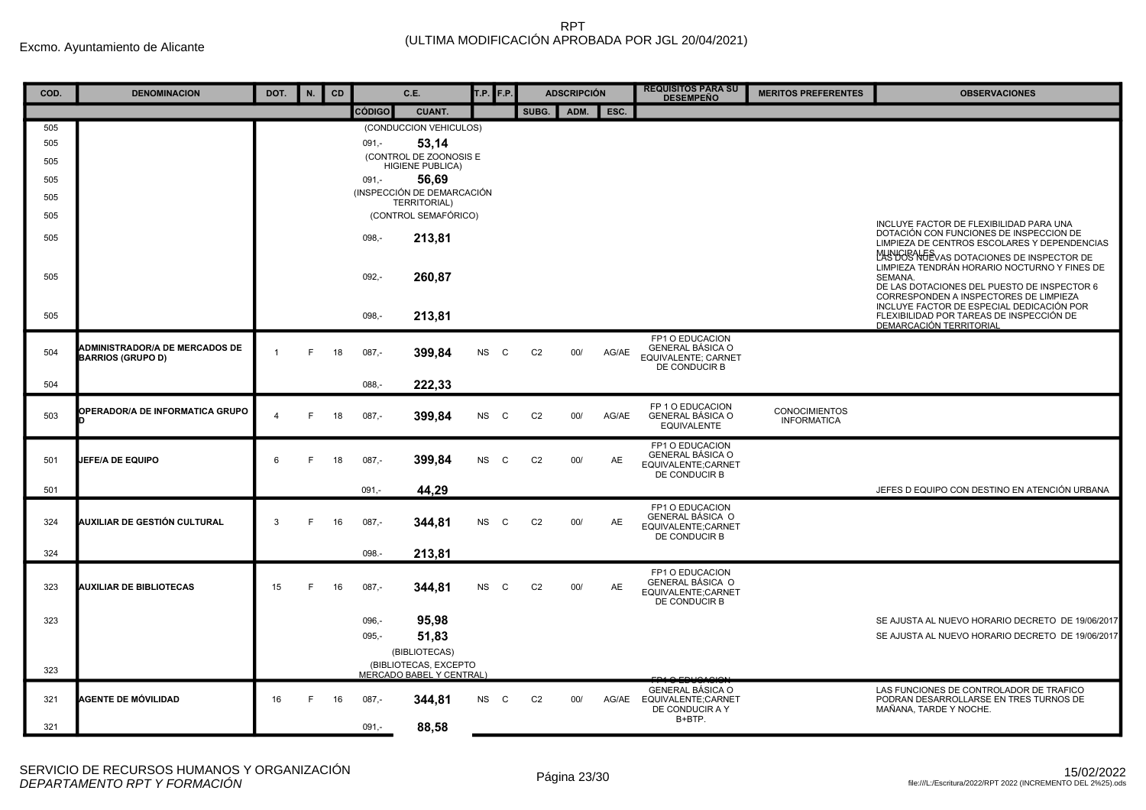| COD. | <b>DENOMINACION</b>                                               | DOT.           | N. | CD |          | C.E.                                              | T.P. <b>F.P.</b> |              |                | <b>ADSCRIPCIÓN</b> |           | <b>REQUISITOS PARA SU</b><br><b>DESEMPEÑO</b>                                      | <b>MERITOS PREFERENTES</b>                 | <b>OBSERVACIONES</b>                                                                                                                                                                          |
|------|-------------------------------------------------------------------|----------------|----|----|----------|---------------------------------------------------|------------------|--------------|----------------|--------------------|-----------|------------------------------------------------------------------------------------|--------------------------------------------|-----------------------------------------------------------------------------------------------------------------------------------------------------------------------------------------------|
|      |                                                                   |                |    |    | CÓDIGO   | <b>CUANT.</b>                                     |                  |              | SUBG.          | ADM.               | ESC.      |                                                                                    |                                            |                                                                                                                                                                                               |
| 505  |                                                                   |                |    |    |          | (CONDUCCION VEHICULOS)                            |                  |              |                |                    |           |                                                                                    |                                            |                                                                                                                                                                                               |
| 505  |                                                                   |                |    |    | $091 -$  | 53,14                                             |                  |              |                |                    |           |                                                                                    |                                            |                                                                                                                                                                                               |
| 505  |                                                                   |                |    |    |          | (CONTROL DE ZOONOSIS E<br><b>HIGIENE PUBLICA)</b> |                  |              |                |                    |           |                                                                                    |                                            |                                                                                                                                                                                               |
| 505  |                                                                   |                |    |    | $091,-$  | 56,69                                             |                  |              |                |                    |           |                                                                                    |                                            |                                                                                                                                                                                               |
| 505  |                                                                   |                |    |    |          | (INSPECCIÓN DE DEMARCACIÓN<br>TERRITORIAL)        |                  |              |                |                    |           |                                                                                    |                                            |                                                                                                                                                                                               |
| 505  |                                                                   |                |    |    |          | (CONTROL SEMAFÓRICO)                              |                  |              |                |                    |           |                                                                                    |                                            |                                                                                                                                                                                               |
| 505  |                                                                   |                |    |    | 098.-    | 213,81                                            |                  |              |                |                    |           |                                                                                    |                                            | INCLUYE FACTOR DE FLEXIBILIDAD PARA UNA<br>DOTACIÓN CON FUNCIONES DE INSPECCION DE<br>LIMPIEZA DE CENTROS ESCOLARES Y DEPENDENCIAS<br>MANIGE NEEVAS DOTACIONES DE INSPECTOR DE                |
| 505  |                                                                   |                |    |    | $092, -$ | 260,87                                            |                  |              |                |                    |           |                                                                                    |                                            | LIMPIEZA TENDRÁN HORARIO NOCTURNO Y FINES DE<br>SEMANA.<br>DE LAS DOTACIONES DEL PUESTO DE INSPECTOR 6<br>CORRESPONDEN A INSPECTORES DE LIMPIEZA<br>INCLUYE FACTOR DE ESPECIAL DEDICACIÓN POR |
| 505  |                                                                   |                |    |    | $098, -$ | 213,81                                            |                  |              |                |                    |           |                                                                                    |                                            | FLEXIBILIDAD POR TAREAS DE INSPECCIÓN DE<br>DEMARCACIÓN TERRITORIAL                                                                                                                           |
| 504  | <b>ADMINISTRADOR/A DE MERCADOS DE</b><br><b>BARRIOS (GRUPO D)</b> | $\overline{1}$ | E  | 18 | $087 -$  | 399,84                                            | <b>NS</b>        | C            | C <sub>2</sub> | 00/                | AG/AE     | FP1 O EDUCACION<br><b>GENERAL BÁSICA O</b><br>EQUIVALENTE; CARNET<br>DE CONDUCIR B |                                            |                                                                                                                                                                                               |
| 504  |                                                                   |                |    |    | $088, -$ | 222,33                                            |                  |              |                |                    |           |                                                                                    |                                            |                                                                                                                                                                                               |
| 503  | OPERADOR/A DE INFORMATICA GRUPO                                   | $\overline{4}$ | E  | 18 | $087 -$  | 399,84                                            | <b>NS</b>        | $\mathbf C$  | C <sub>2</sub> | 00/                | AG/AE     | FP 1 O EDUCACION<br><b>GENERAL BÁSICA O</b><br><b>EQUIVALENTE</b>                  | <b>CONOCIMIENTOS</b><br><b>INFORMATICA</b> |                                                                                                                                                                                               |
| 501  | JEFE/A DE EQUIPO                                                  | 6              | F  | 18 | $087,-$  | 399,84                                            | <b>NS</b>        | $\mathbf{C}$ | C <sub>2</sub> | 00/                | AE        | FP1 O EDUCACION<br><b>GENERAL BÁSICA O</b><br>EQUIVALENTE;CARNET<br>DE CONDUCIR B  |                                            |                                                                                                                                                                                               |
| 501  |                                                                   |                |    |    | $091,-$  | 44,29                                             |                  |              |                |                    |           |                                                                                    |                                            | JEFES D EQUIPO CON DESTINO EN ATENCIÓN URBANA                                                                                                                                                 |
| 324  | AUXILIAR DE GESTIÓN CULTURAL                                      | 3              | F  | 16 | $087,-$  | 344,81                                            | <b>NS</b>        | $\mathbf{C}$ | C <sub>2</sub> | 00/                | AE        | FP1 O EDUCACION<br>GENERAL BÁSICA O<br>EQUIVALENTE;CARNET<br>DE CONDUCIR B         |                                            |                                                                                                                                                                                               |
| 324  |                                                                   |                |    |    | 098.-    | 213,81                                            |                  |              |                |                    |           |                                                                                    |                                            |                                                                                                                                                                                               |
| 323  | <b>AUXILIAR DE BIBLIOTECAS</b>                                    | 15             | F  | 16 | $087,-$  | 344,81                                            | NS C             |              | C <sub>2</sub> | 00/                | <b>AE</b> | FP1 O EDUCACION<br>GENERAL BÁSICA O<br>EQUIVALENTE:CARNET<br>DE CONDUCIR B         |                                            |                                                                                                                                                                                               |
| 323  |                                                                   |                |    |    | $096 -$  | 95,98                                             |                  |              |                |                    |           |                                                                                    |                                            | SE AJUSTA AL NUEVO HORARIO DECRETO DE 19/06/2017                                                                                                                                              |
|      |                                                                   |                |    |    | $095 -$  | 51,83                                             |                  |              |                |                    |           |                                                                                    |                                            | SE AJUSTA AL NUEVO HORARIO DECRETO DE 19/06/2017                                                                                                                                              |
|      |                                                                   |                |    |    |          | (BIBLIOTECAS)                                     |                  |              |                |                    |           |                                                                                    |                                            |                                                                                                                                                                                               |
| 323  |                                                                   |                |    |    |          | (BIBLIOTECAS, EXCEPTO<br>MERCADO BABEL Y CENTRAL) |                  |              |                |                    |           |                                                                                    |                                            |                                                                                                                                                                                               |
| 321  | AGENTE DE MÓVILIDAD                                               | 16             | F  | 16 | $087 -$  | 344,81                                            | NS               | $\mathbf{C}$ | C <sub>2</sub> | 00/                |           | <b>GENERAL BÁSICA O</b><br>AG/AE EQUIVALENTE;CARNET<br>DE CONDUCIR A Y             |                                            | LAS FUNCIONES DE CONTROLADOR DE TRAFICO<br>PODRAN DESARROLLARSE EN TRES TURNOS DE<br>MAÑANA, TARDE Y NOCHE.                                                                                   |
| 321  |                                                                   |                |    |    | $091,-$  | 88,58                                             |                  |              |                |                    |           | B+BTP.                                                                             |                                            |                                                                                                                                                                                               |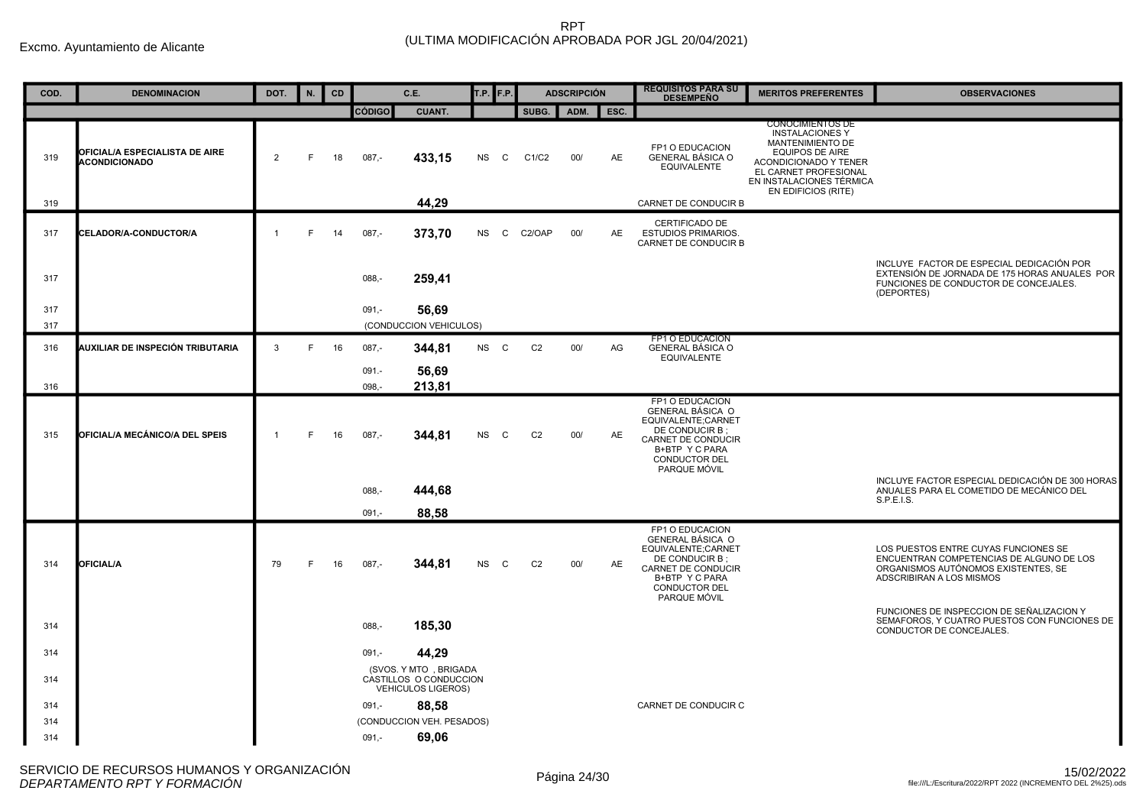| COD. | <b>DENOMINACION</b>                                    | DOT.           | N. | CD |                   | C.E.                                                                         | T.P.      | F.P.         |                | <b>ADSCRIPCIÓN</b> |           | <b>REQUISITOS PARA SU</b><br><b>DESEMPEÑO</b>                                                                                                                      | <b>MERITOS PREFERENTES</b>                                                                                                                                                                           | <b>OBSERVACIONES</b>                                                                                                                                |
|------|--------------------------------------------------------|----------------|----|----|-------------------|------------------------------------------------------------------------------|-----------|--------------|----------------|--------------------|-----------|--------------------------------------------------------------------------------------------------------------------------------------------------------------------|------------------------------------------------------------------------------------------------------------------------------------------------------------------------------------------------------|-----------------------------------------------------------------------------------------------------------------------------------------------------|
|      |                                                        |                |    |    | <b>CÓDIGO</b>     | <b>CUANT.</b>                                                                |           |              | SUBG.          | ADM.               | ESC.      |                                                                                                                                                                    |                                                                                                                                                                                                      |                                                                                                                                                     |
| 319  | OFICIAL/A ESPECIALISTA DE AIRE<br><b>ACONDICIONADO</b> | $\overline{2}$ | F  | 18 | $087,-$           | 433,15                                                                       | <b>NS</b> | C            | C1/C2          | 00/                | AE        | FP1 O EDUCACION<br><b>GENERAL BÁSICA O</b><br><b>EQUIVALENTE</b>                                                                                                   | <b>CONOCIMIENTOS DE</b><br><b>INSTALACIONES Y</b><br>MANTENIMIENTO DE<br><b>EQUIPOS DE AIRE</b><br>ACONDICIONADO Y TENER<br>EL CARNET PROFESIONAL<br>EN INSTALACIONES TÉRMICA<br>EN EDIFICIOS (RITE) |                                                                                                                                                     |
| 319  |                                                        |                |    |    |                   | 44,29                                                                        |           |              |                |                    |           | CARNET DE CONDUCIR B                                                                                                                                               |                                                                                                                                                                                                      |                                                                                                                                                     |
| 317  | CELADOR/A-CONDUCTOR/A                                  | $\overline{1}$ | F. | 14 | $087 -$           | 373,70                                                                       | <b>NS</b> | $\mathbf{C}$ | C2/OAP         | 00/                | <b>AE</b> | CERTIFICADO DE<br><b>ESTUDIOS PRIMARIOS.</b><br>CARNET DE CONDUCIR B                                                                                               |                                                                                                                                                                                                      |                                                                                                                                                     |
| 317  |                                                        |                |    |    | $088 -$           | 259,41                                                                       |           |              |                |                    |           |                                                                                                                                                                    |                                                                                                                                                                                                      | INCLUYE FACTOR DE ESPECIAL DEDICACIÓN POR<br>EXTENSIÓN DE JORNADA DE 175 HORAS ANUALES POR<br>FUNCIONES DE CONDUCTOR DE CONCEJALES.<br>(DEPORTES)   |
| 317  |                                                        |                |    |    | $091 -$           | 56.69                                                                        |           |              |                |                    |           |                                                                                                                                                                    |                                                                                                                                                                                                      |                                                                                                                                                     |
| 317  |                                                        |                |    |    |                   | (CONDUCCION VEHICULOS)                                                       |           |              |                |                    |           |                                                                                                                                                                    |                                                                                                                                                                                                      |                                                                                                                                                     |
| 316  | AUXILIAR DE INSPECIÓN TRIBUTARIA                       | 3              | F. | 16 | $087 -$           | 344,81                                                                       | NS C      |              | C <sub>2</sub> | 00/                | AG        | FP1 O EDUCACION<br><b>GENERAL BÁSICA O</b><br><b>EQUIVALENTE</b>                                                                                                   |                                                                                                                                                                                                      |                                                                                                                                                     |
| 316  |                                                        |                |    |    | $091. -$<br>098,- | 56,69<br>213,81                                                              |           |              |                |                    |           |                                                                                                                                                                    |                                                                                                                                                                                                      |                                                                                                                                                     |
| 315  | OFICIAL/A MECÁNICO/A DEL SPEIS                         | -1             | F  | 16 | $087 -$           | 344,81                                                                       | <b>NS</b> | $\mathbf{C}$ | C <sub>2</sub> | 00/                | AE        | FP1 O EDUCACION<br>GENERAL BÁSICA O<br>EQUIVALENTE;CARNET<br>DE CONDUCIR B;<br>CARNET DE CONDUCIR<br>B+BTP Y C PARA<br>CONDUCTOR DEL<br>PARQUE MÓVIL               |                                                                                                                                                                                                      |                                                                                                                                                     |
|      |                                                        |                |    |    | $088 -$           | 444,68                                                                       |           |              |                |                    |           |                                                                                                                                                                    |                                                                                                                                                                                                      | INCLUYE FACTOR ESPECIAL DEDICACIÓN DE 300 HORAS<br>ANUALES PARA EL COMETIDO DE MECÁNICO DEL                                                         |
|      |                                                        |                |    |    | 091.              | 88,58                                                                        |           |              |                |                    |           |                                                                                                                                                                    |                                                                                                                                                                                                      | S.P.E.I.S.                                                                                                                                          |
| 314  | <b>OFICIAL/A</b>                                       | 79             | F  | 16 | $087,-$           | 344,81                                                                       | <b>NS</b> | C            | C <sub>2</sub> | 00/                | AE        | FP1 O EDUCACION<br><b>GENERAL BÁSICA O</b><br>EQUIVALENTE;CARNET<br>DE CONDUCIR B;<br>CARNET DE CONDUCIR<br>B+BTP Y C PARA<br><b>CONDUCTOR DEL</b><br>PARQUE MÓVIL |                                                                                                                                                                                                      | LOS PUESTOS ENTRE CUYAS FUNCIONES SE<br>ENCUENTRAN COMPETENCIAS DE ALGUNO DE LOS<br>ORGANISMOS AUTÓNOMOS EXISTENTES, SE<br>ADSCRIBIRAN A LOS MISMOS |
| 314  |                                                        |                |    |    | $088 -$           | 185,30                                                                       |           |              |                |                    |           |                                                                                                                                                                    |                                                                                                                                                                                                      | FUNCIONES DE INSPECCION DE SEÑALIZACION Y<br>SEMAFOROS, Y CUATRO PUESTOS CON FUNCIONES DE<br>CONDUCTOR DE CONCEJALES.                               |
| 314  |                                                        |                |    |    | $091,-$           | 44,29                                                                        |           |              |                |                    |           |                                                                                                                                                                    |                                                                                                                                                                                                      |                                                                                                                                                     |
| 314  |                                                        |                |    |    |                   | (SVOS. Y MTO, BRIGADA<br>CASTILLOS O CONDUCCION<br><b>VEHICULOS LIGEROS)</b> |           |              |                |                    |           |                                                                                                                                                                    |                                                                                                                                                                                                      |                                                                                                                                                     |
| 314  |                                                        |                |    |    | $091 -$           | 88,58                                                                        |           |              |                |                    |           | CARNET DE CONDUCIR C                                                                                                                                               |                                                                                                                                                                                                      |                                                                                                                                                     |
| 314  |                                                        |                |    |    |                   | (CONDUCCION VEH. PESADOS)                                                    |           |              |                |                    |           |                                                                                                                                                                    |                                                                                                                                                                                                      |                                                                                                                                                     |
| 314  |                                                        |                |    |    | $091 -$           | 69,06                                                                        |           |              |                |                    |           |                                                                                                                                                                    |                                                                                                                                                                                                      |                                                                                                                                                     |
|      |                                                        |                |    |    |                   |                                                                              |           |              |                |                    |           |                                                                                                                                                                    |                                                                                                                                                                                                      |                                                                                                                                                     |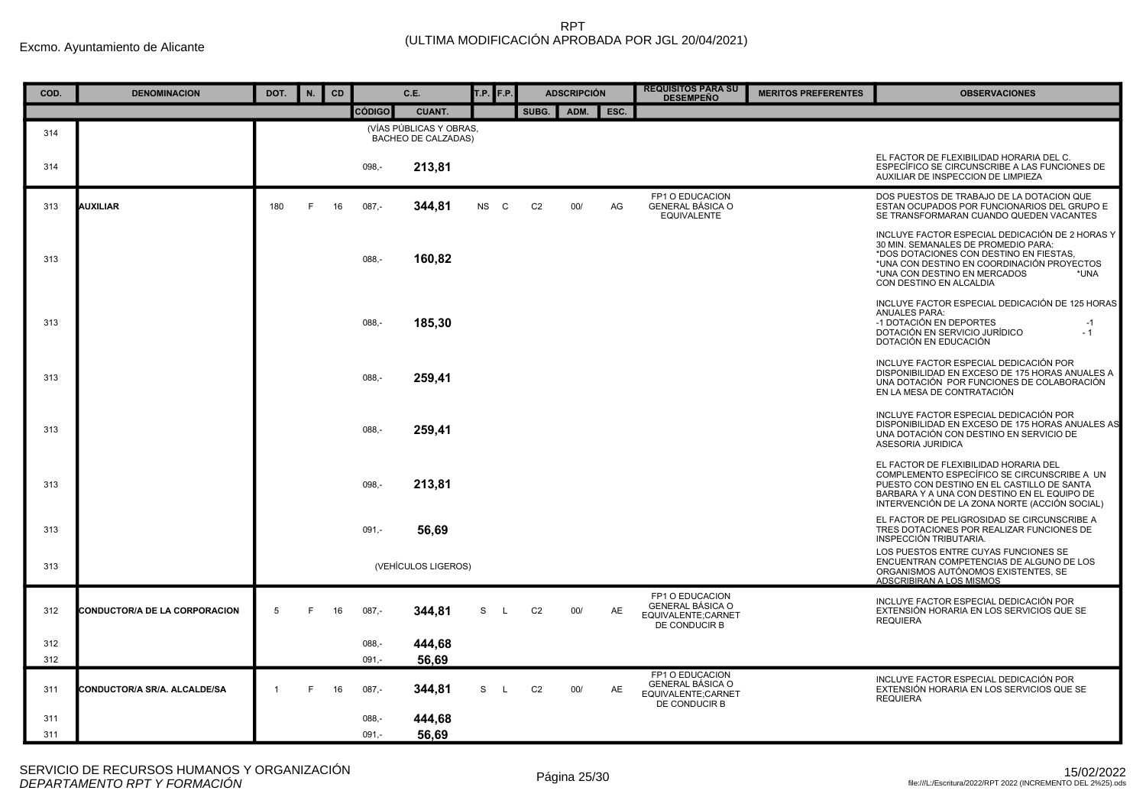| COD.       | <b>DENOMINACION</b>                  | DOT.           | N. | CD |                    | C.E.                                           | T.P. F.P.                 |                | <b>ADSCRIPCIÓN</b> |      | <b>REQUISITOS PARA SU</b><br><b>DESEMPEÑO</b>                                     | <b>MERITOS PREFERENTES</b> | <b>OBSERVACIONES</b>                                                                                                                                                                                                                               |
|------------|--------------------------------------|----------------|----|----|--------------------|------------------------------------------------|---------------------------|----------------|--------------------|------|-----------------------------------------------------------------------------------|----------------------------|----------------------------------------------------------------------------------------------------------------------------------------------------------------------------------------------------------------------------------------------------|
|            |                                      |                |    |    | <b>CÓDIGO</b>      | <b>CUANT.</b>                                  |                           | SUBG.          | ADM.               | ESC. |                                                                                   |                            |                                                                                                                                                                                                                                                    |
| 314        |                                      |                |    |    |                    | (VÍAS PÚBLICAS Y OBRAS,<br>BACHEO DE CALZADAS) |                           |                |                    |      |                                                                                   |                            |                                                                                                                                                                                                                                                    |
| 314        |                                      |                |    |    | $098 -$            | 213,81                                         |                           |                |                    |      |                                                                                   |                            | EL FACTOR DE FLEXIBILIDAD HORARIA DEL C.<br>ESPECÍFICO SE CIRCUNSCRIBE A LAS FUNCIONES DE<br>AUXILIAR DE INSPECCION DE LIMPIEZA                                                                                                                    |
| 313        | <b>AUXILIAR</b>                      | 180            | F  | 16 | $087,-$            | 344,81                                         | <b>NS</b><br>$\mathbf{C}$ | C <sub>2</sub> | 00/                | AG   | FP1 O EDUCACION<br><b>GENERAL BÁSICA O</b><br><b>EQUIVALENTE</b>                  |                            | DOS PUESTOS DE TRABAJO DE LA DOTACION QUE<br>ESTAN OCUPADOS POR FUNCIONARIOS DEL GRUPO E<br>SE TRANSFORMARAN CUANDO QUEDEN VACANTES                                                                                                                |
| 313        |                                      |                |    |    | 088.-              | 160,82                                         |                           |                |                    |      |                                                                                   |                            | INCLUYE FACTOR ESPECIAL DEDICACIÓN DE 2 HORAS Y<br>30 MIN. SEMANALES DE PROMEDIO PARA:<br>*DOS DOTACIONES CON DESTINO EN FIESTAS,<br>*UNA CON DESTINO EN COORDINACIÓN PROYECTOS<br>*UNA CON DESTINO EN MERCADOS<br>*UNA<br>CON DESTINO EN ALCALDIA |
| 313        |                                      |                |    |    | $088 -$            | 185,30                                         |                           |                |                    |      |                                                                                   |                            | INCLUYE FACTOR ESPECIAL DEDICACIÓN DE 125 HORAS<br><b>ANUALES PARA:</b><br>-1 DOTACIÓN EN DEPORTES<br>$-1$<br>DOTACIÓN EN SERVICIO JURÍDICO<br>$-1$<br>DOTACIÓN EN EDUCACIÓN                                                                       |
| 313        |                                      |                |    |    | $088,-$            | 259,41                                         |                           |                |                    |      |                                                                                   |                            | INCLUYE FACTOR ESPECIAL DEDICACIÓN POR<br>DISPONIBILIDAD EN EXCESO DE 175 HORAS ANUALES A<br>UNA DOTACIÓN POR FUNCIONES DE COLABORACIÓN<br>EN LA MESA DE CONTRATACIÓN                                                                              |
| 313        |                                      |                |    |    | $088, -$           | 259,41                                         |                           |                |                    |      |                                                                                   |                            | INCLUYE FACTOR ESPECIAL DEDICACIÓN POR<br>DISPONIBILIDAD EN EXCESO DE 175 HORAS ANUALES AS<br>UNA DOTACIÓN CON DESTINO EN SERVICIO DE<br>ASESORIA JURIDICA                                                                                         |
| 313        |                                      |                |    |    | $098 -$            | 213,81                                         |                           |                |                    |      |                                                                                   |                            | EL FACTOR DE FLEXIBILIDAD HORARIA DEL<br>COMPLEMENTO ESPECÍFICO SE CIRCUNSCRIBE A UN<br>PUESTO CON DESTINO EN EL CASTILLO DE SANTA<br>BARBARA Y A UNA CON DESTINO EN EL EQUIPO DE<br>INTERVENCIÓN DE LA ZONA NORTE (ACCIÓN SOCIAL)                 |
| 313        |                                      |                |    |    | $091 -$            | 56,69                                          |                           |                |                    |      |                                                                                   |                            | EL FACTOR DE PELIGROSIDAD SE CIRCUNSCRIBE A<br>TRES DOTACIONES POR REALIZAR FUNCIONES DE<br>INSPECCIÓN TRIBUTARIA.                                                                                                                                 |
| 313        |                                      |                |    |    |                    | (VEHÍCULOS LIGEROS)                            |                           |                |                    |      |                                                                                   |                            | LOS PUESTOS ENTRE CUYAS FUNCIONES SE<br>ENCUENTRAN COMPETENCIAS DE ALGUNO DE LOS<br>ORGANISMOS AUTÓNOMOS EXISTENTES, SE<br>ADSCRIBIRAN A LOS MISMOS                                                                                                |
| 312        | <b>CONDUCTOR/A DE LA CORPORACION</b> | 5              | F. | 16 | $087 -$            | 344.81                                         | S<br>-L                   | C <sub>2</sub> | 00/                | AE   | FP1 O EDUCACION<br><b>GENERAL BÁSICA O</b><br>EQUIVALENTE;CARNET<br>DE CONDUCIR B |                            | INCLUYE FACTOR ESPECIAL DEDICACIÓN POR<br>EXTENSIÓN HORARIA EN LOS SERVICIOS QUE SE<br><b>REQUIERA</b>                                                                                                                                             |
| 312<br>312 |                                      |                |    |    | $088 -$<br>$091 -$ | 444,68<br>56,69                                |                           |                |                    |      |                                                                                   |                            |                                                                                                                                                                                                                                                    |
| 311        | CONDUCTOR/A SR/A. ALCALDE/SA         | $\overline{1}$ | F. | 16 | $087 -$            | 344,81                                         | S<br>- L                  | C <sub>2</sub> | 00/                | AE   | FP1 O EDUCACION<br>GENERAL BÁSICA O<br>EQUIVALENTE:CARNET<br>DE CONDUCIR B        |                            | INCLUYE FACTOR ESPECIAL DEDICACIÓN POR<br>EXTENSIÓN HORARIA EN LOS SERVICIOS QUE SE<br><b>REQUIERA</b>                                                                                                                                             |
| 311<br>311 |                                      |                |    |    | $088,-$<br>$091 -$ | 444,68<br>56,69                                |                           |                |                    |      |                                                                                   |                            |                                                                                                                                                                                                                                                    |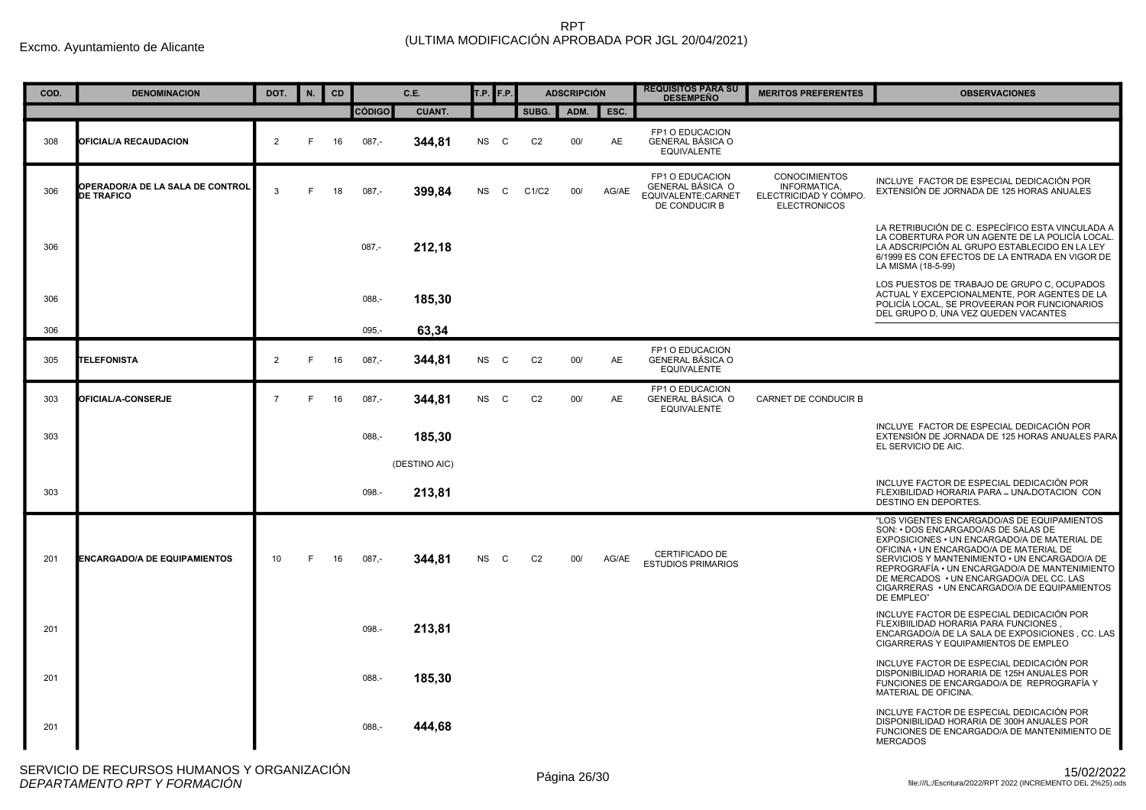| COD. | <b>DENOMINACION</b>                                   | DOT.           | N. | <b>CD</b> |          | C.E.          | T.P. F.P. |              |                | <b>ADSCRIPCIÓN</b> |           | <b>REQUISITOS PARA SU</b><br><b>DESEMPEÑO</b>                              | <b>MERITOS PREFERENTES</b>                                                           | <b>OBSERVACIONES</b>                                                                                                                                                                                                                                                                                                                                                                      |
|------|-------------------------------------------------------|----------------|----|-----------|----------|---------------|-----------|--------------|----------------|--------------------|-----------|----------------------------------------------------------------------------|--------------------------------------------------------------------------------------|-------------------------------------------------------------------------------------------------------------------------------------------------------------------------------------------------------------------------------------------------------------------------------------------------------------------------------------------------------------------------------------------|
|      |                                                       |                |    |           | CÓDIGO   | <b>CUANT.</b> |           |              | SUBG.          | ADM.               | ESC.      |                                                                            |                                                                                      |                                                                                                                                                                                                                                                                                                                                                                                           |
| 308  | <b>OFICIAL/A RECAUDACION</b>                          | 2              | F  | 16        | $087 -$  | 344,81        | NS        | $\mathbf{C}$ | C <sub>2</sub> | 00/                | <b>AE</b> | FP1 O EDUCACION<br><b>GENERAL BÁSICA O</b><br><b>EQUIVALENTE</b>           |                                                                                      |                                                                                                                                                                                                                                                                                                                                                                                           |
| 306  | OPERADOR/A DE LA SALA DE CONTROL<br><b>DE TRAFICO</b> | 3              | F  | 18        | $087 -$  | 399,84        | <b>NS</b> | $\mathsf{C}$ | C1/C2          | 00/                | AG/AE     | FP1 O EDUCACION<br>GENERAL BÁSICA O<br>EQUIVALENTE;CARNET<br>DE CONDUCIR B | <b>CONOCIMIENTOS</b><br>INFORMATICA,<br>ELECTRICIDAD Y COMPO.<br><b>ELECTRONICOS</b> | INCLUYE FACTOR DE ESPECIAL DEDICACIÓN POR<br>EXTENSIÓN DE JORNADA DE 125 HORAS ANUALES                                                                                                                                                                                                                                                                                                    |
| 306  |                                                       |                |    |           | $087,-$  | 212,18        |           |              |                |                    |           |                                                                            |                                                                                      | LA RETRIBUCIÓN DE C. ESPECÍFICO ESTA VINCULADA A<br>LA COBERTURA POR UN AGENTE DE LA POLICÍA LOCAL.<br>LA ADSCRIPCIÓN AL GRUPO ESTABLECIDO EN LA LEY<br>6/1999 ES CON EFECTOS DE LA ENTRADA EN VIGOR DE<br>LA MISMA (18-5-99)                                                                                                                                                             |
| 306  |                                                       |                |    |           | $088 -$  | 185,30        |           |              |                |                    |           |                                                                            |                                                                                      | LOS PUESTOS DE TRABAJO DE GRUPO C. OCUPADOS<br>ACTUAL Y EXCEPCIONALMENTE, POR AGENTES DE LA<br>POLICÍA LOCAL, SE PROVEERAN POR FUNCIONARIOS<br>DEL GRUPO D, UNA VEZ QUEDEN VACANTES                                                                                                                                                                                                       |
| 306  |                                                       |                |    |           | $095 -$  | 63,34         |           |              |                |                    |           |                                                                            |                                                                                      |                                                                                                                                                                                                                                                                                                                                                                                           |
| 305  | <b>TELEFONISTA</b>                                    | $\overline{2}$ | E  | 16        | $087,-$  | 344,81        | NS C      |              | C <sub>2</sub> | 00/                | AE        | FP1 O EDUCACION<br><b>GENERAL BÁSICA O</b><br><b>EQUIVALENTE</b>           |                                                                                      |                                                                                                                                                                                                                                                                                                                                                                                           |
| 303  | <b>OFICIAL/A-CONSERJE</b>                             | $\overline{7}$ | F. | 16        | $087 -$  | 344,81        | NS C      |              | C <sub>2</sub> | 00/                | AE        | FP1 O EDUCACION<br><b>GENERAL BÁSICA O</b><br><b>EQUIVALENTE</b>           | CARNET DE CONDUCIR B                                                                 |                                                                                                                                                                                                                                                                                                                                                                                           |
| 303  |                                                       |                |    |           | $088 -$  | 185,30        |           |              |                |                    |           |                                                                            |                                                                                      | INCLUYE FACTOR DE ESPECIAL DEDICACIÓN POR<br>EXTENSIÓN DE JORNADA DE 125 HORAS ANUALES PARA<br>EL SERVICIO DE AIC.                                                                                                                                                                                                                                                                        |
|      |                                                       |                |    |           |          | (DESTINO AIC) |           |              |                |                    |           |                                                                            |                                                                                      |                                                                                                                                                                                                                                                                                                                                                                                           |
| 303  |                                                       |                |    |           | 098.-    | 213,81        |           |              |                |                    |           |                                                                            |                                                                                      | INCLUYE FACTOR DE ESPECIAL DEDICACIÓN POR<br>FLEXIBILIDAD HORARIA PARA - UNA-DOTACION CON<br>DESTINO EN DEPORTES.                                                                                                                                                                                                                                                                         |
| 201  | <b>ENCARGADO/A DE EQUIPAMIENTOS</b>                   | 10             | F. | 16        | $087 -$  | 344.81        | NS        | $\mathbf{C}$ | C <sub>2</sub> | 00/                | AG/AE     | CERTIFICADO DE<br><b>ESTUDIOS PRIMARIOS</b>                                |                                                                                      | "LOS VIGENTES ENCARGADO/AS DE EQUIPAMIENTOS<br>SON: • DOS ENCARGADO/AS DE SALAS DE<br>EXPOSICIONES • UN ENCARGADO/A DE MATERIAL DE<br>OFICINA . UN ENCARGADO/A DE MATERIAL DE<br>SERVICIOS Y MANTENIMIENTO . UN ENCARGADO/A DE<br>REPROGRAFÍA • UN ENCARGADO/A DE MANTENIMIENTO<br>DE MERCADOS . UN ENCARGADO/A DEL CC. LAS<br>CIGARRERAS . UN ENCARGADO/A DE EQUIPAMIENTOS<br>DE EMPLEO" |
| 201  |                                                       |                |    |           | 098.     | 213,81        |           |              |                |                    |           |                                                                            |                                                                                      | INCLUYE FACTOR DE ESPECIAL DEDICACIÓN POR<br>FLEXIBIILIDAD HORARIA PARA FUNCIONES,<br>ENCARGADO/A DE LA SALA DE EXPOSICIONES, CC. LAS<br>CIGARRERAS Y EQUIPAMIENTOS DE EMPLEO                                                                                                                                                                                                             |
| 201  |                                                       |                |    |           | 088.-    | 185,30        |           |              |                |                    |           |                                                                            |                                                                                      | INCLUYE FACTOR DE ESPECIAL DEDICACIÓN POR<br>DISPONIBILIDAD HORARIA DE 125H ANUALES POR<br>FUNCIONES DE ENCARGADO/A DE REPROGRAFÍA Y<br>MATERIAL DE OFICINA.                                                                                                                                                                                                                              |
| 201  |                                                       |                |    |           | $088, -$ | 444,68        |           |              |                |                    |           |                                                                            |                                                                                      | INCLUYE FACTOR DE ESPECIAL DEDICACIÓN POR<br>DISPONIBILIDAD HORARIA DE 300H ANUALES POR<br>FUNCIONES DE ENCARGADO/A DE MANTENIMIENTO DE<br><b>MERCADOS</b>                                                                                                                                                                                                                                |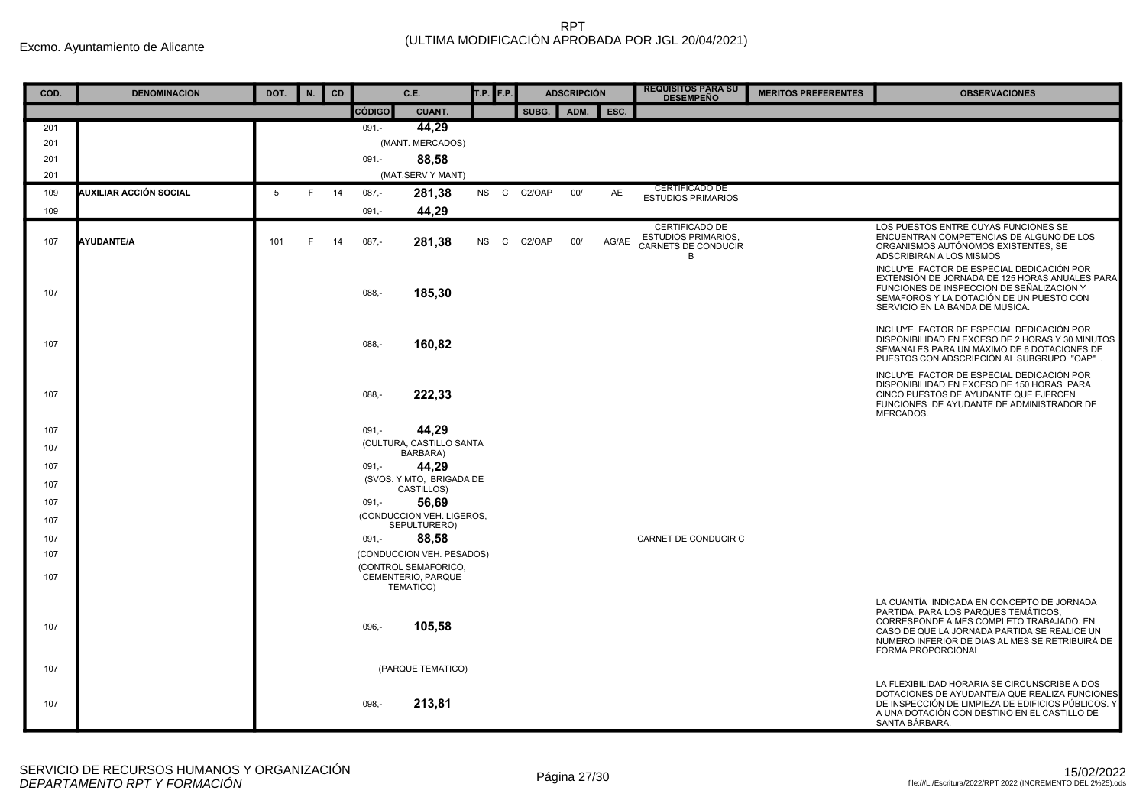| COD. | <b>DENOMINACION</b>    | DOT. | N. | CD |          | C.E.                                                    | T.P. F.P. |        | <b>ADSCRIPCIÓN</b> |       | <b>REQUISITOS PARA SU</b><br><b>DESEMPEÑO</b>                            | <b>MERITOS PREFERENTES</b> | <b>OBSERVACIONES</b>                                                                                                                                                                                                                                    |
|------|------------------------|------|----|----|----------|---------------------------------------------------------|-----------|--------|--------------------|-------|--------------------------------------------------------------------------|----------------------------|---------------------------------------------------------------------------------------------------------------------------------------------------------------------------------------------------------------------------------------------------------|
|      |                        |      |    |    | CÓDIGO   | <b>CUANT.</b>                                           |           | SUBG.  | ADM.               | ESC.  |                                                                          |                            |                                                                                                                                                                                                                                                         |
| 201  |                        |      |    |    | $091 -$  | 44,29                                                   |           |        |                    |       |                                                                          |                            |                                                                                                                                                                                                                                                         |
| 201  |                        |      |    |    |          | (MANT. MERCADOS)                                        |           |        |                    |       |                                                                          |                            |                                                                                                                                                                                                                                                         |
| 201  |                        |      |    |    | $091 -$  | 88,58                                                   |           |        |                    |       |                                                                          |                            |                                                                                                                                                                                                                                                         |
| 201  |                        |      |    |    |          | (MAT.SERV Y MANT)                                       |           |        |                    |       | <b>CERTIFICADO DE</b>                                                    |                            |                                                                                                                                                                                                                                                         |
| 109  | AUXILIAR ACCIÓN SOCIAL | 5    | F. | 14 | $087,-$  | 281,38                                                  | NS C      | C2/OAP | 00/                | AE    | <b>ESTUDIOS PRIMARIOS</b>                                                |                            |                                                                                                                                                                                                                                                         |
| 109  |                        |      |    |    | $091 -$  | 44,29                                                   |           |        |                    |       |                                                                          |                            |                                                                                                                                                                                                                                                         |
| 107  | <b>AYUDANTE/A</b>      | 101  | F  | 14 | $087,-$  | 281,38                                                  | NS C      | C2/OAP | 00/                | AG/AE | CERTIFICADO DE<br><b>ESTUDIOS PRIMARIOS,</b><br>CARNETS DE CONDUCIR<br>B |                            | LOS PUESTOS ENTRE CUYAS FUNCIONES SE<br>ENCUENTRAN COMPETENCIAS DE ALGUNO DE LOS<br>ORGANISMOS AUTÓNOMOS EXISTENTES, SE<br>ADSCRIBIRAN A LOS MISMOS                                                                                                     |
| 107  |                        |      |    |    | 088,     | 185,30                                                  |           |        |                    |       |                                                                          |                            | INCLUYE FACTOR DE ESPECIAL DEDICACIÓN POR<br>EXTENSIÓN DE JORNADA DE 125 HORAS ANUALES PARA<br>FUNCIONES DE INSPECCION DE SEÑALIZACION Y<br>SEMAFOROS Y LA DOTACIÓN DE UN PUESTO CON<br>SERVICIO EN LA BANDA DE MUSICA.                                 |
| 107  |                        |      |    |    | $088. -$ | 160,82                                                  |           |        |                    |       |                                                                          |                            | INCLUYE FACTOR DE ESPECIAL DEDICACIÓN POR<br>DISPONIBILIDAD EN EXCESO DE 2 HORAS Y 30 MINUTOS<br>SEMANALES PARA UN MÁXIMO DE 6 DOTACIONES DE<br>PUESTOS CON ADSCRIPCIÓN AL SUBGRUPO "OAP".                                                              |
| 107  |                        |      |    |    | $088. -$ | 222,33                                                  |           |        |                    |       |                                                                          |                            | INCLUYE FACTOR DE ESPECIAL DEDICACIÓN POR<br>DISPONIBILIDAD EN EXCESO DE 150 HORAS PARA<br>CINCO PUESTOS DE AYUDANTE QUE EJERCEN<br>FUNCIONES DE AYUDANTE DE ADMINISTRADOR DE<br>MERCADOS.                                                              |
| 107  |                        |      |    |    | $091 -$  | 44,29                                                   |           |        |                    |       |                                                                          |                            |                                                                                                                                                                                                                                                         |
| 107  |                        |      |    |    |          | (CULTURA, CASTILLO SANTA<br>BARBARA)                    |           |        |                    |       |                                                                          |                            |                                                                                                                                                                                                                                                         |
| 107  |                        |      |    |    | $091,-$  | 44,29                                                   |           |        |                    |       |                                                                          |                            |                                                                                                                                                                                                                                                         |
| 107  |                        |      |    |    |          | (SVOS. Y MTO, BRIGADA DE<br>CASTILLOS)                  |           |        |                    |       |                                                                          |                            |                                                                                                                                                                                                                                                         |
| 107  |                        |      |    |    | $091 -$  | 56,69                                                   |           |        |                    |       |                                                                          |                            |                                                                                                                                                                                                                                                         |
| 107  |                        |      |    |    |          | (CONDUCCION VEH. LIGEROS,<br>SEPULTURERO)               |           |        |                    |       |                                                                          |                            |                                                                                                                                                                                                                                                         |
| 107  |                        |      |    |    | $091 -$  | 88,58                                                   |           |        |                    |       | CARNET DE CONDUCIR C                                                     |                            |                                                                                                                                                                                                                                                         |
| 107  |                        |      |    |    |          | (CONDUCCION VEH. PESADOS)                               |           |        |                    |       |                                                                          |                            |                                                                                                                                                                                                                                                         |
| 107  |                        |      |    |    |          | (CONTROL SEMAFORICO,<br>CEMENTERIO, PARQUE<br>TEMATICO) |           |        |                    |       |                                                                          |                            |                                                                                                                                                                                                                                                         |
| 107  |                        |      |    |    | 096,-    | 105,58                                                  |           |        |                    |       |                                                                          |                            | LA CUANTÍA INDICADA EN CONCEPTO DE JORNADA<br>PARTIDA, PARA LOS PARQUES TEMÁTICOS,<br>CORRESPONDE A MES COMPLETO TRABAJADO. EN<br>CASO DE QUE LA JORNADA PARTIDA SE REALICE UN<br>NUMERO INFERIOR DE DIAS AL MES SE RETRIBUIRÁ DE<br>FORMA PROPORCIONAL |
| 107  |                        |      |    |    |          | (PARQUE TEMATICO)                                       |           |        |                    |       |                                                                          |                            |                                                                                                                                                                                                                                                         |
| 107  |                        |      |    |    | $098, -$ | 213,81                                                  |           |        |                    |       |                                                                          |                            | LA FLEXIBILIDAD HORARIA SE CIRCUNSCRIBE A DOS<br>DOTACIONES DE AYUDANTE/A QUE REALIZA FUNCIONES<br>DE INSPECCIÓN DE LIMPIEZA DE EDIFICIOS PÚBLICOS. Y<br>A UNA DOTACIÓN CON DESTINO EN EL CASTILLO DE<br>SANTA BÁRBARA.                                 |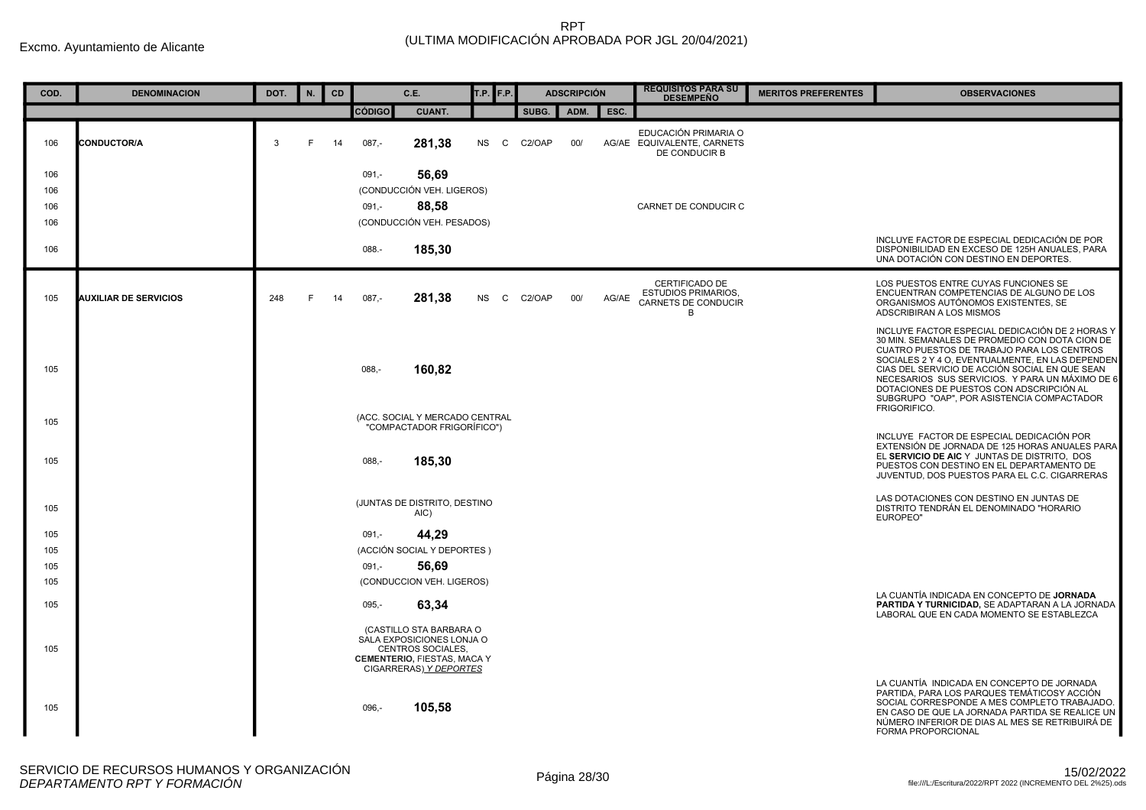| COD. | <b>DENOMINACION</b>          | DOT. | N. | CD |               | C.E.                                                                                                                                      | <b>T.P.</b> F.P. |        | <b>ADSCRIPCIÓN</b> |       | <b>REQUISITOS PARA SU</b><br><b>DESEMPEÑO</b>                            | <b>MERITOS PREFERENTES</b> | <b>OBSERVACIONES</b>                                                                                                                                                                                                                                                                                                                                                                                               |
|------|------------------------------|------|----|----|---------------|-------------------------------------------------------------------------------------------------------------------------------------------|------------------|--------|--------------------|-------|--------------------------------------------------------------------------|----------------------------|--------------------------------------------------------------------------------------------------------------------------------------------------------------------------------------------------------------------------------------------------------------------------------------------------------------------------------------------------------------------------------------------------------------------|
|      |                              |      |    |    | <b>CÓDIGO</b> | <b>CUANT.</b>                                                                                                                             |                  | SUBG.  | ADM.               | ESC.  |                                                                          |                            |                                                                                                                                                                                                                                                                                                                                                                                                                    |
| 106  | <b>CONDUCTOR/A</b>           | 3    | F  | 14 | $087 -$       | 281,38                                                                                                                                    | <b>NS</b><br>C.  | C2/OAP | 00/                |       | EDUCACIÓN PRIMARIA O<br>AG/AE EQUIVALENTE, CARNETS<br>DE CONDUCIR B      |                            |                                                                                                                                                                                                                                                                                                                                                                                                                    |
| 106  |                              |      |    |    | $091 -$       | 56,69                                                                                                                                     |                  |        |                    |       |                                                                          |                            |                                                                                                                                                                                                                                                                                                                                                                                                                    |
| 106  |                              |      |    |    |               | (CONDUCCIÓN VEH. LIGEROS)                                                                                                                 |                  |        |                    |       |                                                                          |                            |                                                                                                                                                                                                                                                                                                                                                                                                                    |
| 106  |                              |      |    |    | $091 -$       | 88.58                                                                                                                                     |                  |        |                    |       | CARNET DE CONDUCIR C                                                     |                            |                                                                                                                                                                                                                                                                                                                                                                                                                    |
| 106  |                              |      |    |    |               | (CONDUCCIÓN VEH. PESADOS)                                                                                                                 |                  |        |                    |       |                                                                          |                            |                                                                                                                                                                                                                                                                                                                                                                                                                    |
| 106  |                              |      |    |    | 088.-         | 185,30                                                                                                                                    |                  |        |                    |       |                                                                          |                            | INCLUYE FACTOR DE ESPECIAL DEDICACIÓN DE POR<br>DISPONIBILIDAD EN EXCESO DE 125H ANUALES, PARA<br>UNA DOTACIÓN CON DESTINO EN DEPORTES.                                                                                                                                                                                                                                                                            |
| 105  | <b>AUXILIAR DE SERVICIOS</b> | 248  | F  | 14 | $087 -$       | 281,38                                                                                                                                    | NS.<br>C.        | C2/OAP | 00/                | AG/AE | CERTIFICADO DE<br><b>ESTUDIOS PRIMARIOS,</b><br>CARNETS DE CONDUCIR<br>B |                            | LOS PUESTOS ENTRE CUYAS FUNCIONES SE<br>ENCUENTRAN COMPETENCIAS DE ALGUNO DE LOS<br>ORGANISMOS AUTÓNOMOS EXISTENTES, SE<br>ADSCRIBIRAN A LOS MISMOS                                                                                                                                                                                                                                                                |
| 105  |                              |      |    |    | $088 -$       | 160,82                                                                                                                                    |                  |        |                    |       |                                                                          |                            | INCLUYE FACTOR ESPECIAL DEDICACIÓN DE 2 HORAS Y<br>30 MIN. SEMANALES DE PROMEDIO CON DOTA CION DE<br>CUATRO PUESTOS DE TRABAJO PARA LOS CENTROS<br>SOCIALES 2 Y 4 O, EVENTUALMENTE, EN LAS DEPENDEN<br>CIAS DEL SERVICIO DE ACCIÓN SOCIAL EN QUE SEAN<br>NECESARIOS SUS SERVICIOS. Y PARA UN MÁXIMO DE 6<br>DOTACIONES DE PUESTOS CON ADSCRIPCIÓN AL<br>SUBGRUPO "OAP", POR ASISTENCIA COMPACTADOR<br>FRIGORIFICO. |
| 105  |                              |      |    |    |               | (ACC. SOCIAL Y MERCADO CENTRAL<br>"COMPACTADOR FRIGORÍFICO")                                                                              |                  |        |                    |       |                                                                          |                            | INCLUYE FACTOR DE ESPECIAL DEDICACIÓN POR                                                                                                                                                                                                                                                                                                                                                                          |
| 105  |                              |      |    |    | $088 -$       | 185,30                                                                                                                                    |                  |        |                    |       |                                                                          |                            | EXTENSIÓN DE JORNADA DE 125 HORAS ANUALES PARA<br>EL SERVICIO DE AIC Y JUNTAS DE DISTRITO, DOS<br>PUESTOS CON DESTINO EN EL DEPARTAMENTO DE<br>JUVENTUD, DOS PUESTOS PARA EL C.C. CIGARRERAS                                                                                                                                                                                                                       |
| 105  |                              |      |    |    |               | (JUNTAS DE DISTRITO, DESTINO<br>AIC)                                                                                                      |                  |        |                    |       |                                                                          |                            | LAS DOTACIONES CON DESTINO EN JUNTAS DE<br>DISTRITO TENDRÁN EL DENOMINADO "HORARIO<br>EUROPEO"                                                                                                                                                                                                                                                                                                                     |
| 105  |                              |      |    |    | $091 -$       | 44,29                                                                                                                                     |                  |        |                    |       |                                                                          |                            |                                                                                                                                                                                                                                                                                                                                                                                                                    |
| 105  |                              |      |    |    |               | (ACCIÓN SOCIAL Y DEPORTES)                                                                                                                |                  |        |                    |       |                                                                          |                            |                                                                                                                                                                                                                                                                                                                                                                                                                    |
| 105  |                              |      |    |    | $091 -$       | 56,69                                                                                                                                     |                  |        |                    |       |                                                                          |                            |                                                                                                                                                                                                                                                                                                                                                                                                                    |
| 105  |                              |      |    |    |               | (CONDUCCION VEH. LIGEROS)                                                                                                                 |                  |        |                    |       |                                                                          |                            | LA CUANTÍA INDICADA EN CONCEPTO DE JORNADA                                                                                                                                                                                                                                                                                                                                                                         |
| 105  |                              |      |    |    | $095. -$      | 63,34                                                                                                                                     |                  |        |                    |       |                                                                          |                            | PARTIDA Y TURNICIDAD, SE ADAPTARAN A LA JORNADA<br>LABORAL QUE EN CADA MOMENTO SE ESTABLEZCA                                                                                                                                                                                                                                                                                                                       |
| 105  |                              |      |    |    |               | (CASTILLO STA BARBARA O<br>SÀLA EXPOSICIONES LONJA O<br>CENTROS SOCIALES.<br><b>CEMENTERIO, FIESTAS, MACA Y</b><br>CIGARRERAS) Y DEPORTES |                  |        |                    |       |                                                                          |                            |                                                                                                                                                                                                                                                                                                                                                                                                                    |
| 105  |                              |      |    |    | 096.          | 105.58                                                                                                                                    |                  |        |                    |       |                                                                          |                            | LA CUANTÍA INDICADA EN CONCEPTO DE JORNADA<br>PARTIDA. PARA LOS PARQUES TEMÁTICOSY ACCIÓN<br>SOCIAL CORRESPONDE A MES COMPLETO TRABAJADO.<br>EN CASO DE QUE LA JORNADA PARTIDA SE REALICE UN<br>NÚMERO INFERIOR DE DIAS AL MES SE RETRIBUIRÁ DE<br>FORMA PROPORCIONAL                                                                                                                                              |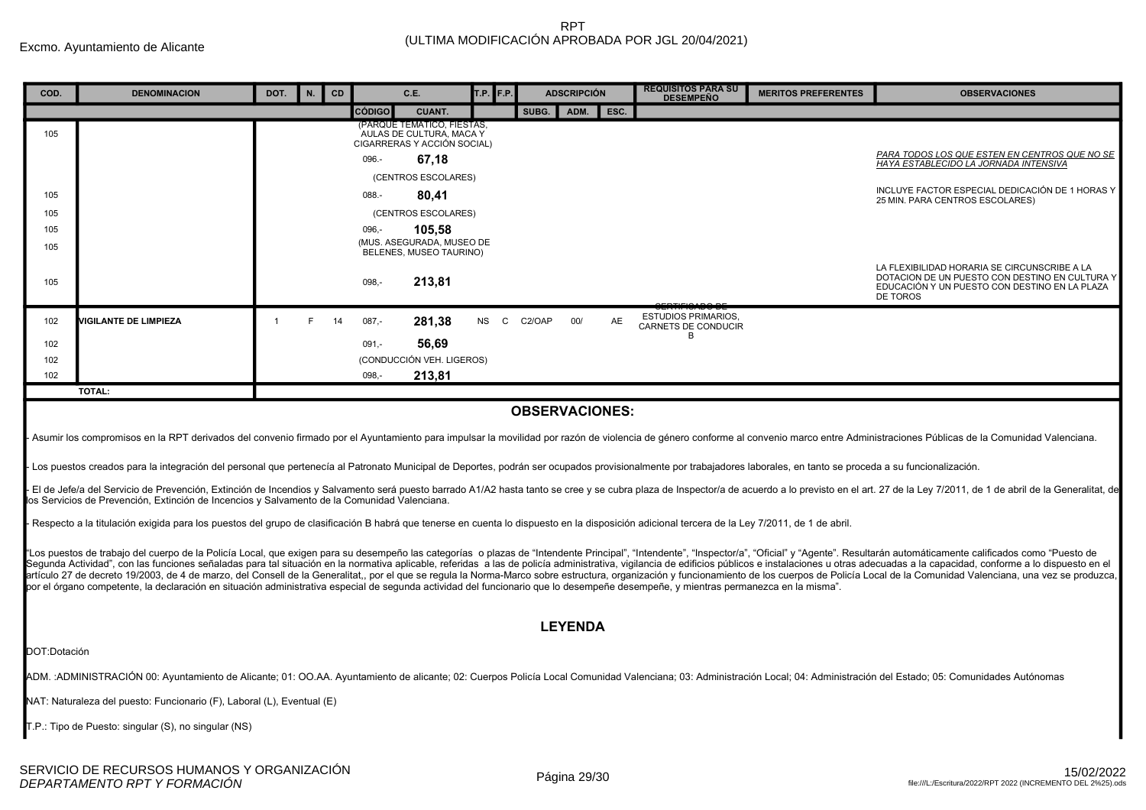| COD.         | <b>DENOMINACION</b>                                                                                                                                                                                                            | DOT.           | N. | CD | C.E.                                                   | T.P.<br>F.P.    | <b>ADSCRIPCIÓN</b> |      | <b>REQUISITOS PARA SU</b><br><b>DESEMPEÑO</b>     | <b>MERITOS PREFERENTES</b> | <b>OBSERVACIONES</b>                                                                                                                                                                                                                                                                                                                                                                                                                                             |  |
|--------------|--------------------------------------------------------------------------------------------------------------------------------------------------------------------------------------------------------------------------------|----------------|----|----|--------------------------------------------------------|-----------------|--------------------|------|---------------------------------------------------|----------------------------|------------------------------------------------------------------------------------------------------------------------------------------------------------------------------------------------------------------------------------------------------------------------------------------------------------------------------------------------------------------------------------------------------------------------------------------------------------------|--|
|              |                                                                                                                                                                                                                                |                |    |    | <b>CÓDIGO</b><br><b>CUANT.</b>                         |                 | SUBG.<br>ADM.      | ESC. |                                                   |                            |                                                                                                                                                                                                                                                                                                                                                                                                                                                                  |  |
| 105          |                                                                                                                                                                                                                                |                |    |    | (PARQUE TEMATICO, FIESTAS,<br>AULAS DE CULTURA, MACA Y |                 |                    |      |                                                   |                            |                                                                                                                                                                                                                                                                                                                                                                                                                                                                  |  |
|              |                                                                                                                                                                                                                                |                |    |    | CIGARRERAS Y ACCIÓN SOCIAL)<br>096.-<br>67,18          |                 |                    |      |                                                   |                            | PARA TODOS LOS QUE ESTEN EN CENTROS QUE NO SE                                                                                                                                                                                                                                                                                                                                                                                                                    |  |
|              |                                                                                                                                                                                                                                |                |    |    | (CENTROS ESCOLARES)                                    |                 |                    |      |                                                   |                            | <b>HAYA ESTABLECIDO LA JORNADA INTENSIVA</b>                                                                                                                                                                                                                                                                                                                                                                                                                     |  |
| 105          |                                                                                                                                                                                                                                |                |    |    | $088 -$<br>80,41                                       |                 |                    |      |                                                   |                            | INCLUYE FACTOR ESPECIAL DEDICACIÓN DE 1 HORAS Y                                                                                                                                                                                                                                                                                                                                                                                                                  |  |
| 105          |                                                                                                                                                                                                                                |                |    |    | (CENTROS ESCOLARES)                                    |                 |                    |      |                                                   |                            | 25 MIN. PARA CENTROS ESCOLARES)                                                                                                                                                                                                                                                                                                                                                                                                                                  |  |
| 105          |                                                                                                                                                                                                                                |                |    |    | 096,-<br>105.58                                        |                 |                    |      |                                                   |                            |                                                                                                                                                                                                                                                                                                                                                                                                                                                                  |  |
| 105          |                                                                                                                                                                                                                                |                |    |    | (MUS. ASEGURADA, MUSEO DE<br>BELENES, MUSEO TAURINO)   |                 |                    |      |                                                   |                            |                                                                                                                                                                                                                                                                                                                                                                                                                                                                  |  |
|              |                                                                                                                                                                                                                                |                |    |    |                                                        |                 |                    |      |                                                   |                            | LA FLEXIBILIDAD HORARIA SE CIRCUNSCRIBE A LA                                                                                                                                                                                                                                                                                                                                                                                                                     |  |
| 105          |                                                                                                                                                                                                                                |                |    |    | 213,81<br>$098, -$                                     |                 |                    |      |                                                   |                            | DOTACION DE UN PUESTO CON DESTINO EN CULTURA Y<br>EDUCACIÓN Y UN PUESTO CON DESTINO EN LA PLAZA                                                                                                                                                                                                                                                                                                                                                                  |  |
|              |                                                                                                                                                                                                                                |                |    |    |                                                        |                 |                    |      |                                                   |                            | <b>DE TOROS</b>                                                                                                                                                                                                                                                                                                                                                                                                                                                  |  |
| 102          | <b>VIGILANTE DE LIMPIEZA</b>                                                                                                                                                                                                   | $\overline{1}$ | E  | 14 | 281,38<br>$087 -$                                      | <b>NS</b><br>C. | 00/<br>C2/OAP      | AE   | <b>ESTUDIOS PRIMARIOS,</b><br>CARNETS DE CONDUCIR |                            |                                                                                                                                                                                                                                                                                                                                                                                                                                                                  |  |
| 102          |                                                                                                                                                                                                                                |                |    |    | 56,69<br>$091 -$                                       |                 |                    |      | B                                                 |                            |                                                                                                                                                                                                                                                                                                                                                                                                                                                                  |  |
| 102          |                                                                                                                                                                                                                                |                |    |    | (CONDUCCIÓN VEH. LIGEROS)                              |                 |                    |      |                                                   |                            |                                                                                                                                                                                                                                                                                                                                                                                                                                                                  |  |
| 102          |                                                                                                                                                                                                                                |                |    |    | 213,81<br>098,-                                        |                 |                    |      |                                                   |                            |                                                                                                                                                                                                                                                                                                                                                                                                                                                                  |  |
|              | TOTAL:                                                                                                                                                                                                                         |                |    |    |                                                        |                 |                    |      |                                                   |                            |                                                                                                                                                                                                                                                                                                                                                                                                                                                                  |  |
|              | <b>OBSERVACIONES:</b>                                                                                                                                                                                                          |                |    |    |                                                        |                 |                    |      |                                                   |                            |                                                                                                                                                                                                                                                                                                                                                                                                                                                                  |  |
|              |                                                                                                                                                                                                                                |                |    |    |                                                        |                 |                    |      |                                                   |                            |                                                                                                                                                                                                                                                                                                                                                                                                                                                                  |  |
|              | Asumir los compromisos en la RPT derivados del convenio firmado por el Ayuntamiento para impulsar la movilidad por razón de violencia de género conforme al convenio marco entre Administraciones Públicas de la Comunidad Val |                |    |    |                                                        |                 |                    |      |                                                   |                            |                                                                                                                                                                                                                                                                                                                                                                                                                                                                  |  |
|              | Los puestos creados para la integración del personal que pertenecía al Patronato Municipal de Deportes, podrán ser ocupados provisionalmente por trabajadores laborales, en tanto se proceda a su funcionalización.            |                |    |    |                                                        |                 |                    |      |                                                   |                            |                                                                                                                                                                                                                                                                                                                                                                                                                                                                  |  |
|              |                                                                                                                                                                                                                                |                |    |    |                                                        |                 |                    |      |                                                   |                            | El de Jefe/a del Servicio de Prevención, Extinción de Incendios y Salvamento será puesto barrado A1/A2 hasta tanto se cree y se cubra plaza de Inspector/a de acuerdo a lo previsto en el art. 27 de la Ley 7/2011, de 1 de ab                                                                                                                                                                                                                                   |  |
|              | los Servicios de Prevención, Extinción de Incencios y Salvamento de la Comunidad Valenciana.                                                                                                                                   |                |    |    |                                                        |                 |                    |      |                                                   |                            |                                                                                                                                                                                                                                                                                                                                                                                                                                                                  |  |
|              | Respecto a la titulación exigida para los puestos del grupo de clasificación B habrá que tenerse en cuenta lo dispuesto en la disposición adicional tercera de la Ley 7/2011, de 1 de abril.                                   |                |    |    |                                                        |                 |                    |      |                                                   |                            |                                                                                                                                                                                                                                                                                                                                                                                                                                                                  |  |
|              |                                                                                                                                                                                                                                |                |    |    |                                                        |                 |                    |      |                                                   |                            |                                                                                                                                                                                                                                                                                                                                                                                                                                                                  |  |
|              |                                                                                                                                                                                                                                |                |    |    |                                                        |                 |                    |      |                                                   |                            | "Los puestos de trabajo del cuerpo de la Policía Local, que exigen para su desempeño las categorías o plazas de "Intendente Principal", "Intendente", "Inspector/a", "Oficial" y "Agente". Resultarán automáticamente califica<br>Segunda Actividad", con las funciones señaladas para tal situación en la normativa aplicable, referidas a las de policía administrativa, vigilancia de edificios públicos e instalaciones u otras adecuadas a la capacidad, co |  |
|              |                                                                                                                                                                                                                                |                |    |    |                                                        |                 |                    |      |                                                   |                            | artículo 27 de decreto 19/2003, de 4 de marzo, del Consell de la Generalitat., por el que se regula la Norma-Marco sobre estructura, organización y funcionamiento de los cuerpos de Policía Local de la Comunidad Valenciana,                                                                                                                                                                                                                                   |  |
|              | por el órgano competente, la declaración en situación administrativa especial de segunda actividad del funcionario que lo desempeñe desempeñe, y mientras permanezca en la misma".                                             |                |    |    |                                                        |                 |                    |      |                                                   |                            |                                                                                                                                                                                                                                                                                                                                                                                                                                                                  |  |
|              |                                                                                                                                                                                                                                |                |    |    |                                                        |                 |                    |      |                                                   |                            |                                                                                                                                                                                                                                                                                                                                                                                                                                                                  |  |
|              |                                                                                                                                                                                                                                |                |    |    |                                                        |                 | <b>LEYENDA</b>     |      |                                                   |                            |                                                                                                                                                                                                                                                                                                                                                                                                                                                                  |  |
| DOT:Dotación |                                                                                                                                                                                                                                |                |    |    |                                                        |                 |                    |      |                                                   |                            |                                                                                                                                                                                                                                                                                                                                                                                                                                                                  |  |
|              |                                                                                                                                                                                                                                |                |    |    |                                                        |                 |                    |      |                                                   |                            | ADM.:ADMINISTRACIÓN 00: Ayuntamiento de Alicante; 01: OO.AA. Ayuntamiento de alicante; 02: Cuerpos Policía Local Comunidad Valenciana; 03: Administración Local; 04: Administración del Estado; 05: Comunidades Autónomas                                                                                                                                                                                                                                        |  |
|              | NAT: Naturaleza del puesto: Funcionario (F), Laboral (L), Eventual (E)                                                                                                                                                         |                |    |    |                                                        |                 |                    |      |                                                   |                            |                                                                                                                                                                                                                                                                                                                                                                                                                                                                  |  |
|              | T.P.: Tipo de Puesto: singular (S), no singular (NS)                                                                                                                                                                           |                |    |    |                                                        |                 |                    |      |                                                   |                            |                                                                                                                                                                                                                                                                                                                                                                                                                                                                  |  |
|              |                                                                                                                                                                                                                                |                |    |    |                                                        |                 |                    |      |                                                   |                            |                                                                                                                                                                                                                                                                                                                                                                                                                                                                  |  |
|              |                                                                                                                                                                                                                                |                |    |    |                                                        |                 |                    |      |                                                   |                            |                                                                                                                                                                                                                                                                                                                                                                                                                                                                  |  |